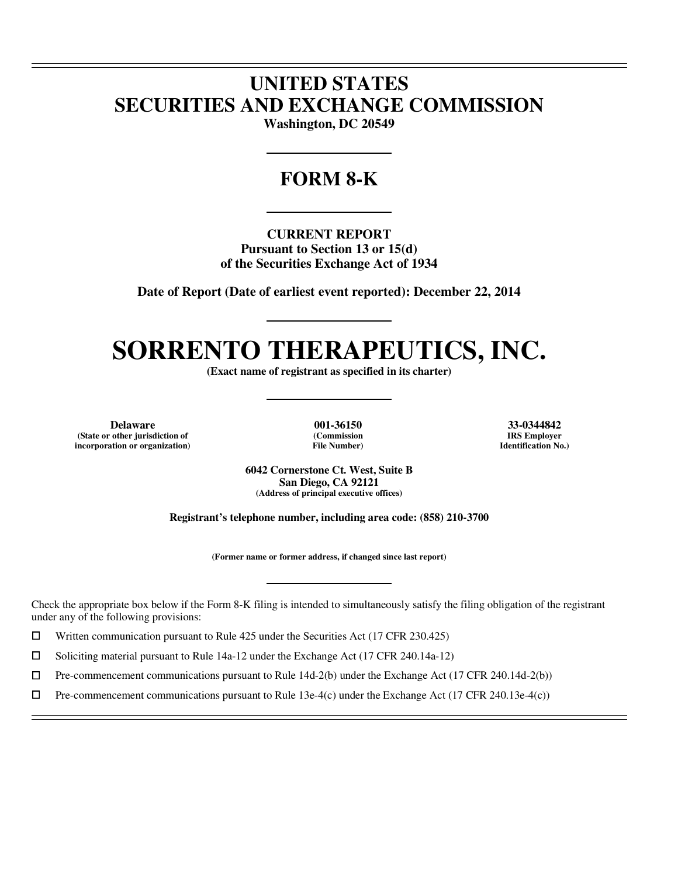## **UNITED STATES SECURITIES AND EXCHANGE COMMISSION**

**Washington, DC 20549** 

## **FORM 8-K**

**CURRENT REPORT Pursuant to Section 13 or 15(d) of the Securities Exchange Act of 1934** 

**Date of Report (Date of earliest event reported): December 22, 2014** 

# **SORRENTO THERAPEUTICS, INC.**

**(Exact name of registrant as specified in its charter)** 

**Delaware 001-36150 33-0344842 (State or other jurisdiction of incorporation or organization)**

 $\overline{a}$  $\overline{a}$ 

 $\overline{a}$ 

**(Commission File Number)**

**IRS Employer Identification No.)**

**6042 Cornerstone Ct. West, Suite B San Diego, CA 92121 (Address of principal executive offices)** 

**Registrant's telephone number, including area code: (858) 210-3700** 

**(Former name or former address, if changed since last report)** 

Check the appropriate box below if the Form 8-K filing is intended to simultaneously satisfy the filing obligation of the registrant under any of the following provisions:

 $□$  Written communication pursuant to Rule 425 under the Securities Act (17 CFR 230.425)<br>
□ Soliciting material pursuant to Rule 14a-12 under the Exchange Act (17 CFR 240.14a-12)

<p>\n 7 Soliciting material pursuit to Rule 14a-12 under the Exchange Act (17 CFR 240.14a-12)\n</p>\n<p>\n 1 Pre-component communications pursuit to Rule 14d-2(b) under the Exchange Act (17 CFR 240.14a-12)\n</p>

 $\Box$  Pre-commencement communications pursuant to Rule 14d-2(b) under the Exchange Act (17 CFR 240.14d-2(b))  $\Box$  Pre-commencement communications pursuant to Rule 13e-4(c) under the Exchange Act (17 CFR 240.13e-4(c))

Pre-commencement communications pursuant to Rule 13e-4(c) under the Exchange Act (17 CFR 240.13e-4(c))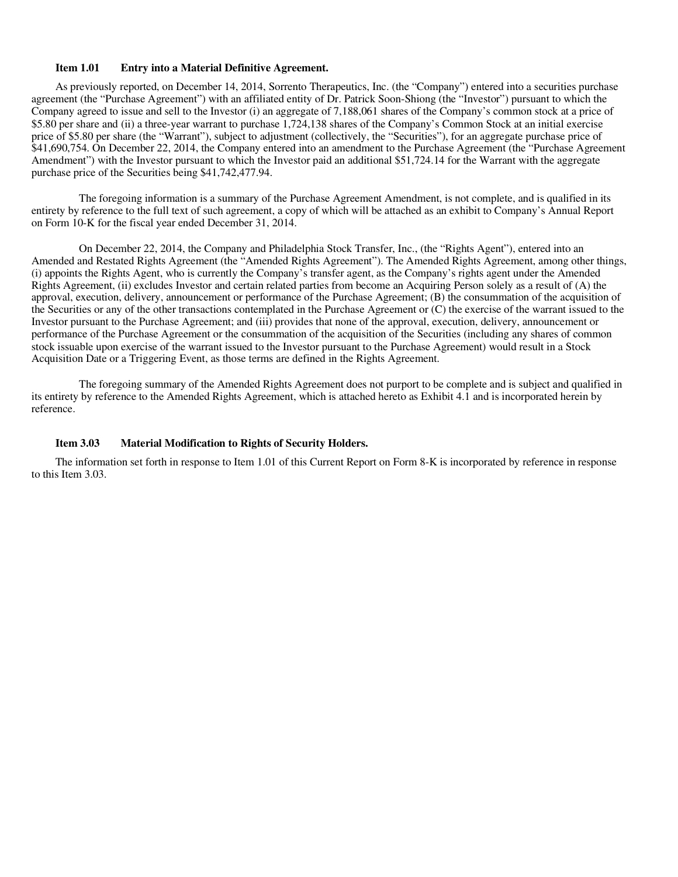#### **Item 1.01 Entry into a Material Definitive Agreement.**

As previously reported, on December 14, 2014, Sorrento Therapeutics, Inc. (the "Company") entered into a securities purchase agreement (the "Purchase Agreement") with an affiliated entity of Dr. Patrick Soon-Shiong (the "Investor") pursuant to which the Company agreed to issue and sell to the Investor (i) an aggregate of 7,188,061 shares of the Company's common stock at a price of \$5.80 per share and (ii) a three-year warrant to purchase 1,724,138 shares of the Company's Common Stock at an initial exercise price of \$5.80 per share (the "Warrant"), subject to adjustment (collectively, the "Securities"), for an aggregate purchase price of \$41,690,754. On December 22, 2014, the Company entered into an amendment to the Purchase Agreement (the "Purchase Agreement Amendment") with the Investor pursuant to which the Investor paid an additional \$51,724.14 for the Warrant with the aggregate purchase price of the Securities being \$41,742,477.94.

The foregoing information is a summary of the Purchase Agreement Amendment, is not complete, and is qualified in its entirety by reference to the full text of such agreement, a copy of which will be attached as an exhibit to Company's Annual Report on Form 10-K for the fiscal year ended December 31, 2014.

On December 22, 2014, the Company and Philadelphia Stock Transfer, Inc., (the "Rights Agent"), entered into an Amended and Restated Rights Agreement (the "Amended Rights Agreement"). The Amended Rights Agreement, among other things, (i) appoints the Rights Agent, who is currently the Company's transfer agent, as the Company's rights agent under the Amended Rights Agreement, (ii) excludes Investor and certain related parties from become an Acquiring Person solely as a result of (A) the approval, execution, delivery, announcement or performance of the Purchase Agreement; (B) the consummation of the acquisition of the Securities or any of the other transactions contemplated in the Purchase Agreement or (C) the exercise of the warrant issued to the Investor pursuant to the Purchase Agreement; and (iii) provides that none of the approval, execution, delivery, announcement or performance of the Purchase Agreement or the consummation of the acquisition of the Securities (including any shares of common stock issuable upon exercise of the warrant issued to the Investor pursuant to the Purchase Agreement) would result in a Stock Acquisition Date or a Triggering Event, as those terms are defined in the Rights Agreement.

The foregoing summary of the Amended Rights Agreement does not purport to be complete and is subject and qualified in its entirety by reference to the Amended Rights Agreement, which is attached hereto as Exhibit 4.1 and is incorporated herein by reference.

#### **Item 3.03 Material Modification to Rights of Security Holders.**

The information set forth in response to Item 1.01 of this Current Report on Form 8-K is incorporated by reference in response to this Item 3.03.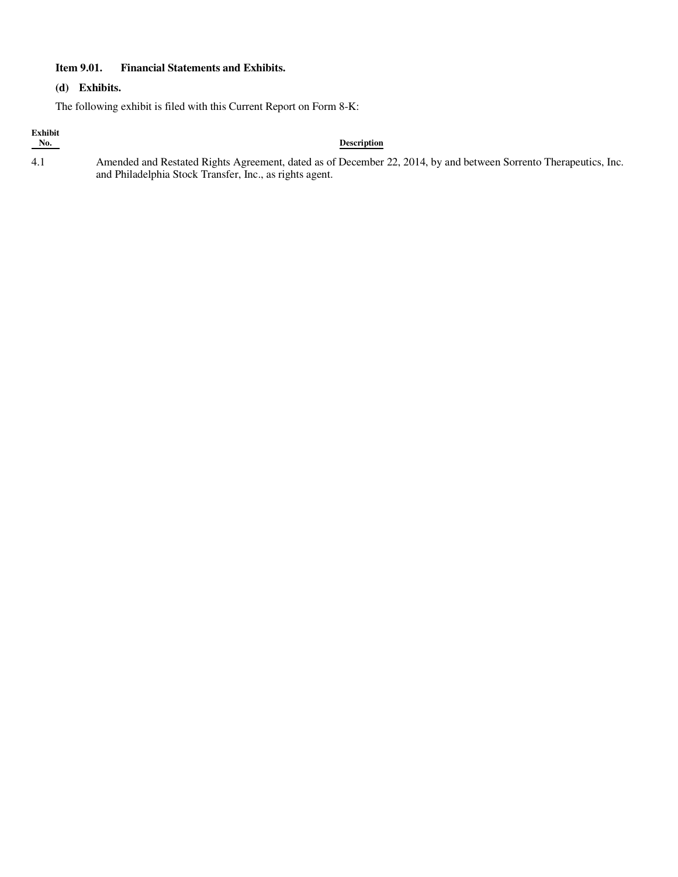## **Item 9.01. Financial Statements and Exhibits.**

#### **(d) Exhibits.**

The following exhibit is filed with this Current Report on Form 8-K:

#### Exhibit<br>No. **No. Description** 4.1 Amended and Restated Rights Agreement, dated as of December 22, 2014, by and between Sorrento Therapeutics, Inc. and Philadelphia Stock Transfer, Inc., as rights agent.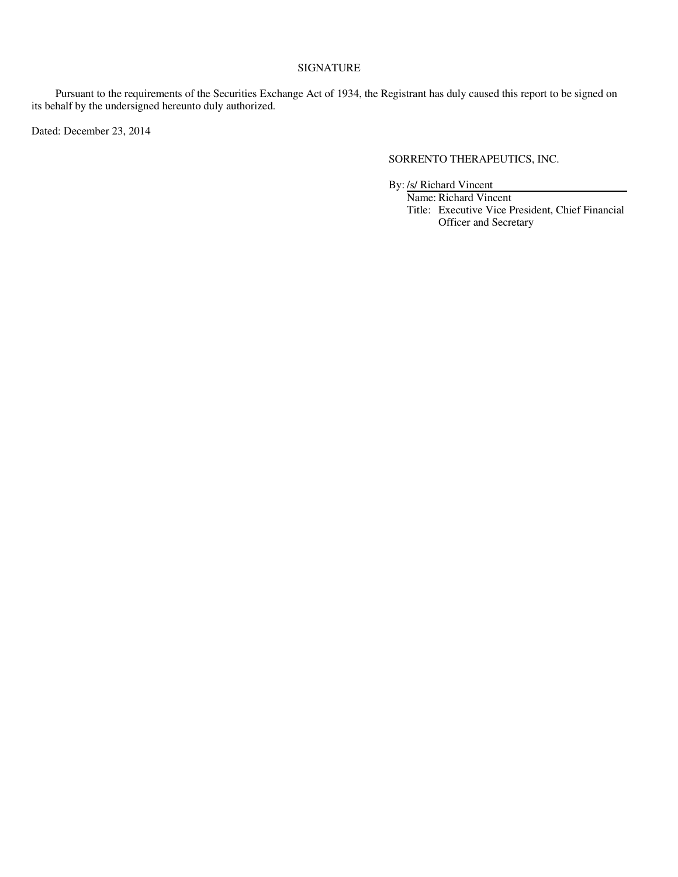#### SIGNATURE

Pursuant to the requirements of the Securities Exchange Act of 1934, the Registrant has duly caused this report to be signed on its behalf by the undersigned hereunto duly authorized.

Dated: December 23, 2014

#### SORRENTO THERAPEUTICS, INC.

By: /s/ Richard Vincent

Name: Richard Vincent Title: Executive Vice President, Chief Financial Officer and Secretary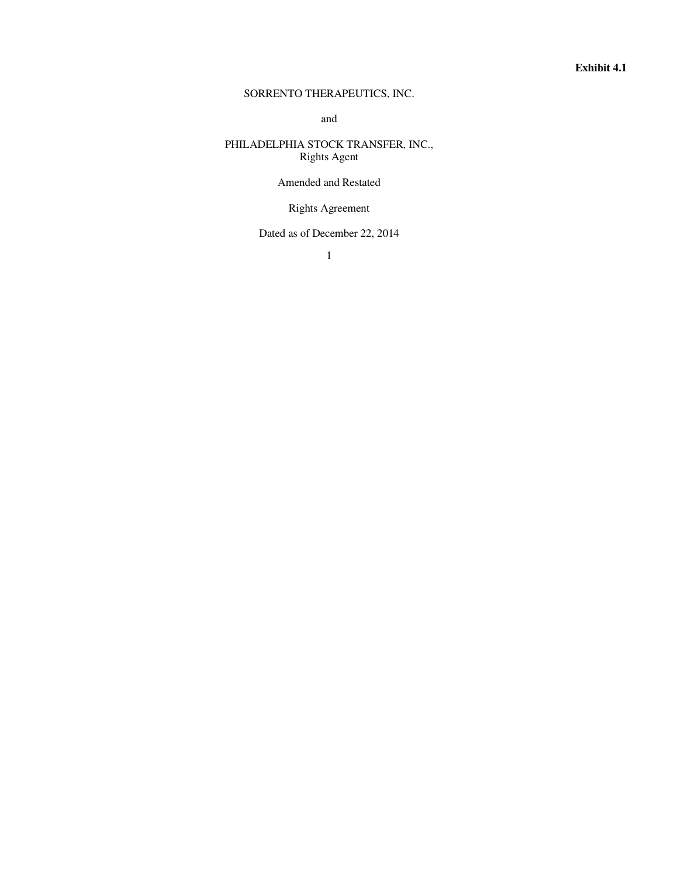## SORRENTO THERAPEUTICS, INC.

and

## PHILADELPHIA STOCK TRANSFER, INC., Rights Agent

### Amended and Restated

### Rights Agreement

## Dated as of December 22, 2014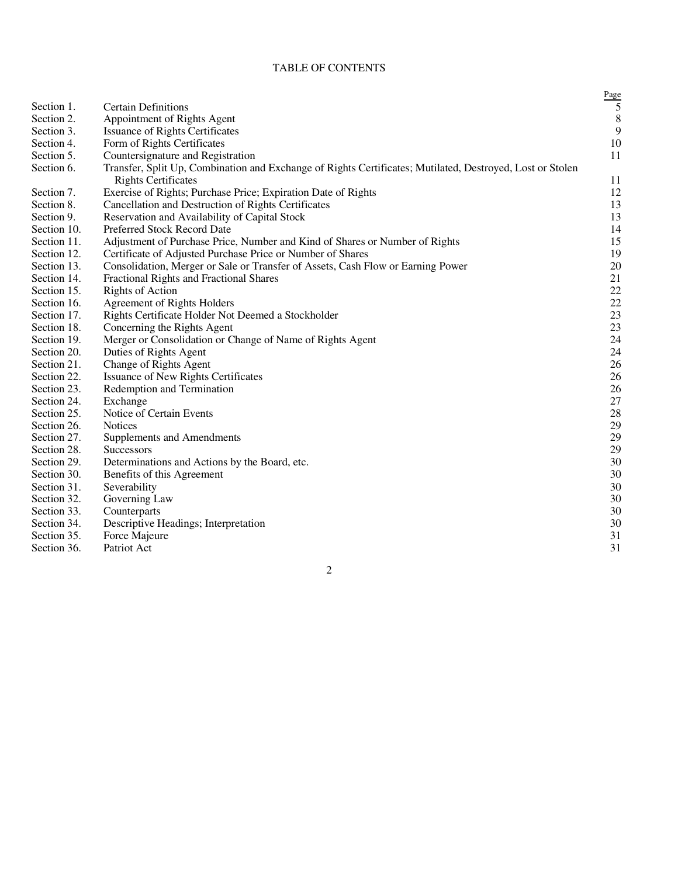## TABLE OF CONTENTS

|             |                                                                                                           | Page           |
|-------------|-----------------------------------------------------------------------------------------------------------|----------------|
| Section 1.  | <b>Certain Definitions</b>                                                                                | $\overline{5}$ |
| Section 2.  | Appointment of Rights Agent                                                                               | $\,8\,$        |
| Section 3.  | <b>Issuance of Rights Certificates</b>                                                                    | 9              |
| Section 4.  | Form of Rights Certificates                                                                               | $10\,$         |
| Section 5.  | Countersignature and Registration                                                                         | 11             |
| Section 6.  | Transfer, Split Up, Combination and Exchange of Rights Certificates; Mutilated, Destroyed, Lost or Stolen |                |
|             | <b>Rights Certificates</b>                                                                                | 11             |
| Section 7.  | Exercise of Rights; Purchase Price; Expiration Date of Rights                                             | 12             |
| Section 8.  | Cancellation and Destruction of Rights Certificates                                                       | 13             |
| Section 9.  | Reservation and Availability of Capital Stock                                                             | 13             |
| Section 10. | <b>Preferred Stock Record Date</b>                                                                        | 14             |
| Section 11. | Adjustment of Purchase Price, Number and Kind of Shares or Number of Rights                               | 15             |
| Section 12. | Certificate of Adjusted Purchase Price or Number of Shares                                                | 19             |
| Section 13. | Consolidation, Merger or Sale or Transfer of Assets, Cash Flow or Earning Power                           | $20\,$         |
| Section 14. | Fractional Rights and Fractional Shares                                                                   | 21             |
| Section 15. | <b>Rights of Action</b>                                                                                   | 22             |
| Section 16. | Agreement of Rights Holders                                                                               | 22             |
| Section 17. | Rights Certificate Holder Not Deemed a Stockholder                                                        | 23             |
| Section 18. | Concerning the Rights Agent                                                                               | 23             |
| Section 19. | Merger or Consolidation or Change of Name of Rights Agent                                                 | 24             |
| Section 20. | Duties of Rights Agent                                                                                    | 24             |
| Section 21. | Change of Rights Agent                                                                                    | 26             |
| Section 22. | Issuance of New Rights Certificates                                                                       | 26             |
| Section 23. | Redemption and Termination                                                                                | $26\,$         |
| Section 24. | Exchange                                                                                                  | $27\,$         |
| Section 25. | Notice of Certain Events                                                                                  | 28             |
| Section 26. | <b>Notices</b>                                                                                            | 29             |
| Section 27. | Supplements and Amendments                                                                                | 29             |
| Section 28. | <b>Successors</b>                                                                                         | 29             |
| Section 29. | Determinations and Actions by the Board, etc.                                                             | 30             |
| Section 30. | Benefits of this Agreement                                                                                | 30             |
| Section 31. | Severability                                                                                              | 30             |
| Section 32. | Governing Law                                                                                             | 30             |
| Section 33. | Counterparts                                                                                              | 30             |
| Section 34. | Descriptive Headings; Interpretation                                                                      | 30             |
| Section 35. | Force Majeure                                                                                             | 31             |
| Section 36. | Patriot Act                                                                                               | 31             |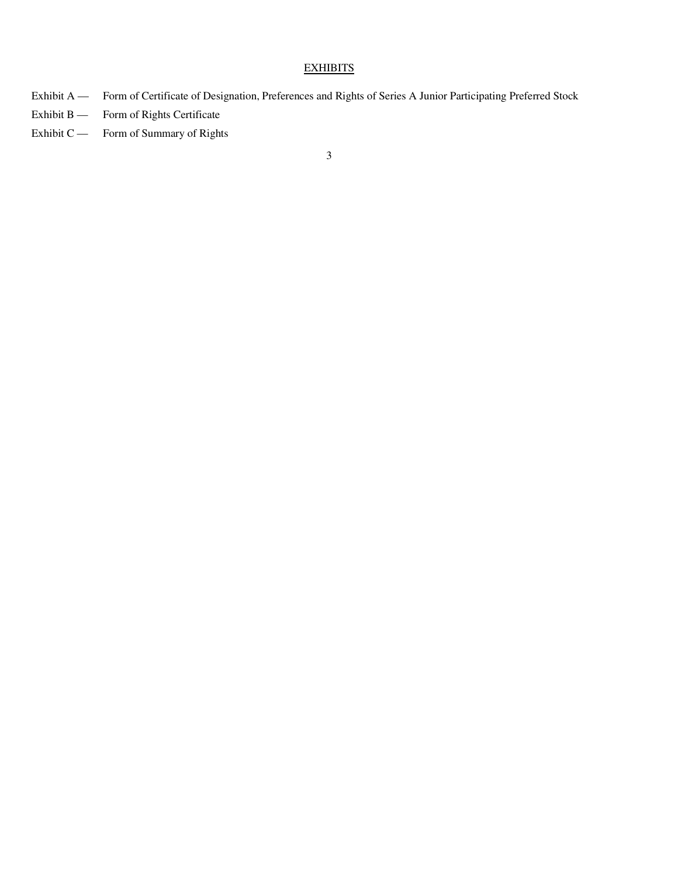## **EXHIBITS**

- Exhibit A Form of Certificate of Designation, Preferences and Rights of Series A Junior Participating Preferred Stock
- Exhibit B Form of Rights Certificate
- Exhibit C Form of Summary of Rights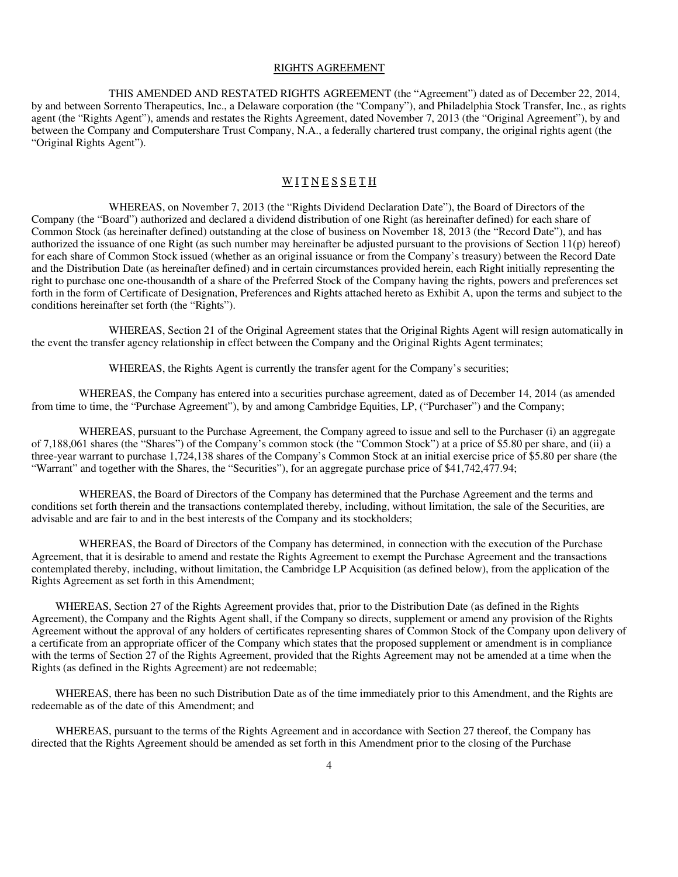#### RIGHTS AGREEMENT

THIS AMENDED AND RESTATED RIGHTS AGREEMENT (the "Agreement") dated as of December 22, 2014, by and between Sorrento Therapeutics, Inc., a Delaware corporation (the "Company"), and Philadelphia Stock Transfer, Inc., as rights agent (the "Rights Agent"), amends and restates the Rights Agreement, dated November 7, 2013 (the "Original Agreement"), by and between the Company and Computershare Trust Company, N.A., a federally chartered trust company, the original rights agent (the "Original Rights Agent").

#### WITNESSETH

WHEREAS, on November 7, 2013 (the "Rights Dividend Declaration Date"), the Board of Directors of the Company (the "Board") authorized and declared a dividend distribution of one Right (as hereinafter defined) for each share of Common Stock (as hereinafter defined) outstanding at the close of business on November 18, 2013 (the "Record Date"), and has authorized the issuance of one Right (as such number may hereinafter be adjusted pursuant to the provisions of Section 11(p) hereof) for each share of Common Stock issued (whether as an original issuance or from the Company's treasury) between the Record Date and the Distribution Date (as hereinafter defined) and in certain circumstances provided herein, each Right initially representing the right to purchase one one-thousandth of a share of the Preferred Stock of the Company having the rights, powers and preferences set forth in the form of Certificate of Designation, Preferences and Rights attached hereto as Exhibit A, upon the terms and subject to the conditions hereinafter set forth (the "Rights").

WHEREAS, Section 21 of the Original Agreement states that the Original Rights Agent will resign automatically in the event the transfer agency relationship in effect between the Company and the Original Rights Agent terminates;

WHEREAS, the Rights Agent is currently the transfer agent for the Company's securities;

WHEREAS, the Company has entered into a securities purchase agreement, dated as of December 14, 2014 (as amended from time to time, the "Purchase Agreement"), by and among Cambridge Equities, LP, ("Purchaser") and the Company;

WHEREAS, pursuant to the Purchase Agreement, the Company agreed to issue and sell to the Purchaser (i) an aggregate of 7,188,061 shares (the "Shares") of the Company's common stock (the "Common Stock") at a price of \$5.80 per share, and (ii) a three-year warrant to purchase 1,724,138 shares of the Company's Common Stock at an initial exercise price of \$5.80 per share (the "Warrant" and together with the Shares, the "Securities"), for an aggregate purchase price of \$41,742,477.94;

WHEREAS, the Board of Directors of the Company has determined that the Purchase Agreement and the terms and conditions set forth therein and the transactions contemplated thereby, including, without limitation, the sale of the Securities, are advisable and are fair to and in the best interests of the Company and its stockholders;

WHEREAS, the Board of Directors of the Company has determined, in connection with the execution of the Purchase Agreement, that it is desirable to amend and restate the Rights Agreement to exempt the Purchase Agreement and the transactions contemplated thereby, including, without limitation, the Cambridge LP Acquisition (as defined below), from the application of the Rights Agreement as set forth in this Amendment;

WHEREAS, Section 27 of the Rights Agreement provides that, prior to the Distribution Date (as defined in the Rights Agreement), the Company and the Rights Agent shall, if the Company so directs, supplement or amend any provision of the Rights Agreement without the approval of any holders of certificates representing shares of Common Stock of the Company upon delivery of a certificate from an appropriate officer of the Company which states that the proposed supplement or amendment is in compliance with the terms of Section 27 of the Rights Agreement, provided that the Rights Agreement may not be amended at a time when the Rights (as defined in the Rights Agreement) are not redeemable;

WHEREAS, there has been no such Distribution Date as of the time immediately prior to this Amendment, and the Rights are redeemable as of the date of this Amendment; and

WHEREAS, pursuant to the terms of the Rights Agreement and in accordance with Section 27 thereof, the Company has directed that the Rights Agreement should be amended as set forth in this Amendment prior to the closing of the Purchase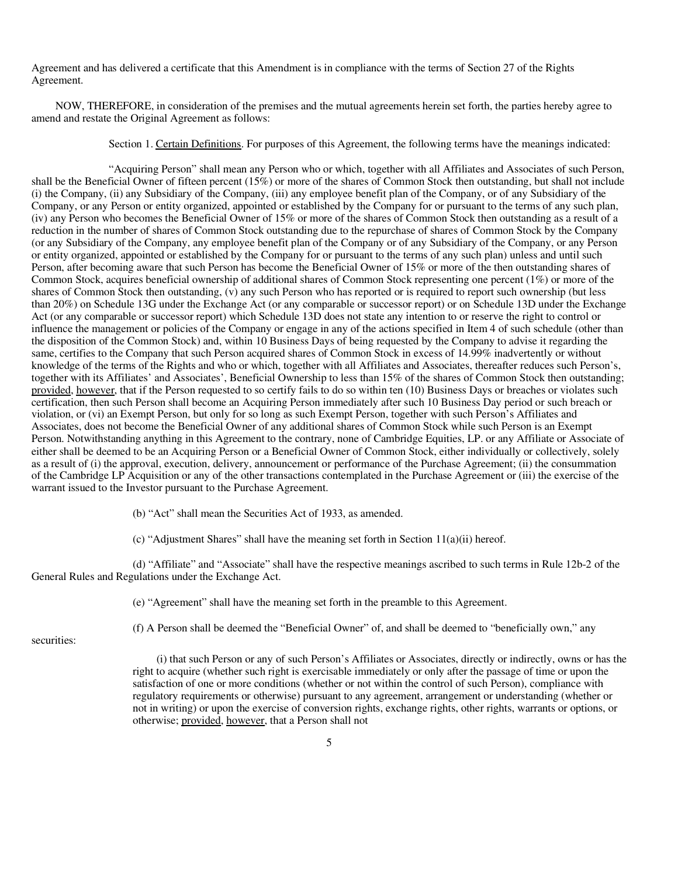Agreement and has delivered a certificate that this Amendment is in compliance with the terms of Section 27 of the Rights Agreement.

NOW, THEREFORE, in consideration of the premises and the mutual agreements herein set forth, the parties hereby agree to amend and restate the Original Agreement as follows:

Section 1. Certain Definitions. For purposes of this Agreement, the following terms have the meanings indicated:

"Acquiring Person" shall mean any Person who or which, together with all Affiliates and Associates of such Person, shall be the Beneficial Owner of fifteen percent (15%) or more of the shares of Common Stock then outstanding, but shall not include (i) the Company, (ii) any Subsidiary of the Company, (iii) any employee benefit plan of the Company, or of any Subsidiary of the Company, or any Person or entity organized, appointed or established by the Company for or pursuant to the terms of any such plan, (iv) any Person who becomes the Beneficial Owner of 15% or more of the shares of Common Stock then outstanding as a result of a reduction in the number of shares of Common Stock outstanding due to the repurchase of shares of Common Stock by the Company (or any Subsidiary of the Company, any employee benefit plan of the Company or of any Subsidiary of the Company, or any Person or entity organized, appointed or established by the Company for or pursuant to the terms of any such plan) unless and until such Person, after becoming aware that such Person has become the Beneficial Owner of 15% or more of the then outstanding shares of Common Stock, acquires beneficial ownership of additional shares of Common Stock representing one percent (1%) or more of the shares of Common Stock then outstanding, (v) any such Person who has reported or is required to report such ownership (but less than 20%) on Schedule 13G under the Exchange Act (or any comparable or successor report) or on Schedule 13D under the Exchange Act (or any comparable or successor report) which Schedule 13D does not state any intention to or reserve the right to control or influence the management or policies of the Company or engage in any of the actions specified in Item 4 of such schedule (other than the disposition of the Common Stock) and, within 10 Business Days of being requested by the Company to advise it regarding the same, certifies to the Company that such Person acquired shares of Common Stock in excess of 14.99% inadvertently or without knowledge of the terms of the Rights and who or which, together with all Affiliates and Associates, thereafter reduces such Person's, together with its Affiliates' and Associates', Beneficial Ownership to less than 15% of the shares of Common Stock then outstanding; provided, however, that if the Person requested to so certify fails to do so within ten (10) Business Days or breaches or violates such certification, then such Person shall become an Acquiring Person immediately after such 10 Business Day period or such breach or violation, or (vi) an Exempt Person, but only for so long as such Exempt Person, together with such Person's Affiliates and Associates, does not become the Beneficial Owner of any additional shares of Common Stock while such Person is an Exempt Person. Notwithstanding anything in this Agreement to the contrary, none of Cambridge Equities, LP. or any Affiliate or Associate of either shall be deemed to be an Acquiring Person or a Beneficial Owner of Common Stock, either individually or collectively, solely as a result of (i) the approval, execution, delivery, announcement or performance of the Purchase Agreement; (ii) the consummation of the Cambridge LP Acquisition or any of the other transactions contemplated in the Purchase Agreement or (iii) the exercise of the warrant issued to the Investor pursuant to the Purchase Agreement.

(b) "Act" shall mean the Securities Act of 1933, as amended.

(c) "Adjustment Shares" shall have the meaning set forth in Section 11(a)(ii) hereof.

(d) "Affiliate" and "Associate" shall have the respective meanings ascribed to such terms in Rule 12b-2 of the General Rules and Regulations under the Exchange Act.

(e) "Agreement" shall have the meaning set forth in the preamble to this Agreement.

securities:

(f) A Person shall be deemed the "Beneficial Owner" of, and shall be deemed to "beneficially own," any

(i) that such Person or any of such Person's Affiliates or Associates, directly or indirectly, owns or has the right to acquire (whether such right is exercisable immediately or only after the passage of time or upon the satisfaction of one or more conditions (whether or not within the control of such Person), compliance with regulatory requirements or otherwise) pursuant to any agreement, arrangement or understanding (whether or not in writing) or upon the exercise of conversion rights, exchange rights, other rights, warrants or options, or otherwise; provided, however, that a Person shall not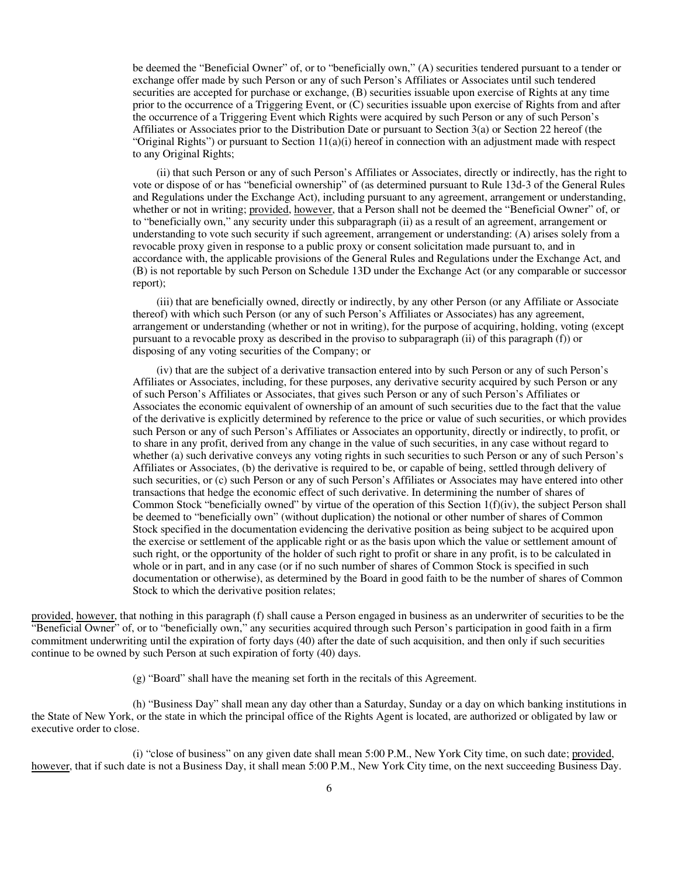be deemed the "Beneficial Owner" of, or to "beneficially own," (A) securities tendered pursuant to a tender or exchange offer made by such Person or any of such Person's Affiliates or Associates until such tendered securities are accepted for purchase or exchange, (B) securities issuable upon exercise of Rights at any time prior to the occurrence of a Triggering Event, or (C) securities issuable upon exercise of Rights from and after the occurrence of a Triggering Event which Rights were acquired by such Person or any of such Person's Affiliates or Associates prior to the Distribution Date or pursuant to Section 3(a) or Section 22 hereof (the "Original Rights") or pursuant to Section  $11(a)(i)$  hereof in connection with an adjustment made with respect to any Original Rights;

(ii) that such Person or any of such Person's Affiliates or Associates, directly or indirectly, has the right to vote or dispose of or has "beneficial ownership" of (as determined pursuant to Rule 13d-3 of the General Rules and Regulations under the Exchange Act), including pursuant to any agreement, arrangement or understanding, whether or not in writing; provided, however, that a Person shall not be deemed the "Beneficial Owner" of, or to "beneficially own," any security under this subparagraph (ii) as a result of an agreement, arrangement or understanding to vote such security if such agreement, arrangement or understanding: (A) arises solely from a revocable proxy given in response to a public proxy or consent solicitation made pursuant to, and in accordance with, the applicable provisions of the General Rules and Regulations under the Exchange Act, and (B) is not reportable by such Person on Schedule 13D under the Exchange Act (or any comparable or successor report);

(iii) that are beneficially owned, directly or indirectly, by any other Person (or any Affiliate or Associate thereof) with which such Person (or any of such Person's Affiliates or Associates) has any agreement, arrangement or understanding (whether or not in writing), for the purpose of acquiring, holding, voting (except pursuant to a revocable proxy as described in the proviso to subparagraph (ii) of this paragraph (f)) or disposing of any voting securities of the Company; or

(iv) that are the subject of a derivative transaction entered into by such Person or any of such Person's Affiliates or Associates, including, for these purposes, any derivative security acquired by such Person or any of such Person's Affiliates or Associates, that gives such Person or any of such Person's Affiliates or Associates the economic equivalent of ownership of an amount of such securities due to the fact that the value of the derivative is explicitly determined by reference to the price or value of such securities, or which provides such Person or any of such Person's Affiliates or Associates an opportunity, directly or indirectly, to profit, or to share in any profit, derived from any change in the value of such securities, in any case without regard to whether (a) such derivative conveys any voting rights in such securities to such Person or any of such Person's Affiliates or Associates, (b) the derivative is required to be, or capable of being, settled through delivery of such securities, or (c) such Person or any of such Person's Affiliates or Associates may have entered into other transactions that hedge the economic effect of such derivative. In determining the number of shares of Common Stock "beneficially owned" by virtue of the operation of this Section  $1(f)(iv)$ , the subject Person shall be deemed to "beneficially own" (without duplication) the notional or other number of shares of Common Stock specified in the documentation evidencing the derivative position as being subject to be acquired upon the exercise or settlement of the applicable right or as the basis upon which the value or settlement amount of such right, or the opportunity of the holder of such right to profit or share in any profit, is to be calculated in whole or in part, and in any case (or if no such number of shares of Common Stock is specified in such documentation or otherwise), as determined by the Board in good faith to be the number of shares of Common Stock to which the derivative position relates;

provided, however, that nothing in this paragraph (f) shall cause a Person engaged in business as an underwriter of securities to be the "Beneficial Owner" of, or to "beneficially own," any securities acquired through such Person's participation in good faith in a firm commitment underwriting until the expiration of forty days (40) after the date of such acquisition, and then only if such securities continue to be owned by such Person at such expiration of forty (40) days.

(g) "Board" shall have the meaning set forth in the recitals of this Agreement.

(h) "Business Day" shall mean any day other than a Saturday, Sunday or a day on which banking institutions in the State of New York, or the state in which the principal office of the Rights Agent is located, are authorized or obligated by law or executive order to close.

(i) "close of business" on any given date shall mean 5:00 P.M., New York City time, on such date; provided, however, that if such date is not a Business Day, it shall mean 5:00 P.M., New York City time, on the next succeeding Business Day.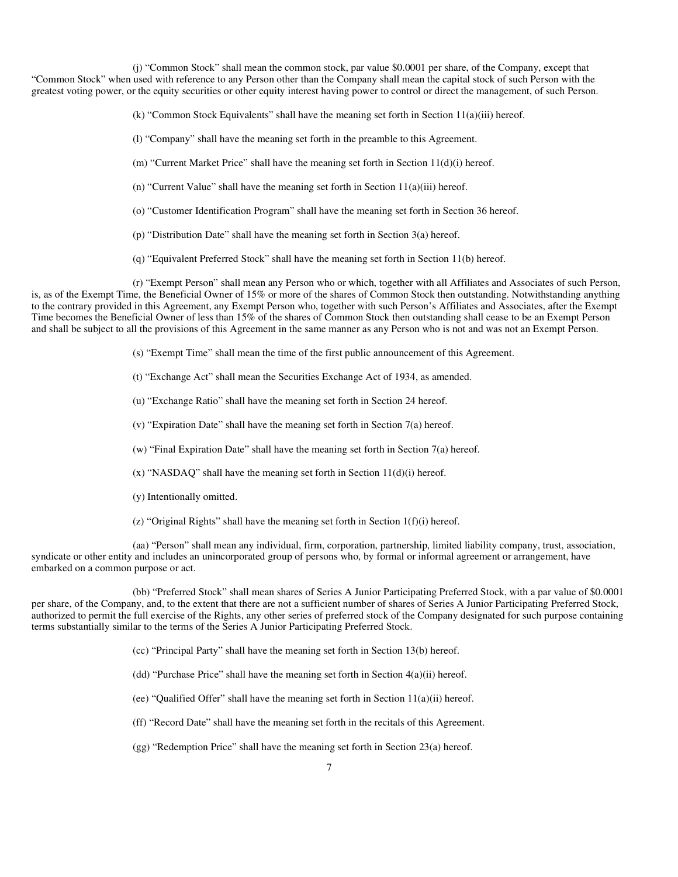(j) "Common Stock" shall mean the common stock, par value \$0.0001 per share, of the Company, except that "Common Stock" when used with reference to any Person other than the Company shall mean the capital stock of such Person with the greatest voting power, or the equity securities or other equity interest having power to control or direct the management, of such Person.

(k) "Common Stock Equivalents" shall have the meaning set forth in Section  $11(a)(iii)$  hereof.

- (l) "Company" shall have the meaning set forth in the preamble to this Agreement.
- (m) "Current Market Price" shall have the meaning set forth in Section 11(d)(i) hereof.
- (n) "Current Value" shall have the meaning set forth in Section  $11(a)(iii)$  hereof.
- (o) "Customer Identification Program" shall have the meaning set forth in Section 36 hereof.
- (p) "Distribution Date" shall have the meaning set forth in Section 3(a) hereof.
- (q) "Equivalent Preferred Stock" shall have the meaning set forth in Section 11(b) hereof.

(r) "Exempt Person" shall mean any Person who or which, together with all Affiliates and Associates of such Person, is, as of the Exempt Time, the Beneficial Owner of 15% or more of the shares of Common Stock then outstanding. Notwithstanding anything to the contrary provided in this Agreement, any Exempt Person who, together with such Person's Affiliates and Associates, after the Exempt Time becomes the Beneficial Owner of less than 15% of the shares of Common Stock then outstanding shall cease to be an Exempt Person and shall be subject to all the provisions of this Agreement in the same manner as any Person who is not and was not an Exempt Person.

(s) "Exempt Time" shall mean the time of the first public announcement of this Agreement.

- (t) "Exchange Act" shall mean the Securities Exchange Act of 1934, as amended.
- (u) "Exchange Ratio" shall have the meaning set forth in Section 24 hereof.
- (v) "Expiration Date" shall have the meaning set forth in Section 7(a) hereof.
- (w) "Final Expiration Date" shall have the meaning set forth in Section 7(a) hereof.
- $(x)$  "NASDAQ" shall have the meaning set forth in Section 11(d)(i) hereof.
- (y) Intentionally omitted.
- (z) "Original Rights" shall have the meaning set forth in Section  $1(f)(i)$  hereof.

(aa) "Person" shall mean any individual, firm, corporation, partnership, limited liability company, trust, association, syndicate or other entity and includes an unincorporated group of persons who, by formal or informal agreement or arrangement, have embarked on a common purpose or act.

(bb) "Preferred Stock" shall mean shares of Series A Junior Participating Preferred Stock, with a par value of \$0.0001 per share, of the Company, and, to the extent that there are not a sufficient number of shares of Series A Junior Participating Preferred Stock, authorized to permit the full exercise of the Rights, any other series of preferred stock of the Company designated for such purpose containing terms substantially similar to the terms of the Series A Junior Participating Preferred Stock.

- (cc) "Principal Party" shall have the meaning set forth in Section 13(b) hereof.
- (dd) "Purchase Price" shall have the meaning set forth in Section 4(a)(ii) hereof.
- (ee) "Qualified Offer" shall have the meaning set forth in Section  $11(a)(ii)$  hereof.
- (ff) "Record Date" shall have the meaning set forth in the recitals of this Agreement.
- (gg) "Redemption Price" shall have the meaning set forth in Section 23(a) hereof.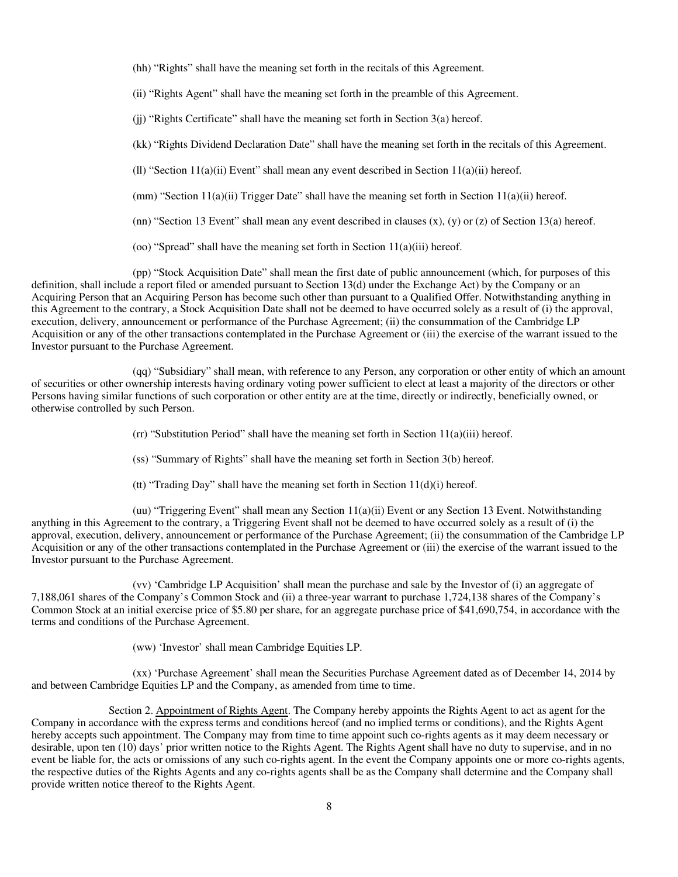(hh) "Rights" shall have the meaning set forth in the recitals of this Agreement.

(ii) "Rights Agent" shall have the meaning set forth in the preamble of this Agreement.

 $(i)$  "Rights Certificate" shall have the meaning set forth in Section 3(a) hereof.

(kk) "Rights Dividend Declaration Date" shall have the meaning set forth in the recitals of this Agreement.

(ll) "Section 11(a)(ii) Event" shall mean any event described in Section 11(a)(ii) hereof.

(mm) "Section  $11(a)(ii)$  Trigger Date" shall have the meaning set forth in Section  $11(a)(ii)$  hereof.

(nn) "Section 13 Event" shall mean any event described in clauses (x), (y) or (z) of Section 13(a) hereof.

(oo) "Spread" shall have the meaning set forth in Section 11(a)(iii) hereof.

(pp) "Stock Acquisition Date" shall mean the first date of public announcement (which, for purposes of this definition, shall include a report filed or amended pursuant to Section 13(d) under the Exchange Act) by the Company or an Acquiring Person that an Acquiring Person has become such other than pursuant to a Qualified Offer. Notwithstanding anything in this Agreement to the contrary, a Stock Acquisition Date shall not be deemed to have occurred solely as a result of (i) the approval, execution, delivery, announcement or performance of the Purchase Agreement; (ii) the consummation of the Cambridge LP Acquisition or any of the other transactions contemplated in the Purchase Agreement or (iii) the exercise of the warrant issued to the Investor pursuant to the Purchase Agreement.

(qq) "Subsidiary" shall mean, with reference to any Person, any corporation or other entity of which an amount of securities or other ownership interests having ordinary voting power sufficient to elect at least a majority of the directors or other Persons having similar functions of such corporation or other entity are at the time, directly or indirectly, beneficially owned, or otherwise controlled by such Person.

 $($ rr) "Substitution Period" shall have the meaning set forth in Section 11 $(a)$  $(iii)$  hereof.

(ss) "Summary of Rights" shall have the meaning set forth in Section 3(b) hereof.

(tt) "Trading Day" shall have the meaning set forth in Section  $11(d)(i)$  hereof.

(uu) "Triggering Event" shall mean any Section 11(a)(ii) Event or any Section 13 Event. Notwithstanding anything in this Agreement to the contrary, a Triggering Event shall not be deemed to have occurred solely as a result of (i) the approval, execution, delivery, announcement or performance of the Purchase Agreement; (ii) the consummation of the Cambridge LP Acquisition or any of the other transactions contemplated in the Purchase Agreement or (iii) the exercise of the warrant issued to the Investor pursuant to the Purchase Agreement.

(vv) 'Cambridge LP Acquisition' shall mean the purchase and sale by the Investor of (i) an aggregate of 7,188,061 shares of the Company's Common Stock and (ii) a three-year warrant to purchase 1,724,138 shares of the Company's Common Stock at an initial exercise price of \$5.80 per share, for an aggregate purchase price of \$41,690,754, in accordance with the terms and conditions of the Purchase Agreement.

(ww) 'Investor' shall mean Cambridge Equities LP.

(xx) 'Purchase Agreement' shall mean the Securities Purchase Agreement dated as of December 14, 2014 by and between Cambridge Equities LP and the Company, as amended from time to time.

Section 2. Appointment of Rights Agent. The Company hereby appoints the Rights Agent to act as agent for the Company in accordance with the express terms and conditions hereof (and no implied terms or conditions), and the Rights Agent hereby accepts such appointment. The Company may from time to time appoint such co-rights agents as it may deem necessary or desirable, upon ten (10) days' prior written notice to the Rights Agent. The Rights Agent shall have no duty to supervise, and in no event be liable for, the acts or omissions of any such co-rights agent. In the event the Company appoints one or more co-rights agents, the respective duties of the Rights Agents and any co-rights agents shall be as the Company shall determine and the Company shall provide written notice thereof to the Rights Agent.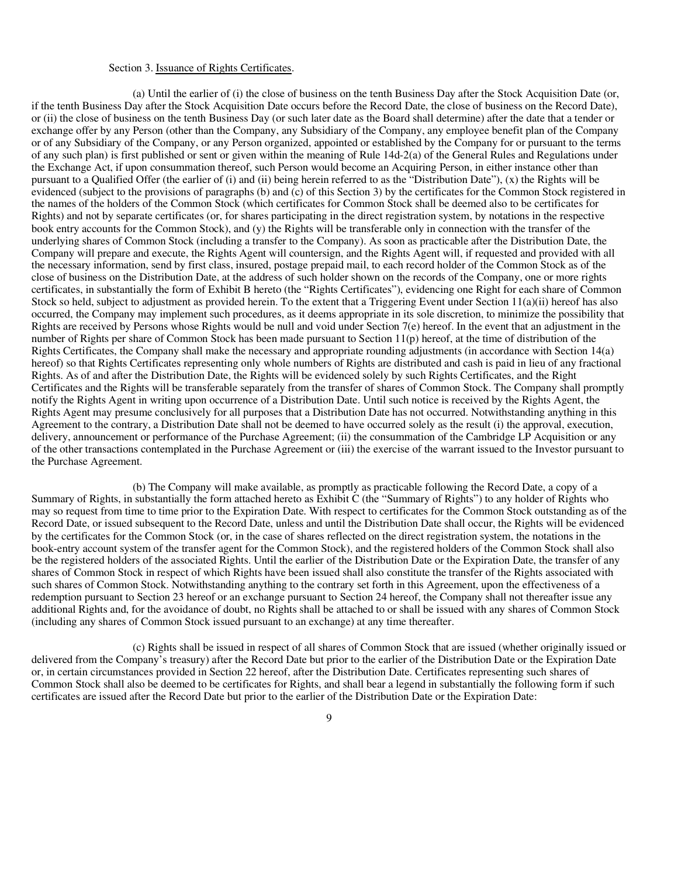#### Section 3. Issuance of Rights Certificates.

(a) Until the earlier of (i) the close of business on the tenth Business Day after the Stock Acquisition Date (or, if the tenth Business Day after the Stock Acquisition Date occurs before the Record Date, the close of business on the Record Date), or (ii) the close of business on the tenth Business Day (or such later date as the Board shall determine) after the date that a tender or exchange offer by any Person (other than the Company, any Subsidiary of the Company, any employee benefit plan of the Company or of any Subsidiary of the Company, or any Person organized, appointed or established by the Company for or pursuant to the terms of any such plan) is first published or sent or given within the meaning of Rule 14d-2(a) of the General Rules and Regulations under the Exchange Act, if upon consummation thereof, such Person would become an Acquiring Person, in either instance other than pursuant to a Qualified Offer (the earlier of (i) and (ii) being herein referred to as the "Distribution Date"), (x) the Rights will be evidenced (subject to the provisions of paragraphs (b) and (c) of this Section 3) by the certificates for the Common Stock registered in the names of the holders of the Common Stock (which certificates for Common Stock shall be deemed also to be certificates for Rights) and not by separate certificates (or, for shares participating in the direct registration system, by notations in the respective book entry accounts for the Common Stock), and (y) the Rights will be transferable only in connection with the transfer of the underlying shares of Common Stock (including a transfer to the Company). As soon as practicable after the Distribution Date, the Company will prepare and execute, the Rights Agent will countersign, and the Rights Agent will, if requested and provided with all the necessary information, send by first class, insured, postage prepaid mail, to each record holder of the Common Stock as of the close of business on the Distribution Date, at the address of such holder shown on the records of the Company, one or more rights certificates, in substantially the form of Exhibit B hereto (the "Rights Certificates"), evidencing one Right for each share of Common Stock so held, subject to adjustment as provided herein. To the extent that a Triggering Event under Section  $11(a)(ii)$  hereof has also occurred, the Company may implement such procedures, as it deems appropriate in its sole discretion, to minimize the possibility that Rights are received by Persons whose Rights would be null and void under Section 7(e) hereof. In the event that an adjustment in the number of Rights per share of Common Stock has been made pursuant to Section  $11(p)$  hereof, at the time of distribution of the Rights Certificates, the Company shall make the necessary and appropriate rounding adjustments (in accordance with Section 14(a) hereof) so that Rights Certificates representing only whole numbers of Rights are distributed and cash is paid in lieu of any fractional Rights. As of and after the Distribution Date, the Rights will be evidenced solely by such Rights Certificates, and the Right Certificates and the Rights will be transferable separately from the transfer of shares of Common Stock. The Company shall promptly notify the Rights Agent in writing upon occurrence of a Distribution Date. Until such notice is received by the Rights Agent, the Rights Agent may presume conclusively for all purposes that a Distribution Date has not occurred. Notwithstanding anything in this Agreement to the contrary, a Distribution Date shall not be deemed to have occurred solely as the result (i) the approval, execution, delivery, announcement or performance of the Purchase Agreement; (ii) the consummation of the Cambridge LP Acquisition or any of the other transactions contemplated in the Purchase Agreement or (iii) the exercise of the warrant issued to the Investor pursuant to the Purchase Agreement.

(b) The Company will make available, as promptly as practicable following the Record Date, a copy of a Summary of Rights, in substantially the form attached hereto as Exhibit C (the "Summary of Rights") to any holder of Rights who may so request from time to time prior to the Expiration Date. With respect to certificates for the Common Stock outstanding as of the Record Date, or issued subsequent to the Record Date, unless and until the Distribution Date shall occur, the Rights will be evidenced by the certificates for the Common Stock (or, in the case of shares reflected on the direct registration system, the notations in the book-entry account system of the transfer agent for the Common Stock), and the registered holders of the Common Stock shall also be the registered holders of the associated Rights. Until the earlier of the Distribution Date or the Expiration Date, the transfer of any shares of Common Stock in respect of which Rights have been issued shall also constitute the transfer of the Rights associated with such shares of Common Stock. Notwithstanding anything to the contrary set forth in this Agreement, upon the effectiveness of a redemption pursuant to Section 23 hereof or an exchange pursuant to Section 24 hereof, the Company shall not thereafter issue any additional Rights and, for the avoidance of doubt, no Rights shall be attached to or shall be issued with any shares of Common Stock (including any shares of Common Stock issued pursuant to an exchange) at any time thereafter.

(c) Rights shall be issued in respect of all shares of Common Stock that are issued (whether originally issued or delivered from the Company's treasury) after the Record Date but prior to the earlier of the Distribution Date or the Expiration Date or, in certain circumstances provided in Section 22 hereof, after the Distribution Date. Certificates representing such shares of Common Stock shall also be deemed to be certificates for Rights, and shall bear a legend in substantially the following form if such certificates are issued after the Record Date but prior to the earlier of the Distribution Date or the Expiration Date: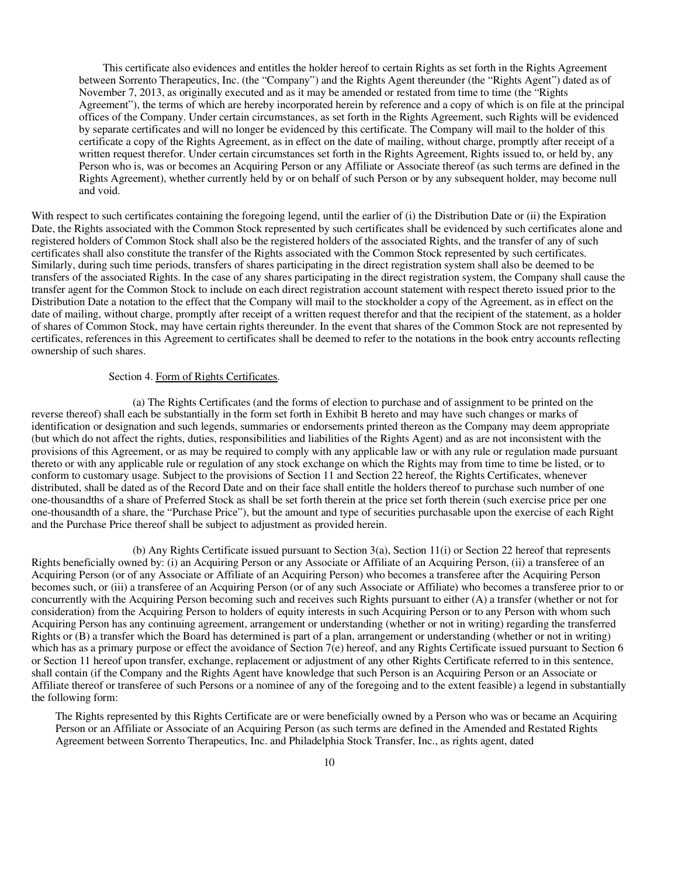This certificate also evidences and entitles the holder hereof to certain Rights as set forth in the Rights Agreement between Sorrento Therapeutics, Inc. (the "Company") and the Rights Agent thereunder (the "Rights Agent") dated as of November 7, 2013, as originally executed and as it may be amended or restated from time to time (the "Rights Agreement"), the terms of which are hereby incorporated herein by reference and a copy of which is on file at the principal offices of the Company. Under certain circumstances, as set forth in the Rights Agreement, such Rights will be evidenced by separate certificates and will no longer be evidenced by this certificate. The Company will mail to the holder of this certificate a copy of the Rights Agreement, as in effect on the date of mailing, without charge, promptly after receipt of a written request therefor. Under certain circumstances set forth in the Rights Agreement, Rights issued to, or held by, any Person who is, was or becomes an Acquiring Person or any Affiliate or Associate thereof (as such terms are defined in the Rights Agreement), whether currently held by or on behalf of such Person or by any subsequent holder, may become null and void.

With respect to such certificates containing the foregoing legend, until the earlier of (i) the Distribution Date or (ii) the Expiration Date, the Rights associated with the Common Stock represented by such certificates shall be evidenced by such certificates alone and registered holders of Common Stock shall also be the registered holders of the associated Rights, and the transfer of any of such certificates shall also constitute the transfer of the Rights associated with the Common Stock represented by such certificates. Similarly, during such time periods, transfers of shares participating in the direct registration system shall also be deemed to be transfers of the associated Rights. In the case of any shares participating in the direct registration system, the Company shall cause the transfer agent for the Common Stock to include on each direct registration account statement with respect thereto issued prior to the Distribution Date a notation to the effect that the Company will mail to the stockholder a copy of the Agreement, as in effect on the date of mailing, without charge, promptly after receipt of a written request therefor and that the recipient of the statement, as a holder of shares of Common Stock, may have certain rights thereunder. In the event that shares of the Common Stock are not represented by certificates, references in this Agreement to certificates shall be deemed to refer to the notations in the book entry accounts reflecting ownership of such shares.

#### Section 4. Form of Rights Certificates.

(a) The Rights Certificates (and the forms of election to purchase and of assignment to be printed on the reverse thereof) shall each be substantially in the form set forth in Exhibit B hereto and may have such changes or marks of identification or designation and such legends, summaries or endorsements printed thereon as the Company may deem appropriate (but which do not affect the rights, duties, responsibilities and liabilities of the Rights Agent) and as are not inconsistent with the provisions of this Agreement, or as may be required to comply with any applicable law or with any rule or regulation made pursuant thereto or with any applicable rule or regulation of any stock exchange on which the Rights may from time to time be listed, or to conform to customary usage. Subject to the provisions of Section 11 and Section 22 hereof, the Rights Certificates, whenever distributed, shall be dated as of the Record Date and on their face shall entitle the holders thereof to purchase such number of one one-thousandths of a share of Preferred Stock as shall be set forth therein at the price set forth therein (such exercise price per one one-thousandth of a share, the "Purchase Price"), but the amount and type of securities purchasable upon the exercise of each Right and the Purchase Price thereof shall be subject to adjustment as provided herein.

(b) Any Rights Certificate issued pursuant to Section 3(a), Section 11(i) or Section 22 hereof that represents Rights beneficially owned by: (i) an Acquiring Person or any Associate or Affiliate of an Acquiring Person, (ii) a transferee of an Acquiring Person (or of any Associate or Affiliate of an Acquiring Person) who becomes a transferee after the Acquiring Person becomes such, or (iii) a transferee of an Acquiring Person (or of any such Associate or Affiliate) who becomes a transferee prior to or concurrently with the Acquiring Person becoming such and receives such Rights pursuant to either (A) a transfer (whether or not for consideration) from the Acquiring Person to holders of equity interests in such Acquiring Person or to any Person with whom such Acquiring Person has any continuing agreement, arrangement or understanding (whether or not in writing) regarding the transferred Rights or (B) a transfer which the Board has determined is part of a plan, arrangement or understanding (whether or not in writing) which has as a primary purpose or effect the avoidance of Section 7(e) hereof, and any Rights Certificate issued pursuant to Section 6 or Section 11 hereof upon transfer, exchange, replacement or adjustment of any other Rights Certificate referred to in this sentence, shall contain (if the Company and the Rights Agent have knowledge that such Person is an Acquiring Person or an Associate or Affiliate thereof or transferee of such Persons or a nominee of any of the foregoing and to the extent feasible) a legend in substantially the following form:

The Rights represented by this Rights Certificate are or were beneficially owned by a Person who was or became an Acquiring Person or an Affiliate or Associate of an Acquiring Person (as such terms are defined in the Amended and Restated Rights Agreement between Sorrento Therapeutics, Inc. and Philadelphia Stock Transfer, Inc., as rights agent, dated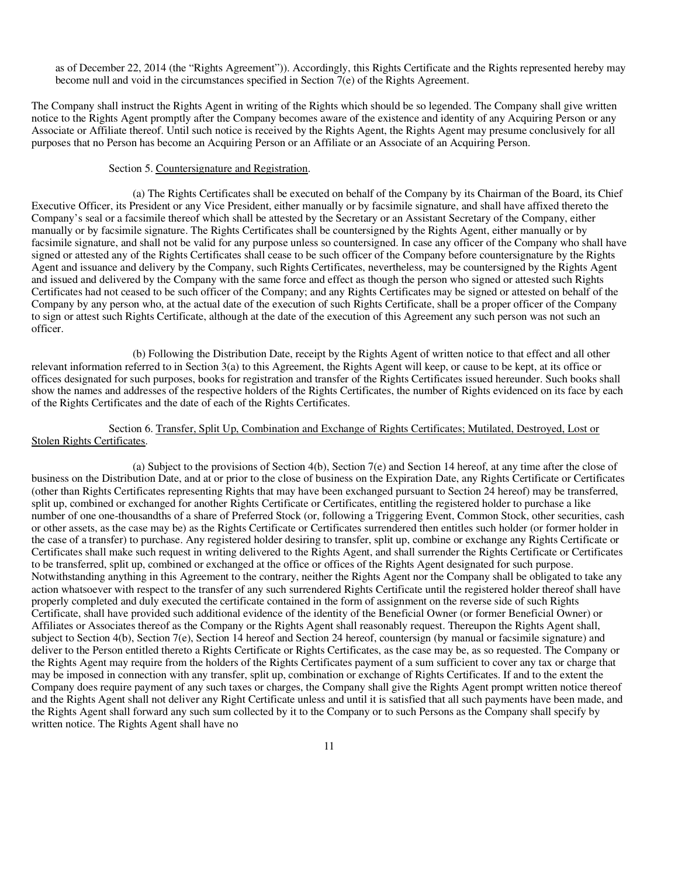as of December 22, 2014 (the "Rights Agreement")). Accordingly, this Rights Certificate and the Rights represented hereby may become null and void in the circumstances specified in Section 7(e) of the Rights Agreement.

The Company shall instruct the Rights Agent in writing of the Rights which should be so legended. The Company shall give written notice to the Rights Agent promptly after the Company becomes aware of the existence and identity of any Acquiring Person or any Associate or Affiliate thereof. Until such notice is received by the Rights Agent, the Rights Agent may presume conclusively for all purposes that no Person has become an Acquiring Person or an Affiliate or an Associate of an Acquiring Person.

#### Section 5. Countersignature and Registration.

(a) The Rights Certificates shall be executed on behalf of the Company by its Chairman of the Board, its Chief Executive Officer, its President or any Vice President, either manually or by facsimile signature, and shall have affixed thereto the Company's seal or a facsimile thereof which shall be attested by the Secretary or an Assistant Secretary of the Company, either manually or by facsimile signature. The Rights Certificates shall be countersigned by the Rights Agent, either manually or by facsimile signature, and shall not be valid for any purpose unless so countersigned. In case any officer of the Company who shall have signed or attested any of the Rights Certificates shall cease to be such officer of the Company before countersignature by the Rights Agent and issuance and delivery by the Company, such Rights Certificates, nevertheless, may be countersigned by the Rights Agent and issued and delivered by the Company with the same force and effect as though the person who signed or attested such Rights Certificates had not ceased to be such officer of the Company; and any Rights Certificates may be signed or attested on behalf of the Company by any person who, at the actual date of the execution of such Rights Certificate, shall be a proper officer of the Company to sign or attest such Rights Certificate, although at the date of the execution of this Agreement any such person was not such an officer.

(b) Following the Distribution Date, receipt by the Rights Agent of written notice to that effect and all other relevant information referred to in Section 3(a) to this Agreement, the Rights Agent will keep, or cause to be kept, at its office or offices designated for such purposes, books for registration and transfer of the Rights Certificates issued hereunder. Such books shall show the names and addresses of the respective holders of the Rights Certificates, the number of Rights evidenced on its face by each of the Rights Certificates and the date of each of the Rights Certificates.

#### Section 6. Transfer, Split Up, Combination and Exchange of Rights Certificates; Mutilated, Destroyed, Lost or Stolen Rights Certificates.

(a) Subject to the provisions of Section 4(b), Section 7(e) and Section 14 hereof, at any time after the close of business on the Distribution Date, and at or prior to the close of business on the Expiration Date, any Rights Certificate or Certificates (other than Rights Certificates representing Rights that may have been exchanged pursuant to Section 24 hereof) may be transferred, split up, combined or exchanged for another Rights Certificate or Certificates, entitling the registered holder to purchase a like number of one one-thousandths of a share of Preferred Stock (or, following a Triggering Event, Common Stock, other securities, cash or other assets, as the case may be) as the Rights Certificate or Certificates surrendered then entitles such holder (or former holder in the case of a transfer) to purchase. Any registered holder desiring to transfer, split up, combine or exchange any Rights Certificate or Certificates shall make such request in writing delivered to the Rights Agent, and shall surrender the Rights Certificate or Certificates to be transferred, split up, combined or exchanged at the office or offices of the Rights Agent designated for such purpose. Notwithstanding anything in this Agreement to the contrary, neither the Rights Agent nor the Company shall be obligated to take any action whatsoever with respect to the transfer of any such surrendered Rights Certificate until the registered holder thereof shall have properly completed and duly executed the certificate contained in the form of assignment on the reverse side of such Rights Certificate, shall have provided such additional evidence of the identity of the Beneficial Owner (or former Beneficial Owner) or Affiliates or Associates thereof as the Company or the Rights Agent shall reasonably request. Thereupon the Rights Agent shall, subject to Section 4(b), Section 7(e), Section 14 hereof and Section 24 hereof, countersign (by manual or facsimile signature) and deliver to the Person entitled thereto a Rights Certificate or Rights Certificates, as the case may be, as so requested. The Company or the Rights Agent may require from the holders of the Rights Certificates payment of a sum sufficient to cover any tax or charge that may be imposed in connection with any transfer, split up, combination or exchange of Rights Certificates. If and to the extent the Company does require payment of any such taxes or charges, the Company shall give the Rights Agent prompt written notice thereof and the Rights Agent shall not deliver any Right Certificate unless and until it is satisfied that all such payments have been made, and the Rights Agent shall forward any such sum collected by it to the Company or to such Persons as the Company shall specify by written notice. The Rights Agent shall have no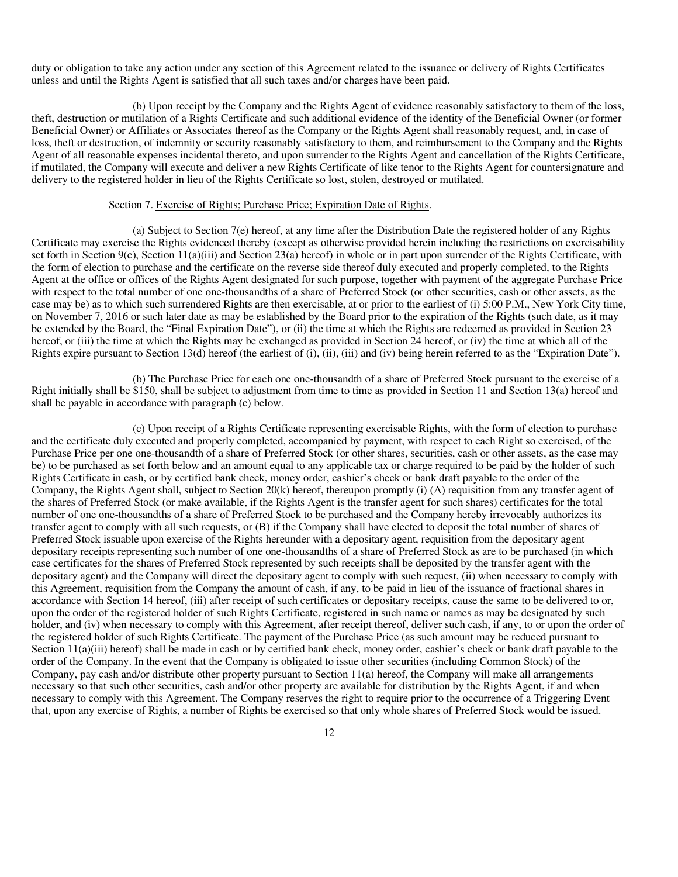duty or obligation to take any action under any section of this Agreement related to the issuance or delivery of Rights Certificates unless and until the Rights Agent is satisfied that all such taxes and/or charges have been paid.

(b) Upon receipt by the Company and the Rights Agent of evidence reasonably satisfactory to them of the loss, theft, destruction or mutilation of a Rights Certificate and such additional evidence of the identity of the Beneficial Owner (or former Beneficial Owner) or Affiliates or Associates thereof as the Company or the Rights Agent shall reasonably request, and, in case of loss, theft or destruction, of indemnity or security reasonably satisfactory to them, and reimbursement to the Company and the Rights Agent of all reasonable expenses incidental thereto, and upon surrender to the Rights Agent and cancellation of the Rights Certificate, if mutilated, the Company will execute and deliver a new Rights Certificate of like tenor to the Rights Agent for countersignature and delivery to the registered holder in lieu of the Rights Certificate so lost, stolen, destroyed or mutilated.

#### Section 7. Exercise of Rights; Purchase Price; Expiration Date of Rights.

(a) Subject to Section 7(e) hereof, at any time after the Distribution Date the registered holder of any Rights Certificate may exercise the Rights evidenced thereby (except as otherwise provided herein including the restrictions on exercisability set forth in Section 9(c), Section 11(a)(iii) and Section 23(a) hereof) in whole or in part upon surrender of the Rights Certificate, with the form of election to purchase and the certificate on the reverse side thereof duly executed and properly completed, to the Rights Agent at the office or offices of the Rights Agent designated for such purpose, together with payment of the aggregate Purchase Price with respect to the total number of one one-thousandths of a share of Preferred Stock (or other securities, cash or other assets, as the case may be) as to which such surrendered Rights are then exercisable, at or prior to the earliest of (i) 5:00 P.M., New York City time, on November 7, 2016 or such later date as may be established by the Board prior to the expiration of the Rights (such date, as it may be extended by the Board, the "Final Expiration Date"), or (ii) the time at which the Rights are redeemed as provided in Section 23 hereof, or (iii) the time at which the Rights may be exchanged as provided in Section 24 hereof, or (iv) the time at which all of the Rights expire pursuant to Section 13(d) hereof (the earliest of (i), (ii), (iii) and (iv) being herein referred to as the "Expiration Date").

(b) The Purchase Price for each one one-thousandth of a share of Preferred Stock pursuant to the exercise of a Right initially shall be \$150, shall be subject to adjustment from time to time as provided in Section 11 and Section 13(a) hereof and shall be payable in accordance with paragraph (c) below.

(c) Upon receipt of a Rights Certificate representing exercisable Rights, with the form of election to purchase and the certificate duly executed and properly completed, accompanied by payment, with respect to each Right so exercised, of the Purchase Price per one one-thousandth of a share of Preferred Stock (or other shares, securities, cash or other assets, as the case may be) to be purchased as set forth below and an amount equal to any applicable tax or charge required to be paid by the holder of such Rights Certificate in cash, or by certified bank check, money order, cashier's check or bank draft payable to the order of the Company, the Rights Agent shall, subject to Section 20(k) hereof, thereupon promptly (i) (A) requisition from any transfer agent of the shares of Preferred Stock (or make available, if the Rights Agent is the transfer agent for such shares) certificates for the total number of one one-thousandths of a share of Preferred Stock to be purchased and the Company hereby irrevocably authorizes its transfer agent to comply with all such requests, or (B) if the Company shall have elected to deposit the total number of shares of Preferred Stock issuable upon exercise of the Rights hereunder with a depositary agent, requisition from the depositary agent depositary receipts representing such number of one one-thousandths of a share of Preferred Stock as are to be purchased (in which case certificates for the shares of Preferred Stock represented by such receipts shall be deposited by the transfer agent with the depositary agent) and the Company will direct the depositary agent to comply with such request, (ii) when necessary to comply with this Agreement, requisition from the Company the amount of cash, if any, to be paid in lieu of the issuance of fractional shares in accordance with Section 14 hereof, (iii) after receipt of such certificates or depositary receipts, cause the same to be delivered to or, upon the order of the registered holder of such Rights Certificate, registered in such name or names as may be designated by such holder, and (iv) when necessary to comply with this Agreement, after receipt thereof, deliver such cash, if any, to or upon the order of the registered holder of such Rights Certificate. The payment of the Purchase Price (as such amount may be reduced pursuant to Section 11(a)(iii) hereof) shall be made in cash or by certified bank check, money order, cashier's check or bank draft payable to the order of the Company. In the event that the Company is obligated to issue other securities (including Common Stock) of the Company, pay cash and/or distribute other property pursuant to Section 11(a) hereof, the Company will make all arrangements necessary so that such other securities, cash and/or other property are available for distribution by the Rights Agent, if and when necessary to comply with this Agreement. The Company reserves the right to require prior to the occurrence of a Triggering Event that, upon any exercise of Rights, a number of Rights be exercised so that only whole shares of Preferred Stock would be issued.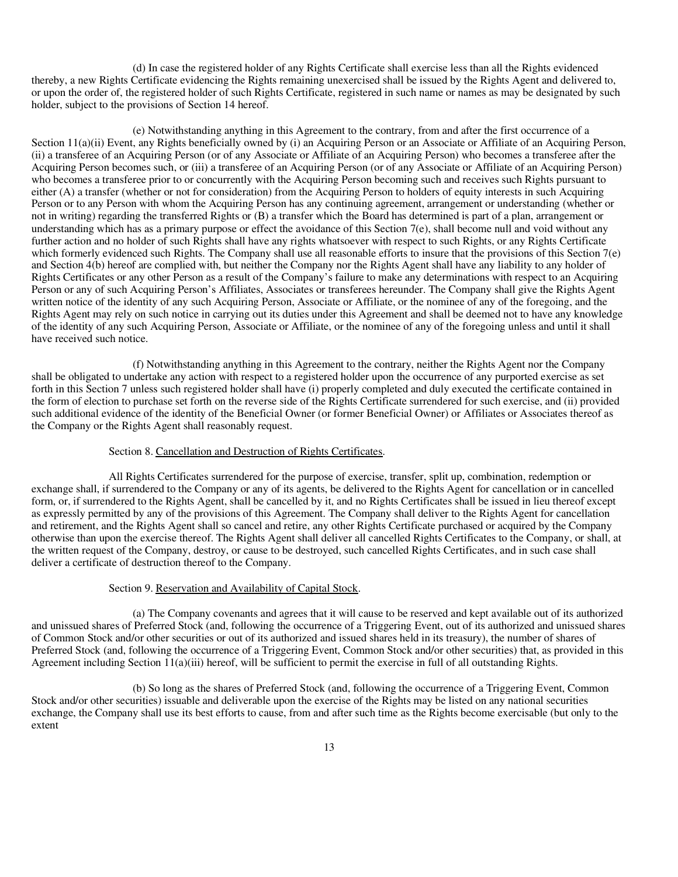(d) In case the registered holder of any Rights Certificate shall exercise less than all the Rights evidenced thereby, a new Rights Certificate evidencing the Rights remaining unexercised shall be issued by the Rights Agent and delivered to, or upon the order of, the registered holder of such Rights Certificate, registered in such name or names as may be designated by such holder, subject to the provisions of Section 14 hereof.

(e) Notwithstanding anything in this Agreement to the contrary, from and after the first occurrence of a Section 11(a)(ii) Event, any Rights beneficially owned by (i) an Acquiring Person or an Associate or Affiliate of an Acquiring Person, (ii) a transferee of an Acquiring Person (or of any Associate or Affiliate of an Acquiring Person) who becomes a transferee after the Acquiring Person becomes such, or (iii) a transferee of an Acquiring Person (or of any Associate or Affiliate of an Acquiring Person) who becomes a transferee prior to or concurrently with the Acquiring Person becoming such and receives such Rights pursuant to either (A) a transfer (whether or not for consideration) from the Acquiring Person to holders of equity interests in such Acquiring Person or to any Person with whom the Acquiring Person has any continuing agreement, arrangement or understanding (whether or not in writing) regarding the transferred Rights or (B) a transfer which the Board has determined is part of a plan, arrangement or understanding which has as a primary purpose or effect the avoidance of this Section 7(e), shall become null and void without any further action and no holder of such Rights shall have any rights whatsoever with respect to such Rights, or any Rights Certificate which formerly evidenced such Rights. The Company shall use all reasonable efforts to insure that the provisions of this Section 7(e) and Section 4(b) hereof are complied with, but neither the Company nor the Rights Agent shall have any liability to any holder of Rights Certificates or any other Person as a result of the Company's failure to make any determinations with respect to an Acquiring Person or any of such Acquiring Person's Affiliates, Associates or transferees hereunder. The Company shall give the Rights Agent written notice of the identity of any such Acquiring Person, Associate or Affiliate, or the nominee of any of the foregoing, and the Rights Agent may rely on such notice in carrying out its duties under this Agreement and shall be deemed not to have any knowledge of the identity of any such Acquiring Person, Associate or Affiliate, or the nominee of any of the foregoing unless and until it shall have received such notice.

(f) Notwithstanding anything in this Agreement to the contrary, neither the Rights Agent nor the Company shall be obligated to undertake any action with respect to a registered holder upon the occurrence of any purported exercise as set forth in this Section 7 unless such registered holder shall have (i) properly completed and duly executed the certificate contained in the form of election to purchase set forth on the reverse side of the Rights Certificate surrendered for such exercise, and (ii) provided such additional evidence of the identity of the Beneficial Owner (or former Beneficial Owner) or Affiliates or Associates thereof as the Company or the Rights Agent shall reasonably request.

#### Section 8. Cancellation and Destruction of Rights Certificates.

All Rights Certificates surrendered for the purpose of exercise, transfer, split up, combination, redemption or exchange shall, if surrendered to the Company or any of its agents, be delivered to the Rights Agent for cancellation or in cancelled form, or, if surrendered to the Rights Agent, shall be cancelled by it, and no Rights Certificates shall be issued in lieu thereof except as expressly permitted by any of the provisions of this Agreement. The Company shall deliver to the Rights Agent for cancellation and retirement, and the Rights Agent shall so cancel and retire, any other Rights Certificate purchased or acquired by the Company otherwise than upon the exercise thereof. The Rights Agent shall deliver all cancelled Rights Certificates to the Company, or shall, at the written request of the Company, destroy, or cause to be destroyed, such cancelled Rights Certificates, and in such case shall deliver a certificate of destruction thereof to the Company.

#### Section 9. Reservation and Availability of Capital Stock.

(a) The Company covenants and agrees that it will cause to be reserved and kept available out of its authorized and unissued shares of Preferred Stock (and, following the occurrence of a Triggering Event, out of its authorized and unissued shares of Common Stock and/or other securities or out of its authorized and issued shares held in its treasury), the number of shares of Preferred Stock (and, following the occurrence of a Triggering Event, Common Stock and/or other securities) that, as provided in this Agreement including Section 11(a)(iii) hereof, will be sufficient to permit the exercise in full of all outstanding Rights.

(b) So long as the shares of Preferred Stock (and, following the occurrence of a Triggering Event, Common Stock and/or other securities) issuable and deliverable upon the exercise of the Rights may be listed on any national securities exchange, the Company shall use its best efforts to cause, from and after such time as the Rights become exercisable (but only to the extent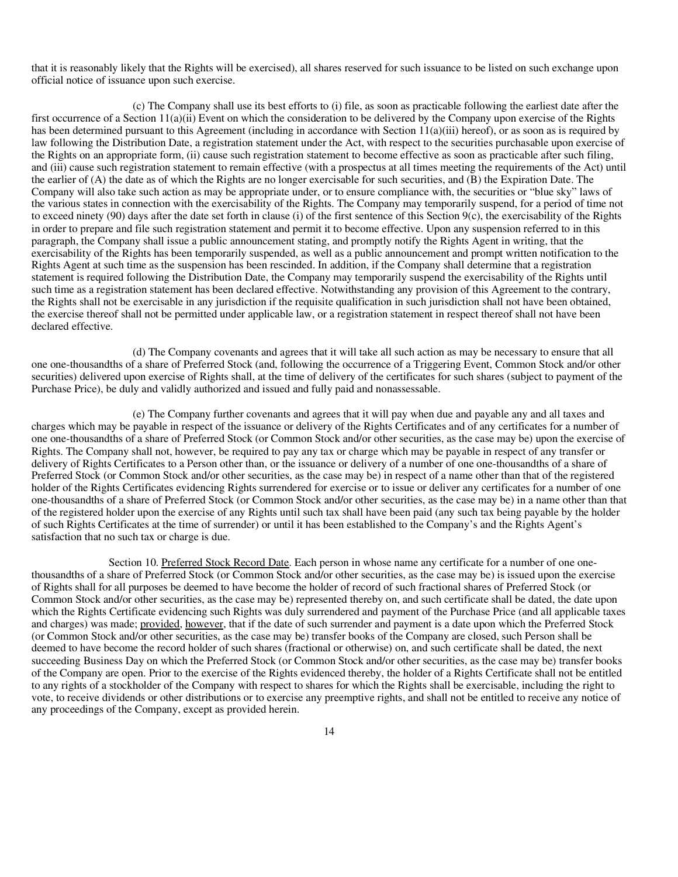that it is reasonably likely that the Rights will be exercised), all shares reserved for such issuance to be listed on such exchange upon official notice of issuance upon such exercise.

(c) The Company shall use its best efforts to (i) file, as soon as practicable following the earliest date after the first occurrence of a Section 11(a)(ii) Event on which the consideration to be delivered by the Company upon exercise of the Rights has been determined pursuant to this Agreement (including in accordance with Section 11(a)(iii) hereof), or as soon as is required by law following the Distribution Date, a registration statement under the Act, with respect to the securities purchasable upon exercise of the Rights on an appropriate form, (ii) cause such registration statement to become effective as soon as practicable after such filing, and (iii) cause such registration statement to remain effective (with a prospectus at all times meeting the requirements of the Act) until the earlier of (A) the date as of which the Rights are no longer exercisable for such securities, and (B) the Expiration Date. The Company will also take such action as may be appropriate under, or to ensure compliance with, the securities or "blue sky" laws of the various states in connection with the exercisability of the Rights. The Company may temporarily suspend, for a period of time not to exceed ninety (90) days after the date set forth in clause (i) of the first sentence of this Section 9(c), the exercisability of the Rights in order to prepare and file such registration statement and permit it to become effective. Upon any suspension referred to in this paragraph, the Company shall issue a public announcement stating, and promptly notify the Rights Agent in writing, that the exercisability of the Rights has been temporarily suspended, as well as a public announcement and prompt written notification to the Rights Agent at such time as the suspension has been rescinded. In addition, if the Company shall determine that a registration statement is required following the Distribution Date, the Company may temporarily suspend the exercisability of the Rights until such time as a registration statement has been declared effective. Notwithstanding any provision of this Agreement to the contrary, the Rights shall not be exercisable in any jurisdiction if the requisite qualification in such jurisdiction shall not have been obtained, the exercise thereof shall not be permitted under applicable law, or a registration statement in respect thereof shall not have been declared effective.

(d) The Company covenants and agrees that it will take all such action as may be necessary to ensure that all one one-thousandths of a share of Preferred Stock (and, following the occurrence of a Triggering Event, Common Stock and/or other securities) delivered upon exercise of Rights shall, at the time of delivery of the certificates for such shares (subject to payment of the Purchase Price), be duly and validly authorized and issued and fully paid and nonassessable.

(e) The Company further covenants and agrees that it will pay when due and payable any and all taxes and charges which may be payable in respect of the issuance or delivery of the Rights Certificates and of any certificates for a number of one one-thousandths of a share of Preferred Stock (or Common Stock and/or other securities, as the case may be) upon the exercise of Rights. The Company shall not, however, be required to pay any tax or charge which may be payable in respect of any transfer or delivery of Rights Certificates to a Person other than, or the issuance or delivery of a number of one one-thousandths of a share of Preferred Stock (or Common Stock and/or other securities, as the case may be) in respect of a name other than that of the registered holder of the Rights Certificates evidencing Rights surrendered for exercise or to issue or deliver any certificates for a number of one one-thousandths of a share of Preferred Stock (or Common Stock and/or other securities, as the case may be) in a name other than that of the registered holder upon the exercise of any Rights until such tax shall have been paid (any such tax being payable by the holder of such Rights Certificates at the time of surrender) or until it has been established to the Company's and the Rights Agent's satisfaction that no such tax or charge is due.

Section 10. Preferred Stock Record Date. Each person in whose name any certificate for a number of one onethousandths of a share of Preferred Stock (or Common Stock and/or other securities, as the case may be) is issued upon the exercise of Rights shall for all purposes be deemed to have become the holder of record of such fractional shares of Preferred Stock (or Common Stock and/or other securities, as the case may be) represented thereby on, and such certificate shall be dated, the date upon which the Rights Certificate evidencing such Rights was duly surrendered and payment of the Purchase Price (and all applicable taxes and charges) was made; provided, however, that if the date of such surrender and payment is a date upon which the Preferred Stock (or Common Stock and/or other securities, as the case may be) transfer books of the Company are closed, such Person shall be deemed to have become the record holder of such shares (fractional or otherwise) on, and such certificate shall be dated, the next succeeding Business Day on which the Preferred Stock (or Common Stock and/or other securities, as the case may be) transfer books of the Company are open. Prior to the exercise of the Rights evidenced thereby, the holder of a Rights Certificate shall not be entitled to any rights of a stockholder of the Company with respect to shares for which the Rights shall be exercisable, including the right to vote, to receive dividends or other distributions or to exercise any preemptive rights, and shall not be entitled to receive any notice of any proceedings of the Company, except as provided herein.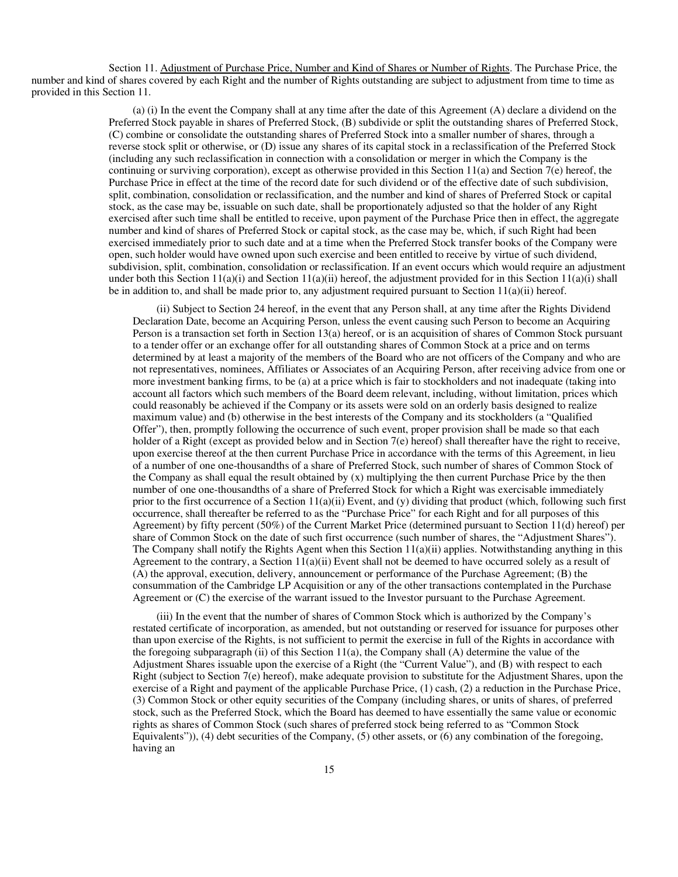Section 11. Adjustment of Purchase Price, Number and Kind of Shares or Number of Rights. The Purchase Price, the number and kind of shares covered by each Right and the number of Rights outstanding are subject to adjustment from time to time as provided in this Section 11.

> (a) (i) In the event the Company shall at any time after the date of this Agreement (A) declare a dividend on the Preferred Stock payable in shares of Preferred Stock, (B) subdivide or split the outstanding shares of Preferred Stock, (C) combine or consolidate the outstanding shares of Preferred Stock into a smaller number of shares, through a reverse stock split or otherwise, or (D) issue any shares of its capital stock in a reclassification of the Preferred Stock (including any such reclassification in connection with a consolidation or merger in which the Company is the continuing or surviving corporation), except as otherwise provided in this Section 11(a) and Section 7(e) hereof, the Purchase Price in effect at the time of the record date for such dividend or of the effective date of such subdivision, split, combination, consolidation or reclassification, and the number and kind of shares of Preferred Stock or capital stock, as the case may be, issuable on such date, shall be proportionately adjusted so that the holder of any Right exercised after such time shall be entitled to receive, upon payment of the Purchase Price then in effect, the aggregate number and kind of shares of Preferred Stock or capital stock, as the case may be, which, if such Right had been exercised immediately prior to such date and at a time when the Preferred Stock transfer books of the Company were open, such holder would have owned upon such exercise and been entitled to receive by virtue of such dividend, subdivision, split, combination, consolidation or reclassification. If an event occurs which would require an adjustment under both this Section  $11(a)(i)$  and Section  $11(a)(ii)$  hereof, the adjustment provided for in this Section  $11(a)(i)$  shall be in addition to, and shall be made prior to, any adjustment required pursuant to Section  $11(a)(ii)$  hereof.

(ii) Subject to Section 24 hereof, in the event that any Person shall, at any time after the Rights Dividend Declaration Date, become an Acquiring Person, unless the event causing such Person to become an Acquiring Person is a transaction set forth in Section 13(a) hereof, or is an acquisition of shares of Common Stock pursuant to a tender offer or an exchange offer for all outstanding shares of Common Stock at a price and on terms determined by at least a majority of the members of the Board who are not officers of the Company and who are not representatives, nominees, Affiliates or Associates of an Acquiring Person, after receiving advice from one or more investment banking firms, to be (a) at a price which is fair to stockholders and not inadequate (taking into account all factors which such members of the Board deem relevant, including, without limitation, prices which could reasonably be achieved if the Company or its assets were sold on an orderly basis designed to realize maximum value) and (b) otherwise in the best interests of the Company and its stockholders (a "Qualified Offer"), then, promptly following the occurrence of such event, proper provision shall be made so that each holder of a Right (except as provided below and in Section 7(e) hereof) shall thereafter have the right to receive, upon exercise thereof at the then current Purchase Price in accordance with the terms of this Agreement, in lieu of a number of one one-thousandths of a share of Preferred Stock, such number of shares of Common Stock of the Company as shall equal the result obtained by (x) multiplying the then current Purchase Price by the then number of one one-thousandths of a share of Preferred Stock for which a Right was exercisable immediately prior to the first occurrence of a Section  $11(a)(ii)$  Event, and (y) dividing that product (which, following such first occurrence, shall thereafter be referred to as the "Purchase Price" for each Right and for all purposes of this Agreement) by fifty percent (50%) of the Current Market Price (determined pursuant to Section 11(d) hereof) per share of Common Stock on the date of such first occurrence (such number of shares, the "Adjustment Shares"). The Company shall notify the Rights Agent when this Section 11(a)(ii) applies. Notwithstanding anything in this Agreement to the contrary, a Section  $11(a)(ii)$  Event shall not be deemed to have occurred solely as a result of (A) the approval, execution, delivery, announcement or performance of the Purchase Agreement; (B) the consummation of the Cambridge LP Acquisition or any of the other transactions contemplated in the Purchase Agreement or (C) the exercise of the warrant issued to the Investor pursuant to the Purchase Agreement.

(iii) In the event that the number of shares of Common Stock which is authorized by the Company's restated certificate of incorporation, as amended, but not outstanding or reserved for issuance for purposes other than upon exercise of the Rights, is not sufficient to permit the exercise in full of the Rights in accordance with the foregoing subparagraph (ii) of this Section  $11(a)$ , the Company shall (A) determine the value of the Adjustment Shares issuable upon the exercise of a Right (the "Current Value"), and (B) with respect to each Right (subject to Section 7(e) hereof), make adequate provision to substitute for the Adjustment Shares, upon the exercise of a Right and payment of the applicable Purchase Price, (1) cash, (2) a reduction in the Purchase Price, (3) Common Stock or other equity securities of the Company (including shares, or units of shares, of preferred stock, such as the Preferred Stock, which the Board has deemed to have essentially the same value or economic rights as shares of Common Stock (such shares of preferred stock being referred to as "Common Stock Equivalents")), (4) debt securities of the Company, (5) other assets, or (6) any combination of the foregoing, having an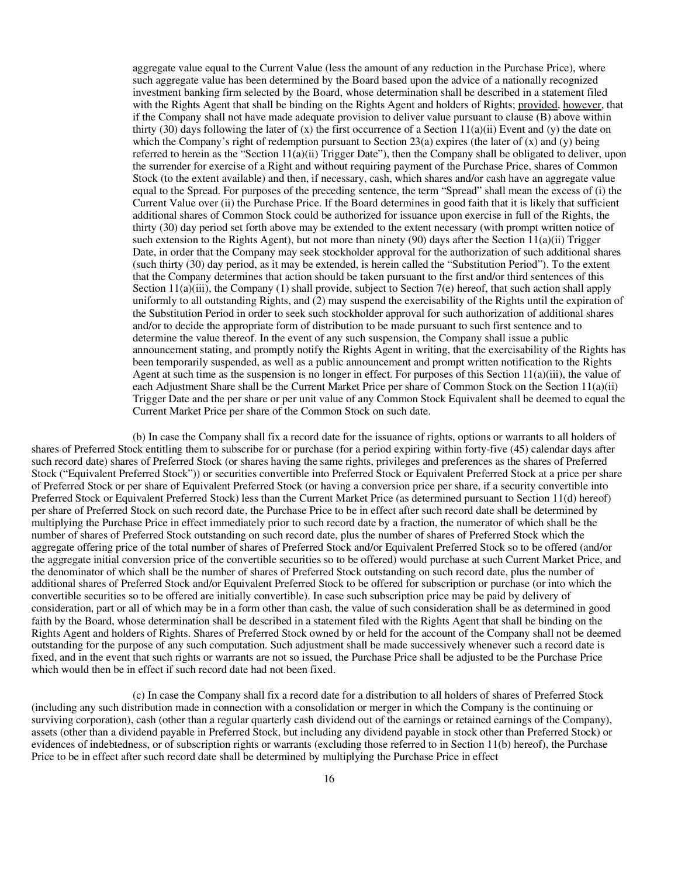aggregate value equal to the Current Value (less the amount of any reduction in the Purchase Price), where such aggregate value has been determined by the Board based upon the advice of a nationally recognized investment banking firm selected by the Board, whose determination shall be described in a statement filed with the Rights Agent that shall be binding on the Rights Agent and holders of Rights; provided, however, that if the Company shall not have made adequate provision to deliver value pursuant to clause (B) above within thirty (30) days following the later of (x) the first occurrence of a Section  $11(a)(ii)$  Event and (y) the date on which the Company's right of redemption pursuant to Section 23(a) expires (the later of  $(x)$  and  $(y)$  being referred to herein as the "Section 11(a)(ii) Trigger Date"), then the Company shall be obligated to deliver, upon the surrender for exercise of a Right and without requiring payment of the Purchase Price, shares of Common Stock (to the extent available) and then, if necessary, cash, which shares and/or cash have an aggregate value equal to the Spread. For purposes of the preceding sentence, the term "Spread" shall mean the excess of (i) the Current Value over (ii) the Purchase Price. If the Board determines in good faith that it is likely that sufficient additional shares of Common Stock could be authorized for issuance upon exercise in full of the Rights, the thirty (30) day period set forth above may be extended to the extent necessary (with prompt written notice of such extension to the Rights Agent), but not more than ninety (90) days after the Section  $11(a)(ii)$  Trigger Date, in order that the Company may seek stockholder approval for the authorization of such additional shares (such thirty (30) day period, as it may be extended, is herein called the "Substitution Period"). To the extent that the Company determines that action should be taken pursuant to the first and/or third sentences of this Section 11(a)(iii), the Company (1) shall provide, subject to Section 7(e) hereof, that such action shall apply uniformly to all outstanding Rights, and (2) may suspend the exercisability of the Rights until the expiration of the Substitution Period in order to seek such stockholder approval for such authorization of additional shares and/or to decide the appropriate form of distribution to be made pursuant to such first sentence and to determine the value thereof. In the event of any such suspension, the Company shall issue a public announcement stating, and promptly notify the Rights Agent in writing, that the exercisability of the Rights has been temporarily suspended, as well as a public announcement and prompt written notification to the Rights Agent at such time as the suspension is no longer in effect. For purposes of this Section  $11(a)(iii)$ , the value of each Adjustment Share shall be the Current Market Price per share of Common Stock on the Section 11(a)(ii) Trigger Date and the per share or per unit value of any Common Stock Equivalent shall be deemed to equal the Current Market Price per share of the Common Stock on such date.

(b) In case the Company shall fix a record date for the issuance of rights, options or warrants to all holders of shares of Preferred Stock entitling them to subscribe for or purchase (for a period expiring within forty-five (45) calendar days after such record date) shares of Preferred Stock (or shares having the same rights, privileges and preferences as the shares of Preferred Stock ("Equivalent Preferred Stock")) or securities convertible into Preferred Stock or Equivalent Preferred Stock at a price per share of Preferred Stock or per share of Equivalent Preferred Stock (or having a conversion price per share, if a security convertible into Preferred Stock or Equivalent Preferred Stock) less than the Current Market Price (as determined pursuant to Section 11(d) hereof) per share of Preferred Stock on such record date, the Purchase Price to be in effect after such record date shall be determined by multiplying the Purchase Price in effect immediately prior to such record date by a fraction, the numerator of which shall be the number of shares of Preferred Stock outstanding on such record date, plus the number of shares of Preferred Stock which the aggregate offering price of the total number of shares of Preferred Stock and/or Equivalent Preferred Stock so to be offered (and/or the aggregate initial conversion price of the convertible securities so to be offered) would purchase at such Current Market Price, and the denominator of which shall be the number of shares of Preferred Stock outstanding on such record date, plus the number of additional shares of Preferred Stock and/or Equivalent Preferred Stock to be offered for subscription or purchase (or into which the convertible securities so to be offered are initially convertible). In case such subscription price may be paid by delivery of consideration, part or all of which may be in a form other than cash, the value of such consideration shall be as determined in good faith by the Board, whose determination shall be described in a statement filed with the Rights Agent that shall be binding on the Rights Agent and holders of Rights. Shares of Preferred Stock owned by or held for the account of the Company shall not be deemed outstanding for the purpose of any such computation. Such adjustment shall be made successively whenever such a record date is fixed, and in the event that such rights or warrants are not so issued, the Purchase Price shall be adjusted to be the Purchase Price which would then be in effect if such record date had not been fixed.

(c) In case the Company shall fix a record date for a distribution to all holders of shares of Preferred Stock (including any such distribution made in connection with a consolidation or merger in which the Company is the continuing or surviving corporation), cash (other than a regular quarterly cash dividend out of the earnings or retained earnings of the Company), assets (other than a dividend payable in Preferred Stock, but including any dividend payable in stock other than Preferred Stock) or evidences of indebtedness, or of subscription rights or warrants (excluding those referred to in Section 11(b) hereof), the Purchase Price to be in effect after such record date shall be determined by multiplying the Purchase Price in effect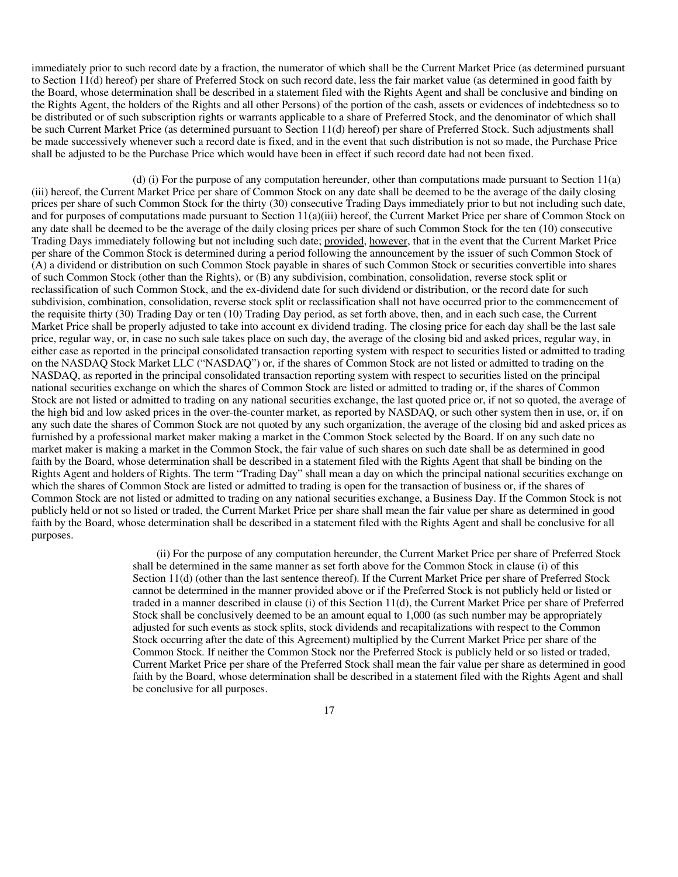immediately prior to such record date by a fraction, the numerator of which shall be the Current Market Price (as determined pursuant to Section 11(d) hereof) per share of Preferred Stock on such record date, less the fair market value (as determined in good faith by the Board, whose determination shall be described in a statement filed with the Rights Agent and shall be conclusive and binding on the Rights Agent, the holders of the Rights and all other Persons) of the portion of the cash, assets or evidences of indebtedness so to be distributed or of such subscription rights or warrants applicable to a share of Preferred Stock, and the denominator of which shall be such Current Market Price (as determined pursuant to Section 11(d) hereof) per share of Preferred Stock. Such adjustments shall be made successively whenever such a record date is fixed, and in the event that such distribution is not so made, the Purchase Price shall be adjusted to be the Purchase Price which would have been in effect if such record date had not been fixed.

(d) (i) For the purpose of any computation hereunder, other than computations made pursuant to Section 11(a) (iii) hereof, the Current Market Price per share of Common Stock on any date shall be deemed to be the average of the daily closing prices per share of such Common Stock for the thirty (30) consecutive Trading Days immediately prior to but not including such date, and for purposes of computations made pursuant to Section  $11(a)(iii)$  hereof, the Current Market Price per share of Common Stock on any date shall be deemed to be the average of the daily closing prices per share of such Common Stock for the ten (10) consecutive Trading Days immediately following but not including such date; provided, however, that in the event that the Current Market Price per share of the Common Stock is determined during a period following the announcement by the issuer of such Common Stock of (A) a dividend or distribution on such Common Stock payable in shares of such Common Stock or securities convertible into shares of such Common Stock (other than the Rights), or (B) any subdivision, combination, consolidation, reverse stock split or reclassification of such Common Stock, and the ex-dividend date for such dividend or distribution, or the record date for such subdivision, combination, consolidation, reverse stock split or reclassification shall not have occurred prior to the commencement of the requisite thirty (30) Trading Day or ten (10) Trading Day period, as set forth above, then, and in each such case, the Current Market Price shall be properly adjusted to take into account ex dividend trading. The closing price for each day shall be the last sale price, regular way, or, in case no such sale takes place on such day, the average of the closing bid and asked prices, regular way, in either case as reported in the principal consolidated transaction reporting system with respect to securities listed or admitted to trading on the NASDAQ Stock Market LLC ("NASDAQ") or, if the shares of Common Stock are not listed or admitted to trading on the NASDAQ, as reported in the principal consolidated transaction reporting system with respect to securities listed on the principal national securities exchange on which the shares of Common Stock are listed or admitted to trading or, if the shares of Common Stock are not listed or admitted to trading on any national securities exchange, the last quoted price or, if not so quoted, the average of the high bid and low asked prices in the over-the-counter market, as reported by NASDAQ, or such other system then in use, or, if on any such date the shares of Common Stock are not quoted by any such organization, the average of the closing bid and asked prices as furnished by a professional market maker making a market in the Common Stock selected by the Board. If on any such date no market maker is making a market in the Common Stock, the fair value of such shares on such date shall be as determined in good faith by the Board, whose determination shall be described in a statement filed with the Rights Agent that shall be binding on the Rights Agent and holders of Rights. The term "Trading Day" shall mean a day on which the principal national securities exchange on which the shares of Common Stock are listed or admitted to trading is open for the transaction of business or, if the shares of Common Stock are not listed or admitted to trading on any national securities exchange, a Business Day. If the Common Stock is not publicly held or not so listed or traded, the Current Market Price per share shall mean the fair value per share as determined in good faith by the Board, whose determination shall be described in a statement filed with the Rights Agent and shall be conclusive for all purposes.

> (ii) For the purpose of any computation hereunder, the Current Market Price per share of Preferred Stock shall be determined in the same manner as set forth above for the Common Stock in clause (i) of this Section 11(d) (other than the last sentence thereof). If the Current Market Price per share of Preferred Stock cannot be determined in the manner provided above or if the Preferred Stock is not publicly held or listed or traded in a manner described in clause (i) of this Section 11(d), the Current Market Price per share of Preferred Stock shall be conclusively deemed to be an amount equal to 1,000 (as such number may be appropriately adjusted for such events as stock splits, stock dividends and recapitalizations with respect to the Common Stock occurring after the date of this Agreement) multiplied by the Current Market Price per share of the Common Stock. If neither the Common Stock nor the Preferred Stock is publicly held or so listed or traded, Current Market Price per share of the Preferred Stock shall mean the fair value per share as determined in good faith by the Board, whose determination shall be described in a statement filed with the Rights Agent and shall be conclusive for all purposes.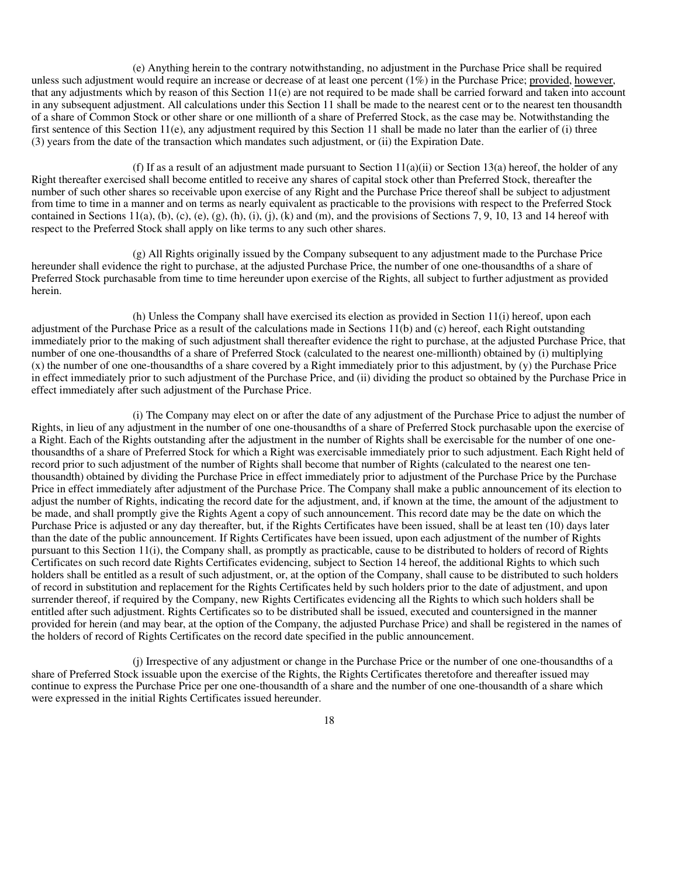(e) Anything herein to the contrary notwithstanding, no adjustment in the Purchase Price shall be required unless such adjustment would require an increase or decrease of at least one percent  $(1\%)$  in the Purchase Price; provided, however, that any adjustments which by reason of this Section 11(e) are not required to be made shall be carried forward and taken into account in any subsequent adjustment. All calculations under this Section 11 shall be made to the nearest cent or to the nearest ten thousandth of a share of Common Stock or other share or one millionth of a share of Preferred Stock, as the case may be. Notwithstanding the first sentence of this Section 11(e), any adjustment required by this Section 11 shall be made no later than the earlier of (i) three (3) years from the date of the transaction which mandates such adjustment, or (ii) the Expiration Date.

(f) If as a result of an adjustment made pursuant to Section  $11(a)(ii)$  or Section 13(a) hereof, the holder of any Right thereafter exercised shall become entitled to receive any shares of capital stock other than Preferred Stock, thereafter the number of such other shares so receivable upon exercise of any Right and the Purchase Price thereof shall be subject to adjustment from time to time in a manner and on terms as nearly equivalent as practicable to the provisions with respect to the Preferred Stock contained in Sections 11(a), (b), (c), (e), (g), (h), (i), (j), (k) and (m), and the provisions of Sections 7, 9, 10, 13 and 14 hereof with respect to the Preferred Stock shall apply on like terms to any such other shares.

(g) All Rights originally issued by the Company subsequent to any adjustment made to the Purchase Price hereunder shall evidence the right to purchase, at the adjusted Purchase Price, the number of one one-thousandths of a share of Preferred Stock purchasable from time to time hereunder upon exercise of the Rights, all subject to further adjustment as provided herein.

(h) Unless the Company shall have exercised its election as provided in Section 11(i) hereof, upon each adjustment of the Purchase Price as a result of the calculations made in Sections 11(b) and (c) hereof, each Right outstanding immediately prior to the making of such adjustment shall thereafter evidence the right to purchase, at the adjusted Purchase Price, that number of one one-thousandths of a share of Preferred Stock (calculated to the nearest one-millionth) obtained by (i) multiplying (x) the number of one one-thousandths of a share covered by a Right immediately prior to this adjustment, by (y) the Purchase Price in effect immediately prior to such adjustment of the Purchase Price, and (ii) dividing the product so obtained by the Purchase Price in effect immediately after such adjustment of the Purchase Price.

(i) The Company may elect on or after the date of any adjustment of the Purchase Price to adjust the number of Rights, in lieu of any adjustment in the number of one one-thousandths of a share of Preferred Stock purchasable upon the exercise of a Right. Each of the Rights outstanding after the adjustment in the number of Rights shall be exercisable for the number of one onethousandths of a share of Preferred Stock for which a Right was exercisable immediately prior to such adjustment. Each Right held of record prior to such adjustment of the number of Rights shall become that number of Rights (calculated to the nearest one tenthousandth) obtained by dividing the Purchase Price in effect immediately prior to adjustment of the Purchase Price by the Purchase Price in effect immediately after adjustment of the Purchase Price. The Company shall make a public announcement of its election to adjust the number of Rights, indicating the record date for the adjustment, and, if known at the time, the amount of the adjustment to be made, and shall promptly give the Rights Agent a copy of such announcement. This record date may be the date on which the Purchase Price is adjusted or any day thereafter, but, if the Rights Certificates have been issued, shall be at least ten (10) days later than the date of the public announcement. If Rights Certificates have been issued, upon each adjustment of the number of Rights pursuant to this Section 11(i), the Company shall, as promptly as practicable, cause to be distributed to holders of record of Rights Certificates on such record date Rights Certificates evidencing, subject to Section 14 hereof, the additional Rights to which such holders shall be entitled as a result of such adjustment, or, at the option of the Company, shall cause to be distributed to such holders of record in substitution and replacement for the Rights Certificates held by such holders prior to the date of adjustment, and upon surrender thereof, if required by the Company, new Rights Certificates evidencing all the Rights to which such holders shall be entitled after such adjustment. Rights Certificates so to be distributed shall be issued, executed and countersigned in the manner provided for herein (and may bear, at the option of the Company, the adjusted Purchase Price) and shall be registered in the names of the holders of record of Rights Certificates on the record date specified in the public announcement.

(j) Irrespective of any adjustment or change in the Purchase Price or the number of one one-thousandths of a share of Preferred Stock issuable upon the exercise of the Rights, the Rights Certificates theretofore and thereafter issued may continue to express the Purchase Price per one one-thousandth of a share and the number of one one-thousandth of a share which were expressed in the initial Rights Certificates issued hereunder.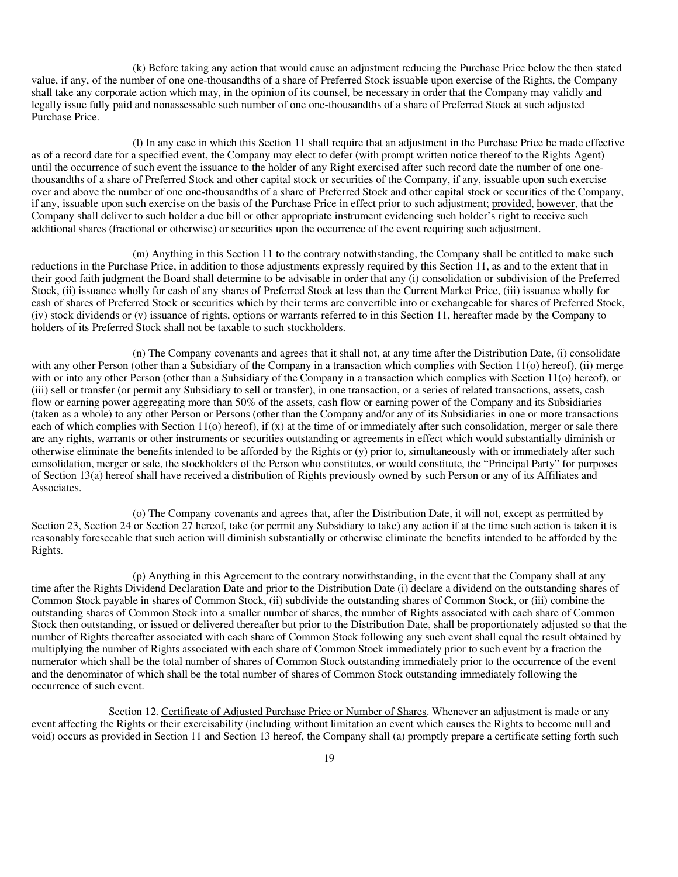(k) Before taking any action that would cause an adjustment reducing the Purchase Price below the then stated value, if any, of the number of one one-thousandths of a share of Preferred Stock issuable upon exercise of the Rights, the Company shall take any corporate action which may, in the opinion of its counsel, be necessary in order that the Company may validly and legally issue fully paid and nonassessable such number of one one-thousandths of a share of Preferred Stock at such adjusted Purchase Price.

(l) In any case in which this Section 11 shall require that an adjustment in the Purchase Price be made effective as of a record date for a specified event, the Company may elect to defer (with prompt written notice thereof to the Rights Agent) until the occurrence of such event the issuance to the holder of any Right exercised after such record date the number of one onethousandths of a share of Preferred Stock and other capital stock or securities of the Company, if any, issuable upon such exercise over and above the number of one one-thousandths of a share of Preferred Stock and other capital stock or securities of the Company, if any, issuable upon such exercise on the basis of the Purchase Price in effect prior to such adjustment; provided, however, that the Company shall deliver to such holder a due bill or other appropriate instrument evidencing such holder's right to receive such additional shares (fractional or otherwise) or securities upon the occurrence of the event requiring such adjustment.

(m) Anything in this Section 11 to the contrary notwithstanding, the Company shall be entitled to make such reductions in the Purchase Price, in addition to those adjustments expressly required by this Section 11, as and to the extent that in their good faith judgment the Board shall determine to be advisable in order that any (i) consolidation or subdivision of the Preferred Stock, (ii) issuance wholly for cash of any shares of Preferred Stock at less than the Current Market Price, (iii) issuance wholly for cash of shares of Preferred Stock or securities which by their terms are convertible into or exchangeable for shares of Preferred Stock, (iv) stock dividends or (v) issuance of rights, options or warrants referred to in this Section 11, hereafter made by the Company to holders of its Preferred Stock shall not be taxable to such stockholders.

(n) The Company covenants and agrees that it shall not, at any time after the Distribution Date, (i) consolidate with any other Person (other than a Subsidiary of the Company in a transaction which complies with Section 11(o) hereof), (ii) merge with or into any other Person (other than a Subsidiary of the Company in a transaction which complies with Section 11(o) hereof), or (iii) sell or transfer (or permit any Subsidiary to sell or transfer), in one transaction, or a series of related transactions, assets, cash flow or earning power aggregating more than 50% of the assets, cash flow or earning power of the Company and its Subsidiaries (taken as a whole) to any other Person or Persons (other than the Company and/or any of its Subsidiaries in one or more transactions each of which complies with Section  $11(o)$  hereof), if  $(x)$  at the time of or immediately after such consolidation, merger or sale there are any rights, warrants or other instruments or securities outstanding or agreements in effect which would substantially diminish or otherwise eliminate the benefits intended to be afforded by the Rights or  $(y)$  prior to, simultaneously with or immediately after such consolidation, merger or sale, the stockholders of the Person who constitutes, or would constitute, the "Principal Party" for purposes of Section 13(a) hereof shall have received a distribution of Rights previously owned by such Person or any of its Affiliates and Associates.

(o) The Company covenants and agrees that, after the Distribution Date, it will not, except as permitted by Section 23, Section 24 or Section 27 hereof, take (or permit any Subsidiary to take) any action if at the time such action is taken it is reasonably foreseeable that such action will diminish substantially or otherwise eliminate the benefits intended to be afforded by the Rights.

(p) Anything in this Agreement to the contrary notwithstanding, in the event that the Company shall at any time after the Rights Dividend Declaration Date and prior to the Distribution Date (i) declare a dividend on the outstanding shares of Common Stock payable in shares of Common Stock, (ii) subdivide the outstanding shares of Common Stock, or (iii) combine the outstanding shares of Common Stock into a smaller number of shares, the number of Rights associated with each share of Common Stock then outstanding, or issued or delivered thereafter but prior to the Distribution Date, shall be proportionately adjusted so that the number of Rights thereafter associated with each share of Common Stock following any such event shall equal the result obtained by multiplying the number of Rights associated with each share of Common Stock immediately prior to such event by a fraction the numerator which shall be the total number of shares of Common Stock outstanding immediately prior to the occurrence of the event and the denominator of which shall be the total number of shares of Common Stock outstanding immediately following the occurrence of such event.

Section 12. Certificate of Adjusted Purchase Price or Number of Shares. Whenever an adjustment is made or any event affecting the Rights or their exercisability (including without limitation an event which causes the Rights to become null and void) occurs as provided in Section 11 and Section 13 hereof, the Company shall (a) promptly prepare a certificate setting forth such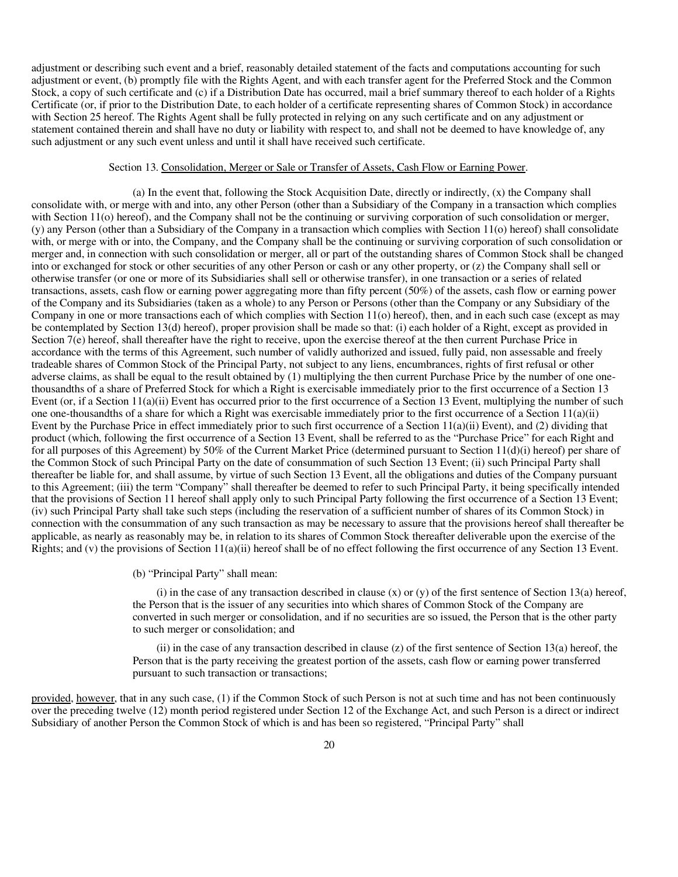adjustment or describing such event and a brief, reasonably detailed statement of the facts and computations accounting for such adjustment or event, (b) promptly file with the Rights Agent, and with each transfer agent for the Preferred Stock and the Common Stock, a copy of such certificate and (c) if a Distribution Date has occurred, mail a brief summary thereof to each holder of a Rights Certificate (or, if prior to the Distribution Date, to each holder of a certificate representing shares of Common Stock) in accordance with Section 25 hereof. The Rights Agent shall be fully protected in relying on any such certificate and on any adjustment or statement contained therein and shall have no duty or liability with respect to, and shall not be deemed to have knowledge of, any such adjustment or any such event unless and until it shall have received such certificate.

#### Section 13. Consolidation, Merger or Sale or Transfer of Assets, Cash Flow or Earning Power.

(a) In the event that, following the Stock Acquisition Date, directly or indirectly, (x) the Company shall consolidate with, or merge with and into, any other Person (other than a Subsidiary of the Company in a transaction which complies with Section 11(o) hereof), and the Company shall not be the continuing or surviving corporation of such consolidation or merger, (y) any Person (other than a Subsidiary of the Company in a transaction which complies with Section 11(o) hereof) shall consolidate with, or merge with or into, the Company, and the Company shall be the continuing or surviving corporation of such consolidation or merger and, in connection with such consolidation or merger, all or part of the outstanding shares of Common Stock shall be changed into or exchanged for stock or other securities of any other Person or cash or any other property, or (z) the Company shall sell or otherwise transfer (or one or more of its Subsidiaries shall sell or otherwise transfer), in one transaction or a series of related transactions, assets, cash flow or earning power aggregating more than fifty percent (50%) of the assets, cash flow or earning power of the Company and its Subsidiaries (taken as a whole) to any Person or Persons (other than the Company or any Subsidiary of the Company in one or more transactions each of which complies with Section 11(o) hereof), then, and in each such case (except as may be contemplated by Section 13(d) hereof), proper provision shall be made so that: (i) each holder of a Right, except as provided in Section 7(e) hereof, shall thereafter have the right to receive, upon the exercise thereof at the then current Purchase Price in accordance with the terms of this Agreement, such number of validly authorized and issued, fully paid, non assessable and freely tradeable shares of Common Stock of the Principal Party, not subject to any liens, encumbrances, rights of first refusal or other adverse claims, as shall be equal to the result obtained by (1) multiplying the then current Purchase Price by the number of one onethousandths of a share of Preferred Stock for which a Right is exercisable immediately prior to the first occurrence of a Section 13 Event (or, if a Section 11(a)(ii) Event has occurred prior to the first occurrence of a Section 13 Event, multiplying the number of such one one-thousandths of a share for which a Right was exercisable immediately prior to the first occurrence of a Section  $11(a)(ii)$ Event by the Purchase Price in effect immediately prior to such first occurrence of a Section 11(a)(ii) Event), and (2) dividing that product (which, following the first occurrence of a Section 13 Event, shall be referred to as the "Purchase Price" for each Right and for all purposes of this Agreement) by 50% of the Current Market Price (determined pursuant to Section 11(d)(i) hereof) per share of the Common Stock of such Principal Party on the date of consummation of such Section 13 Event; (ii) such Principal Party shall thereafter be liable for, and shall assume, by virtue of such Section 13 Event, all the obligations and duties of the Company pursuant to this Agreement; (iii) the term "Company" shall thereafter be deemed to refer to such Principal Party, it being specifically intended that the provisions of Section 11 hereof shall apply only to such Principal Party following the first occurrence of a Section 13 Event; (iv) such Principal Party shall take such steps (including the reservation of a sufficient number of shares of its Common Stock) in connection with the consummation of any such transaction as may be necessary to assure that the provisions hereof shall thereafter be applicable, as nearly as reasonably may be, in relation to its shares of Common Stock thereafter deliverable upon the exercise of the Rights; and (v) the provisions of Section  $11(a)(ii)$  hereof shall be of no effect following the first occurrence of any Section 13 Event.

(b) "Principal Party" shall mean:

(i) in the case of any transaction described in clause  $(x)$  or  $(y)$  of the first sentence of Section 13(a) hereof, the Person that is the issuer of any securities into which shares of Common Stock of the Company are converted in such merger or consolidation, and if no securities are so issued, the Person that is the other party to such merger or consolidation; and

 $(iii)$  in the case of any transaction described in clause (z) of the first sentence of Section 13(a) hereof, the Person that is the party receiving the greatest portion of the assets, cash flow or earning power transferred pursuant to such transaction or transactions;

provided, however, that in any such case, (1) if the Common Stock of such Person is not at such time and has not been continuously over the preceding twelve (12) month period registered under Section 12 of the Exchange Act, and such Person is a direct or indirect Subsidiary of another Person the Common Stock of which is and has been so registered, "Principal Party" shall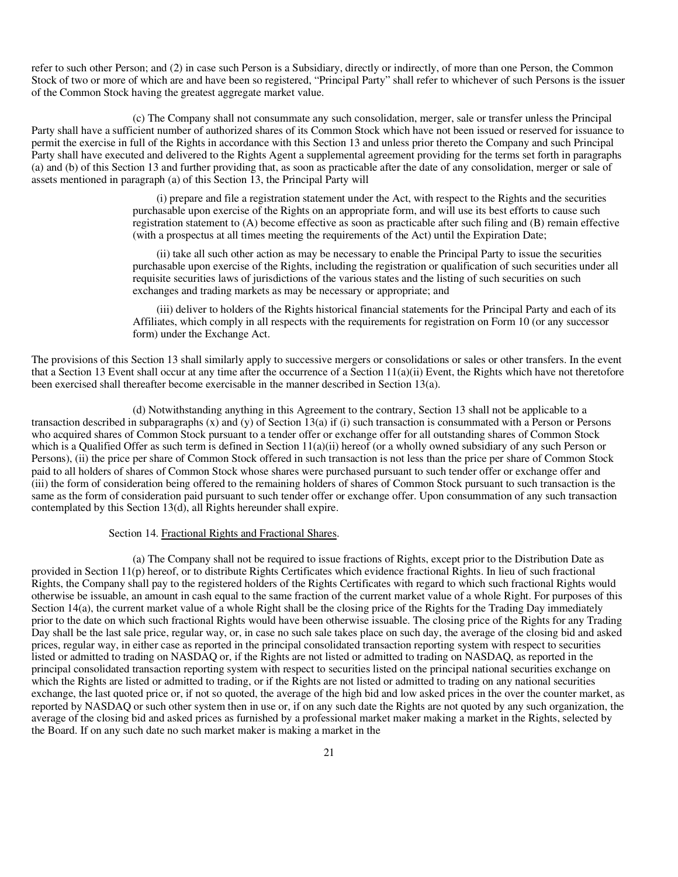refer to such other Person; and (2) in case such Person is a Subsidiary, directly or indirectly, of more than one Person, the Common Stock of two or more of which are and have been so registered, "Principal Party" shall refer to whichever of such Persons is the issuer of the Common Stock having the greatest aggregate market value.

(c) The Company shall not consummate any such consolidation, merger, sale or transfer unless the Principal Party shall have a sufficient number of authorized shares of its Common Stock which have not been issued or reserved for issuance to permit the exercise in full of the Rights in accordance with this Section 13 and unless prior thereto the Company and such Principal Party shall have executed and delivered to the Rights Agent a supplemental agreement providing for the terms set forth in paragraphs (a) and (b) of this Section 13 and further providing that, as soon as practicable after the date of any consolidation, merger or sale of assets mentioned in paragraph (a) of this Section 13, the Principal Party will

> (i) prepare and file a registration statement under the Act, with respect to the Rights and the securities purchasable upon exercise of the Rights on an appropriate form, and will use its best efforts to cause such registration statement to (A) become effective as soon as practicable after such filing and (B) remain effective (with a prospectus at all times meeting the requirements of the Act) until the Expiration Date;

> (ii) take all such other action as may be necessary to enable the Principal Party to issue the securities purchasable upon exercise of the Rights, including the registration or qualification of such securities under all requisite securities laws of jurisdictions of the various states and the listing of such securities on such exchanges and trading markets as may be necessary or appropriate; and

> (iii) deliver to holders of the Rights historical financial statements for the Principal Party and each of its Affiliates, which comply in all respects with the requirements for registration on Form 10 (or any successor form) under the Exchange Act.

The provisions of this Section 13 shall similarly apply to successive mergers or consolidations or sales or other transfers. In the event that a Section 13 Event shall occur at any time after the occurrence of a Section 11(a)(ii) Event, the Rights which have not theretofore been exercised shall thereafter become exercisable in the manner described in Section 13(a).

(d) Notwithstanding anything in this Agreement to the contrary, Section 13 shall not be applicable to a transaction described in subparagraphs (x) and (y) of Section 13(a) if (i) such transaction is consummated with a Person or Persons who acquired shares of Common Stock pursuant to a tender offer or exchange offer for all outstanding shares of Common Stock which is a Qualified Offer as such term is defined in Section  $11(a)(ii)$  hereof (or a wholly owned subsidiary of any such Person or Persons), (ii) the price per share of Common Stock offered in such transaction is not less than the price per share of Common Stock paid to all holders of shares of Common Stock whose shares were purchased pursuant to such tender offer or exchange offer and (iii) the form of consideration being offered to the remaining holders of shares of Common Stock pursuant to such transaction is the same as the form of consideration paid pursuant to such tender offer or exchange offer. Upon consummation of any such transaction contemplated by this Section 13(d), all Rights hereunder shall expire.

#### Section 14. Fractional Rights and Fractional Shares.

(a) The Company shall not be required to issue fractions of Rights, except prior to the Distribution Date as provided in Section 11(p) hereof, or to distribute Rights Certificates which evidence fractional Rights. In lieu of such fractional Rights, the Company shall pay to the registered holders of the Rights Certificates with regard to which such fractional Rights would otherwise be issuable, an amount in cash equal to the same fraction of the current market value of a whole Right. For purposes of this Section 14(a), the current market value of a whole Right shall be the closing price of the Rights for the Trading Day immediately prior to the date on which such fractional Rights would have been otherwise issuable. The closing price of the Rights for any Trading Day shall be the last sale price, regular way, or, in case no such sale takes place on such day, the average of the closing bid and asked prices, regular way, in either case as reported in the principal consolidated transaction reporting system with respect to securities listed or admitted to trading on NASDAQ or, if the Rights are not listed or admitted to trading on NASDAQ, as reported in the principal consolidated transaction reporting system with respect to securities listed on the principal national securities exchange on which the Rights are listed or admitted to trading, or if the Rights are not listed or admitted to trading on any national securities exchange, the last quoted price or, if not so quoted, the average of the high bid and low asked prices in the over the counter market, as reported by NASDAQ or such other system then in use or, if on any such date the Rights are not quoted by any such organization, the average of the closing bid and asked prices as furnished by a professional market maker making a market in the Rights, selected by the Board. If on any such date no such market maker is making a market in the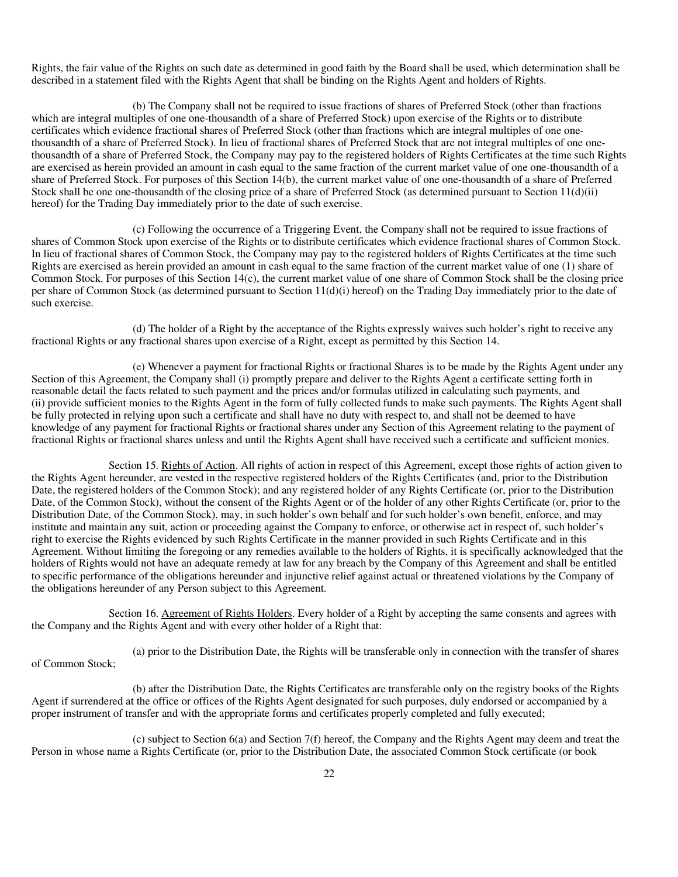Rights, the fair value of the Rights on such date as determined in good faith by the Board shall be used, which determination shall be described in a statement filed with the Rights Agent that shall be binding on the Rights Agent and holders of Rights.

(b) The Company shall not be required to issue fractions of shares of Preferred Stock (other than fractions which are integral multiples of one one-thousandth of a share of Preferred Stock) upon exercise of the Rights or to distribute certificates which evidence fractional shares of Preferred Stock (other than fractions which are integral multiples of one onethousandth of a share of Preferred Stock). In lieu of fractional shares of Preferred Stock that are not integral multiples of one onethousandth of a share of Preferred Stock, the Company may pay to the registered holders of Rights Certificates at the time such Rights are exercised as herein provided an amount in cash equal to the same fraction of the current market value of one one-thousandth of a share of Preferred Stock. For purposes of this Section 14(b), the current market value of one one-thousandth of a share of Preferred Stock shall be one one-thousandth of the closing price of a share of Preferred Stock (as determined pursuant to Section 11(d)(ii) hereof) for the Trading Day immediately prior to the date of such exercise.

(c) Following the occurrence of a Triggering Event, the Company shall not be required to issue fractions of shares of Common Stock upon exercise of the Rights or to distribute certificates which evidence fractional shares of Common Stock. In lieu of fractional shares of Common Stock, the Company may pay to the registered holders of Rights Certificates at the time such Rights are exercised as herein provided an amount in cash equal to the same fraction of the current market value of one (1) share of Common Stock. For purposes of this Section 14(c), the current market value of one share of Common Stock shall be the closing price per share of Common Stock (as determined pursuant to Section 11(d)(i) hereof) on the Trading Day immediately prior to the date of such exercise.

(d) The holder of a Right by the acceptance of the Rights expressly waives such holder's right to receive any fractional Rights or any fractional shares upon exercise of a Right, except as permitted by this Section 14.

(e) Whenever a payment for fractional Rights or fractional Shares is to be made by the Rights Agent under any Section of this Agreement, the Company shall (i) promptly prepare and deliver to the Rights Agent a certificate setting forth in reasonable detail the facts related to such payment and the prices and/or formulas utilized in calculating such payments, and (ii) provide sufficient monies to the Rights Agent in the form of fully collected funds to make such payments. The Rights Agent shall be fully protected in relying upon such a certificate and shall have no duty with respect to, and shall not be deemed to have knowledge of any payment for fractional Rights or fractional shares under any Section of this Agreement relating to the payment of fractional Rights or fractional shares unless and until the Rights Agent shall have received such a certificate and sufficient monies.

Section 15. Rights of Action. All rights of action in respect of this Agreement, except those rights of action given to the Rights Agent hereunder, are vested in the respective registered holders of the Rights Certificates (and, prior to the Distribution Date, the registered holders of the Common Stock); and any registered holder of any Rights Certificate (or, prior to the Distribution Date, of the Common Stock), without the consent of the Rights Agent or of the holder of any other Rights Certificate (or, prior to the Distribution Date, of the Common Stock), may, in such holder's own behalf and for such holder's own benefit, enforce, and may institute and maintain any suit, action or proceeding against the Company to enforce, or otherwise act in respect of, such holder's right to exercise the Rights evidenced by such Rights Certificate in the manner provided in such Rights Certificate and in this Agreement. Without limiting the foregoing or any remedies available to the holders of Rights, it is specifically acknowledged that the holders of Rights would not have an adequate remedy at law for any breach by the Company of this Agreement and shall be entitled to specific performance of the obligations hereunder and injunctive relief against actual or threatened violations by the Company of the obligations hereunder of any Person subject to this Agreement.

Section 16. Agreement of Rights Holders. Every holder of a Right by accepting the same consents and agrees with the Company and the Rights Agent and with every other holder of a Right that:

(a) prior to the Distribution Date, the Rights will be transferable only in connection with the transfer of shares of Common Stock;

(b) after the Distribution Date, the Rights Certificates are transferable only on the registry books of the Rights Agent if surrendered at the office or offices of the Rights Agent designated for such purposes, duly endorsed or accompanied by a proper instrument of transfer and with the appropriate forms and certificates properly completed and fully executed;

(c) subject to Section 6(a) and Section 7(f) hereof, the Company and the Rights Agent may deem and treat the Person in whose name a Rights Certificate (or, prior to the Distribution Date, the associated Common Stock certificate (or book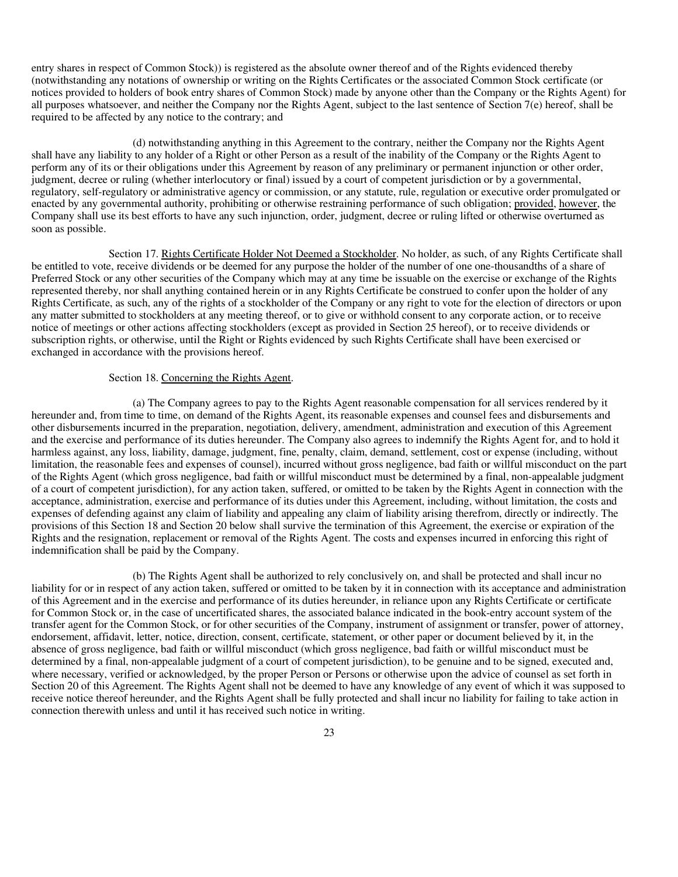entry shares in respect of Common Stock)) is registered as the absolute owner thereof and of the Rights evidenced thereby (notwithstanding any notations of ownership or writing on the Rights Certificates or the associated Common Stock certificate (or notices provided to holders of book entry shares of Common Stock) made by anyone other than the Company or the Rights Agent) for all purposes whatsoever, and neither the Company nor the Rights Agent, subject to the last sentence of Section 7(e) hereof, shall be required to be affected by any notice to the contrary; and

(d) notwithstanding anything in this Agreement to the contrary, neither the Company nor the Rights Agent shall have any liability to any holder of a Right or other Person as a result of the inability of the Company or the Rights Agent to perform any of its or their obligations under this Agreement by reason of any preliminary or permanent injunction or other order, judgment, decree or ruling (whether interlocutory or final) issued by a court of competent jurisdiction or by a governmental, regulatory, self-regulatory or administrative agency or commission, or any statute, rule, regulation or executive order promulgated or enacted by any governmental authority, prohibiting or otherwise restraining performance of such obligation; provided, however, the Company shall use its best efforts to have any such injunction, order, judgment, decree or ruling lifted or otherwise overturned as soon as possible.

Section 17. Rights Certificate Holder Not Deemed a Stockholder. No holder, as such, of any Rights Certificate shall be entitled to vote, receive dividends or be deemed for any purpose the holder of the number of one one-thousandths of a share of Preferred Stock or any other securities of the Company which may at any time be issuable on the exercise or exchange of the Rights represented thereby, nor shall anything contained herein or in any Rights Certificate be construed to confer upon the holder of any Rights Certificate, as such, any of the rights of a stockholder of the Company or any right to vote for the election of directors or upon any matter submitted to stockholders at any meeting thereof, or to give or withhold consent to any corporate action, or to receive notice of meetings or other actions affecting stockholders (except as provided in Section 25 hereof), or to receive dividends or subscription rights, or otherwise, until the Right or Rights evidenced by such Rights Certificate shall have been exercised or exchanged in accordance with the provisions hereof.

#### Section 18. Concerning the Rights Agent.

(a) The Company agrees to pay to the Rights Agent reasonable compensation for all services rendered by it hereunder and, from time to time, on demand of the Rights Agent, its reasonable expenses and counsel fees and disbursements and other disbursements incurred in the preparation, negotiation, delivery, amendment, administration and execution of this Agreement and the exercise and performance of its duties hereunder. The Company also agrees to indemnify the Rights Agent for, and to hold it harmless against, any loss, liability, damage, judgment, fine, penalty, claim, demand, settlement, cost or expense (including, without limitation, the reasonable fees and expenses of counsel), incurred without gross negligence, bad faith or willful misconduct on the part of the Rights Agent (which gross negligence, bad faith or willful misconduct must be determined by a final, non-appealable judgment of a court of competent jurisdiction), for any action taken, suffered, or omitted to be taken by the Rights Agent in connection with the acceptance, administration, exercise and performance of its duties under this Agreement, including, without limitation, the costs and expenses of defending against any claim of liability and appealing any claim of liability arising therefrom, directly or indirectly. The provisions of this Section 18 and Section 20 below shall survive the termination of this Agreement, the exercise or expiration of the Rights and the resignation, replacement or removal of the Rights Agent. The costs and expenses incurred in enforcing this right of indemnification shall be paid by the Company.

(b) The Rights Agent shall be authorized to rely conclusively on, and shall be protected and shall incur no liability for or in respect of any action taken, suffered or omitted to be taken by it in connection with its acceptance and administration of this Agreement and in the exercise and performance of its duties hereunder, in reliance upon any Rights Certificate or certificate for Common Stock or, in the case of uncertificated shares, the associated balance indicated in the book-entry account system of the transfer agent for the Common Stock, or for other securities of the Company, instrument of assignment or transfer, power of attorney, endorsement, affidavit, letter, notice, direction, consent, certificate, statement, or other paper or document believed by it, in the absence of gross negligence, bad faith or willful misconduct (which gross negligence, bad faith or willful misconduct must be determined by a final, non-appealable judgment of a court of competent jurisdiction), to be genuine and to be signed, executed and, where necessary, verified or acknowledged, by the proper Person or Persons or otherwise upon the advice of counsel as set forth in Section 20 of this Agreement. The Rights Agent shall not be deemed to have any knowledge of any event of which it was supposed to receive notice thereof hereunder, and the Rights Agent shall be fully protected and shall incur no liability for failing to take action in connection therewith unless and until it has received such notice in writing.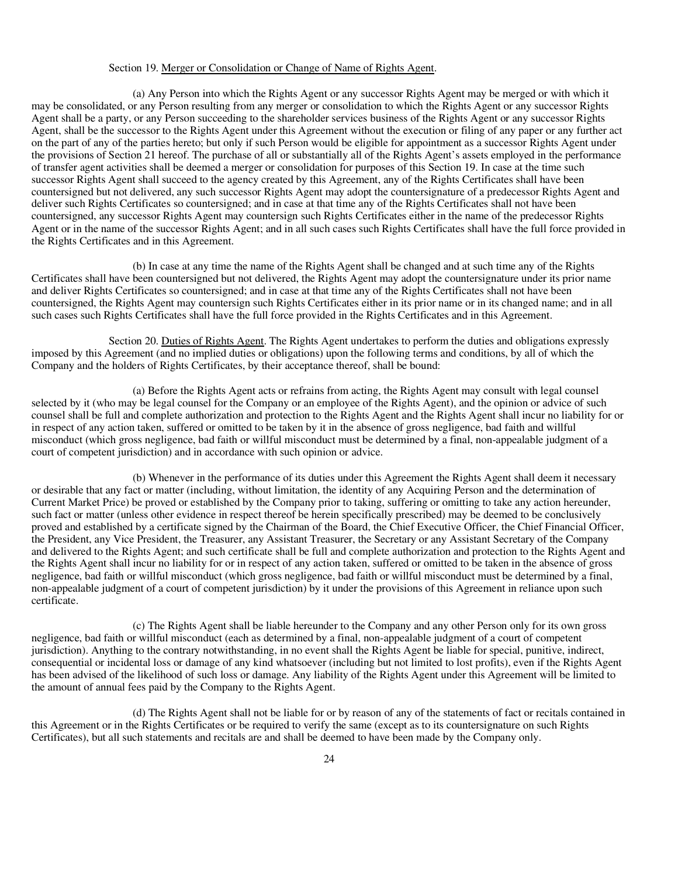#### Section 19. Merger or Consolidation or Change of Name of Rights Agent.

(a) Any Person into which the Rights Agent or any successor Rights Agent may be merged or with which it may be consolidated, or any Person resulting from any merger or consolidation to which the Rights Agent or any successor Rights Agent shall be a party, or any Person succeeding to the shareholder services business of the Rights Agent or any successor Rights Agent, shall be the successor to the Rights Agent under this Agreement without the execution or filing of any paper or any further act on the part of any of the parties hereto; but only if such Person would be eligible for appointment as a successor Rights Agent under the provisions of Section 21 hereof. The purchase of all or substantially all of the Rights Agent's assets employed in the performance of transfer agent activities shall be deemed a merger or consolidation for purposes of this Section 19. In case at the time such successor Rights Agent shall succeed to the agency created by this Agreement, any of the Rights Certificates shall have been countersigned but not delivered, any such successor Rights Agent may adopt the countersignature of a predecessor Rights Agent and deliver such Rights Certificates so countersigned; and in case at that time any of the Rights Certificates shall not have been countersigned, any successor Rights Agent may countersign such Rights Certificates either in the name of the predecessor Rights Agent or in the name of the successor Rights Agent; and in all such cases such Rights Certificates shall have the full force provided in the Rights Certificates and in this Agreement.

(b) In case at any time the name of the Rights Agent shall be changed and at such time any of the Rights Certificates shall have been countersigned but not delivered, the Rights Agent may adopt the countersignature under its prior name and deliver Rights Certificates so countersigned; and in case at that time any of the Rights Certificates shall not have been countersigned, the Rights Agent may countersign such Rights Certificates either in its prior name or in its changed name; and in all such cases such Rights Certificates shall have the full force provided in the Rights Certificates and in this Agreement.

Section 20. Duties of Rights Agent. The Rights Agent undertakes to perform the duties and obligations expressly imposed by this Agreement (and no implied duties or obligations) upon the following terms and conditions, by all of which the Company and the holders of Rights Certificates, by their acceptance thereof, shall be bound:

(a) Before the Rights Agent acts or refrains from acting, the Rights Agent may consult with legal counsel selected by it (who may be legal counsel for the Company or an employee of the Rights Agent), and the opinion or advice of such counsel shall be full and complete authorization and protection to the Rights Agent and the Rights Agent shall incur no liability for or in respect of any action taken, suffered or omitted to be taken by it in the absence of gross negligence, bad faith and willful misconduct (which gross negligence, bad faith or willful misconduct must be determined by a final, non-appealable judgment of a court of competent jurisdiction) and in accordance with such opinion or advice.

(b) Whenever in the performance of its duties under this Agreement the Rights Agent shall deem it necessary or desirable that any fact or matter (including, without limitation, the identity of any Acquiring Person and the determination of Current Market Price) be proved or established by the Company prior to taking, suffering or omitting to take any action hereunder, such fact or matter (unless other evidence in respect thereof be herein specifically prescribed) may be deemed to be conclusively proved and established by a certificate signed by the Chairman of the Board, the Chief Executive Officer, the Chief Financial Officer, the President, any Vice President, the Treasurer, any Assistant Treasurer, the Secretary or any Assistant Secretary of the Company and delivered to the Rights Agent; and such certificate shall be full and complete authorization and protection to the Rights Agent and the Rights Agent shall incur no liability for or in respect of any action taken, suffered or omitted to be taken in the absence of gross negligence, bad faith or willful misconduct (which gross negligence, bad faith or willful misconduct must be determined by a final, non-appealable judgment of a court of competent jurisdiction) by it under the provisions of this Agreement in reliance upon such certificate.

(c) The Rights Agent shall be liable hereunder to the Company and any other Person only for its own gross negligence, bad faith or willful misconduct (each as determined by a final, non-appealable judgment of a court of competent jurisdiction). Anything to the contrary notwithstanding, in no event shall the Rights Agent be liable for special, punitive, indirect, consequential or incidental loss or damage of any kind whatsoever (including but not limited to lost profits), even if the Rights Agent has been advised of the likelihood of such loss or damage. Any liability of the Rights Agent under this Agreement will be limited to the amount of annual fees paid by the Company to the Rights Agent.

(d) The Rights Agent shall not be liable for or by reason of any of the statements of fact or recitals contained in this Agreement or in the Rights Certificates or be required to verify the same (except as to its countersignature on such Rights Certificates), but all such statements and recitals are and shall be deemed to have been made by the Company only.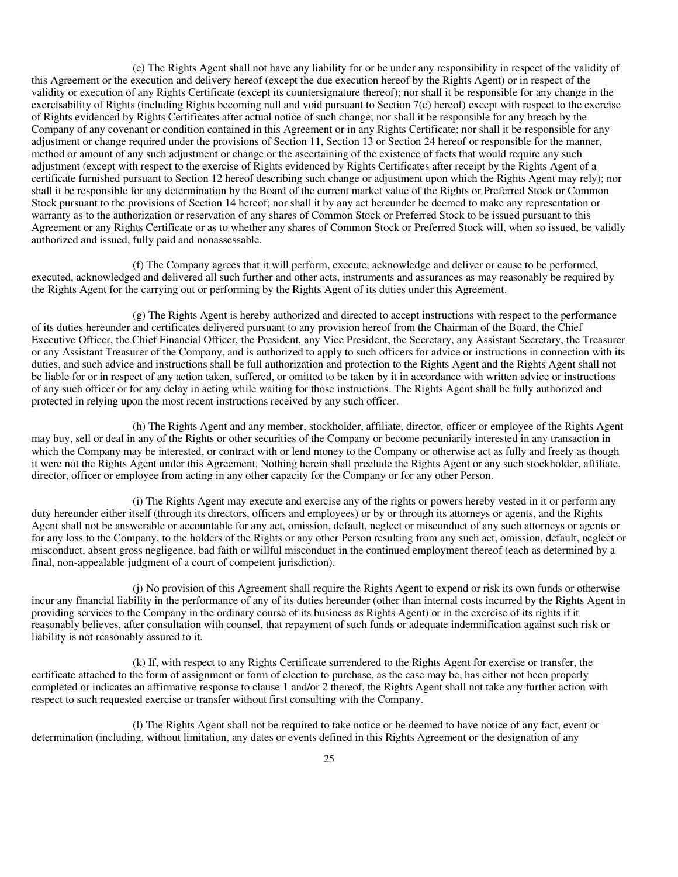(e) The Rights Agent shall not have any liability for or be under any responsibility in respect of the validity of this Agreement or the execution and delivery hereof (except the due execution hereof by the Rights Agent) or in respect of the validity or execution of any Rights Certificate (except its countersignature thereof); nor shall it be responsible for any change in the exercisability of Rights (including Rights becoming null and void pursuant to Section 7(e) hereof) except with respect to the exercise of Rights evidenced by Rights Certificates after actual notice of such change; nor shall it be responsible for any breach by the Company of any covenant or condition contained in this Agreement or in any Rights Certificate; nor shall it be responsible for any adjustment or change required under the provisions of Section 11, Section 13 or Section 24 hereof or responsible for the manner, method or amount of any such adjustment or change or the ascertaining of the existence of facts that would require any such adjustment (except with respect to the exercise of Rights evidenced by Rights Certificates after receipt by the Rights Agent of a certificate furnished pursuant to Section 12 hereof describing such change or adjustment upon which the Rights Agent may rely); nor shall it be responsible for any determination by the Board of the current market value of the Rights or Preferred Stock or Common Stock pursuant to the provisions of Section 14 hereof; nor shall it by any act hereunder be deemed to make any representation or warranty as to the authorization or reservation of any shares of Common Stock or Preferred Stock to be issued pursuant to this Agreement or any Rights Certificate or as to whether any shares of Common Stock or Preferred Stock will, when so issued, be validly authorized and issued, fully paid and nonassessable.

(f) The Company agrees that it will perform, execute, acknowledge and deliver or cause to be performed, executed, acknowledged and delivered all such further and other acts, instruments and assurances as may reasonably be required by the Rights Agent for the carrying out or performing by the Rights Agent of its duties under this Agreement.

(g) The Rights Agent is hereby authorized and directed to accept instructions with respect to the performance of its duties hereunder and certificates delivered pursuant to any provision hereof from the Chairman of the Board, the Chief Executive Officer, the Chief Financial Officer, the President, any Vice President, the Secretary, any Assistant Secretary, the Treasurer or any Assistant Treasurer of the Company, and is authorized to apply to such officers for advice or instructions in connection with its duties, and such advice and instructions shall be full authorization and protection to the Rights Agent and the Rights Agent shall not be liable for or in respect of any action taken, suffered, or omitted to be taken by it in accordance with written advice or instructions of any such officer or for any delay in acting while waiting for those instructions. The Rights Agent shall be fully authorized and protected in relying upon the most recent instructions received by any such officer.

(h) The Rights Agent and any member, stockholder, affiliate, director, officer or employee of the Rights Agent may buy, sell or deal in any of the Rights or other securities of the Company or become pecuniarily interested in any transaction in which the Company may be interested, or contract with or lend money to the Company or otherwise act as fully and freely as though it were not the Rights Agent under this Agreement. Nothing herein shall preclude the Rights Agent or any such stockholder, affiliate, director, officer or employee from acting in any other capacity for the Company or for any other Person.

(i) The Rights Agent may execute and exercise any of the rights or powers hereby vested in it or perform any duty hereunder either itself (through its directors, officers and employees) or by or through its attorneys or agents, and the Rights Agent shall not be answerable or accountable for any act, omission, default, neglect or misconduct of any such attorneys or agents or for any loss to the Company, to the holders of the Rights or any other Person resulting from any such act, omission, default, neglect or misconduct, absent gross negligence, bad faith or willful misconduct in the continued employment thereof (each as determined by a final, non-appealable judgment of a court of competent jurisdiction).

(j) No provision of this Agreement shall require the Rights Agent to expend or risk its own funds or otherwise incur any financial liability in the performance of any of its duties hereunder (other than internal costs incurred by the Rights Agent in providing services to the Company in the ordinary course of its business as Rights Agent) or in the exercise of its rights if it reasonably believes, after consultation with counsel, that repayment of such funds or adequate indemnification against such risk or liability is not reasonably assured to it.

(k) If, with respect to any Rights Certificate surrendered to the Rights Agent for exercise or transfer, the certificate attached to the form of assignment or form of election to purchase, as the case may be, has either not been properly completed or indicates an affirmative response to clause 1 and/or 2 thereof, the Rights Agent shall not take any further action with respect to such requested exercise or transfer without first consulting with the Company.

(l) The Rights Agent shall not be required to take notice or be deemed to have notice of any fact, event or determination (including, without limitation, any dates or events defined in this Rights Agreement or the designation of any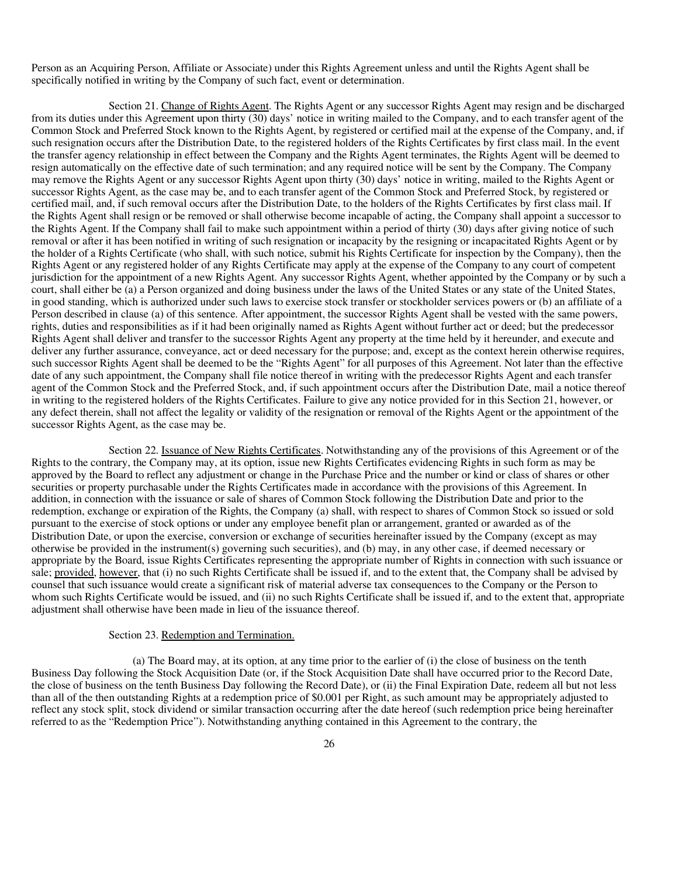Person as an Acquiring Person, Affiliate or Associate) under this Rights Agreement unless and until the Rights Agent shall be specifically notified in writing by the Company of such fact, event or determination.

Section 21. Change of Rights Agent. The Rights Agent or any successor Rights Agent may resign and be discharged from its duties under this Agreement upon thirty (30) days' notice in writing mailed to the Company, and to each transfer agent of the Common Stock and Preferred Stock known to the Rights Agent, by registered or certified mail at the expense of the Company, and, if such resignation occurs after the Distribution Date, to the registered holders of the Rights Certificates by first class mail. In the event the transfer agency relationship in effect between the Company and the Rights Agent terminates, the Rights Agent will be deemed to resign automatically on the effective date of such termination; and any required notice will be sent by the Company. The Company may remove the Rights Agent or any successor Rights Agent upon thirty (30) days' notice in writing, mailed to the Rights Agent or successor Rights Agent, as the case may be, and to each transfer agent of the Common Stock and Preferred Stock, by registered or certified mail, and, if such removal occurs after the Distribution Date, to the holders of the Rights Certificates by first class mail. If the Rights Agent shall resign or be removed or shall otherwise become incapable of acting, the Company shall appoint a successor to the Rights Agent. If the Company shall fail to make such appointment within a period of thirty (30) days after giving notice of such removal or after it has been notified in writing of such resignation or incapacity by the resigning or incapacitated Rights Agent or by the holder of a Rights Certificate (who shall, with such notice, submit his Rights Certificate for inspection by the Company), then the Rights Agent or any registered holder of any Rights Certificate may apply at the expense of the Company to any court of competent jurisdiction for the appointment of a new Rights Agent. Any successor Rights Agent, whether appointed by the Company or by such a court, shall either be (a) a Person organized and doing business under the laws of the United States or any state of the United States, in good standing, which is authorized under such laws to exercise stock transfer or stockholder services powers or (b) an affiliate of a Person described in clause (a) of this sentence. After appointment, the successor Rights Agent shall be vested with the same powers, rights, duties and responsibilities as if it had been originally named as Rights Agent without further act or deed; but the predecessor Rights Agent shall deliver and transfer to the successor Rights Agent any property at the time held by it hereunder, and execute and deliver any further assurance, conveyance, act or deed necessary for the purpose; and, except as the context herein otherwise requires, such successor Rights Agent shall be deemed to be the "Rights Agent" for all purposes of this Agreement. Not later than the effective date of any such appointment, the Company shall file notice thereof in writing with the predecessor Rights Agent and each transfer agent of the Common Stock and the Preferred Stock, and, if such appointment occurs after the Distribution Date, mail a notice thereof in writing to the registered holders of the Rights Certificates. Failure to give any notice provided for in this Section 21, however, or any defect therein, shall not affect the legality or validity of the resignation or removal of the Rights Agent or the appointment of the successor Rights Agent, as the case may be.

Section 22. Issuance of New Rights Certificates. Notwithstanding any of the provisions of this Agreement or of the Rights to the contrary, the Company may, at its option, issue new Rights Certificates evidencing Rights in such form as may be approved by the Board to reflect any adjustment or change in the Purchase Price and the number or kind or class of shares or other securities or property purchasable under the Rights Certificates made in accordance with the provisions of this Agreement. In addition, in connection with the issuance or sale of shares of Common Stock following the Distribution Date and prior to the redemption, exchange or expiration of the Rights, the Company (a) shall, with respect to shares of Common Stock so issued or sold pursuant to the exercise of stock options or under any employee benefit plan or arrangement, granted or awarded as of the Distribution Date, or upon the exercise, conversion or exchange of securities hereinafter issued by the Company (except as may otherwise be provided in the instrument(s) governing such securities), and (b) may, in any other case, if deemed necessary or appropriate by the Board, issue Rights Certificates representing the appropriate number of Rights in connection with such issuance or sale; provided, however, that (i) no such Rights Certificate shall be issued if, and to the extent that, the Company shall be advised by counsel that such issuance would create a significant risk of material adverse tax consequences to the Company or the Person to whom such Rights Certificate would be issued, and (ii) no such Rights Certificate shall be issued if, and to the extent that, appropriate adjustment shall otherwise have been made in lieu of the issuance thereof.

#### Section 23. Redemption and Termination.

(a) The Board may, at its option, at any time prior to the earlier of (i) the close of business on the tenth Business Day following the Stock Acquisition Date (or, if the Stock Acquisition Date shall have occurred prior to the Record Date, the close of business on the tenth Business Day following the Record Date), or (ii) the Final Expiration Date, redeem all but not less than all of the then outstanding Rights at a redemption price of \$0.001 per Right, as such amount may be appropriately adjusted to reflect any stock split, stock dividend or similar transaction occurring after the date hereof (such redemption price being hereinafter referred to as the "Redemption Price"). Notwithstanding anything contained in this Agreement to the contrary, the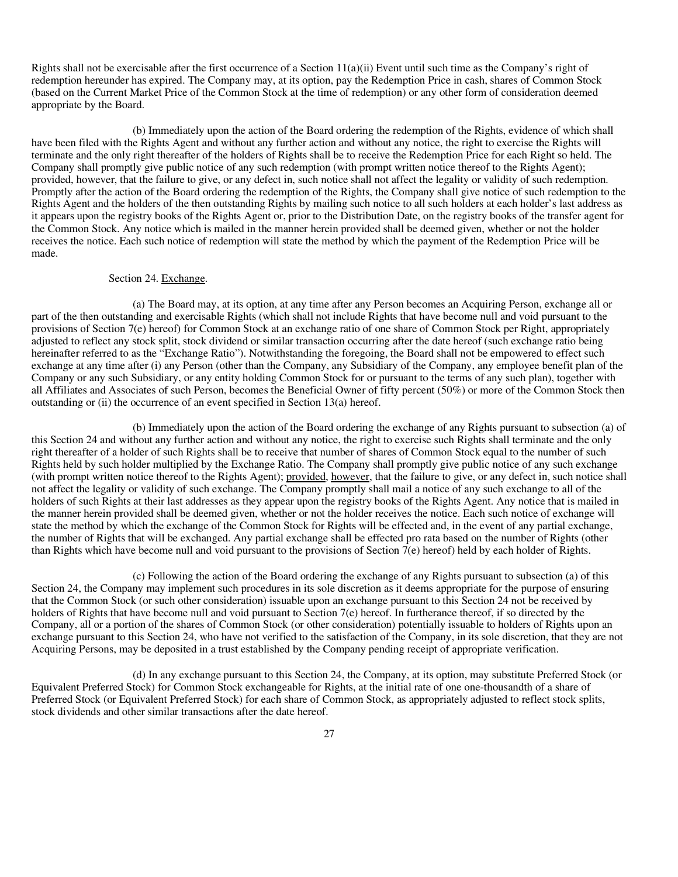Rights shall not be exercisable after the first occurrence of a Section  $11(a)(ii)$  Event until such time as the Company's right of redemption hereunder has expired. The Company may, at its option, pay the Redemption Price in cash, shares of Common Stock (based on the Current Market Price of the Common Stock at the time of redemption) or any other form of consideration deemed appropriate by the Board.

(b) Immediately upon the action of the Board ordering the redemption of the Rights, evidence of which shall have been filed with the Rights Agent and without any further action and without any notice, the right to exercise the Rights will terminate and the only right thereafter of the holders of Rights shall be to receive the Redemption Price for each Right so held. The Company shall promptly give public notice of any such redemption (with prompt written notice thereof to the Rights Agent); provided, however, that the failure to give, or any defect in, such notice shall not affect the legality or validity of such redemption. Promptly after the action of the Board ordering the redemption of the Rights, the Company shall give notice of such redemption to the Rights Agent and the holders of the then outstanding Rights by mailing such notice to all such holders at each holder's last address as it appears upon the registry books of the Rights Agent or, prior to the Distribution Date, on the registry books of the transfer agent for the Common Stock. Any notice which is mailed in the manner herein provided shall be deemed given, whether or not the holder receives the notice. Each such notice of redemption will state the method by which the payment of the Redemption Price will be made.

#### Section 24. Exchange.

(a) The Board may, at its option, at any time after any Person becomes an Acquiring Person, exchange all or part of the then outstanding and exercisable Rights (which shall not include Rights that have become null and void pursuant to the provisions of Section 7(e) hereof) for Common Stock at an exchange ratio of one share of Common Stock per Right, appropriately adjusted to reflect any stock split, stock dividend or similar transaction occurring after the date hereof (such exchange ratio being hereinafter referred to as the "Exchange Ratio"). Notwithstanding the foregoing, the Board shall not be empowered to effect such exchange at any time after (i) any Person (other than the Company, any Subsidiary of the Company, any employee benefit plan of the Company or any such Subsidiary, or any entity holding Common Stock for or pursuant to the terms of any such plan), together with all Affiliates and Associates of such Person, becomes the Beneficial Owner of fifty percent (50%) or more of the Common Stock then outstanding or (ii) the occurrence of an event specified in Section 13(a) hereof.

(b) Immediately upon the action of the Board ordering the exchange of any Rights pursuant to subsection (a) of this Section 24 and without any further action and without any notice, the right to exercise such Rights shall terminate and the only right thereafter of a holder of such Rights shall be to receive that number of shares of Common Stock equal to the number of such Rights held by such holder multiplied by the Exchange Ratio. The Company shall promptly give public notice of any such exchange (with prompt written notice thereof to the Rights Agent); provided, however, that the failure to give, or any defect in, such notice shall not affect the legality or validity of such exchange. The Company promptly shall mail a notice of any such exchange to all of the holders of such Rights at their last addresses as they appear upon the registry books of the Rights Agent. Any notice that is mailed in the manner herein provided shall be deemed given, whether or not the holder receives the notice. Each such notice of exchange will state the method by which the exchange of the Common Stock for Rights will be effected and, in the event of any partial exchange, the number of Rights that will be exchanged. Any partial exchange shall be effected pro rata based on the number of Rights (other than Rights which have become null and void pursuant to the provisions of Section 7(e) hereof) held by each holder of Rights.

(c) Following the action of the Board ordering the exchange of any Rights pursuant to subsection (a) of this Section 24, the Company may implement such procedures in its sole discretion as it deems appropriate for the purpose of ensuring that the Common Stock (or such other consideration) issuable upon an exchange pursuant to this Section 24 not be received by holders of Rights that have become null and void pursuant to Section 7(e) hereof. In furtherance thereof, if so directed by the Company, all or a portion of the shares of Common Stock (or other consideration) potentially issuable to holders of Rights upon an exchange pursuant to this Section 24, who have not verified to the satisfaction of the Company, in its sole discretion, that they are not Acquiring Persons, may be deposited in a trust established by the Company pending receipt of appropriate verification.

(d) In any exchange pursuant to this Section 24, the Company, at its option, may substitute Preferred Stock (or Equivalent Preferred Stock) for Common Stock exchangeable for Rights, at the initial rate of one one-thousandth of a share of Preferred Stock (or Equivalent Preferred Stock) for each share of Common Stock, as appropriately adjusted to reflect stock splits, stock dividends and other similar transactions after the date hereof.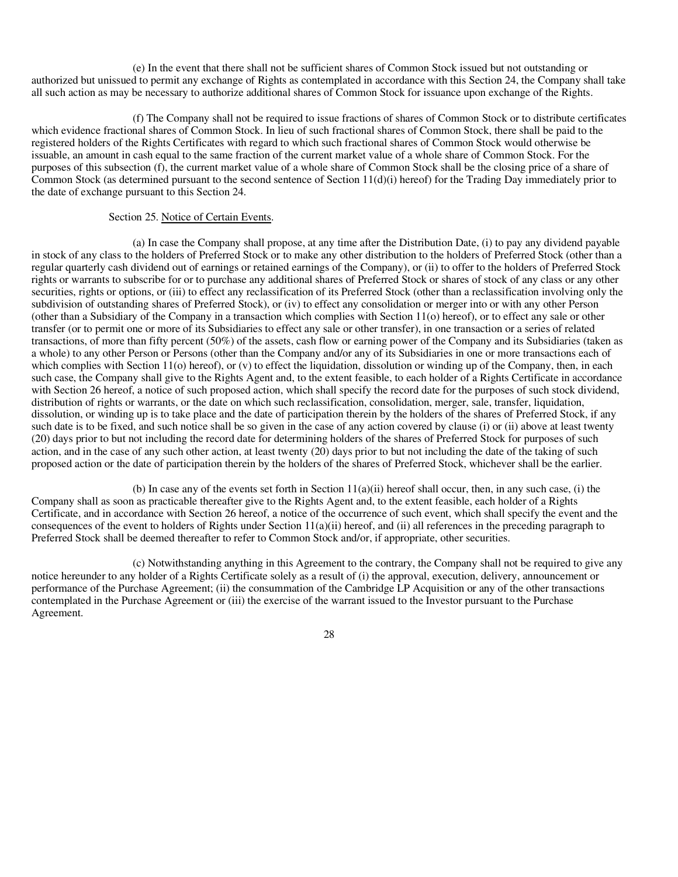(e) In the event that there shall not be sufficient shares of Common Stock issued but not outstanding or authorized but unissued to permit any exchange of Rights as contemplated in accordance with this Section 24, the Company shall take all such action as may be necessary to authorize additional shares of Common Stock for issuance upon exchange of the Rights.

(f) The Company shall not be required to issue fractions of shares of Common Stock or to distribute certificates which evidence fractional shares of Common Stock. In lieu of such fractional shares of Common Stock, there shall be paid to the registered holders of the Rights Certificates with regard to which such fractional shares of Common Stock would otherwise be issuable, an amount in cash equal to the same fraction of the current market value of a whole share of Common Stock. For the purposes of this subsection (f), the current market value of a whole share of Common Stock shall be the closing price of a share of Common Stock (as determined pursuant to the second sentence of Section 11(d)(i) hereof) for the Trading Day immediately prior to the date of exchange pursuant to this Section 24.

#### Section 25. Notice of Certain Events.

(a) In case the Company shall propose, at any time after the Distribution Date, (i) to pay any dividend payable in stock of any class to the holders of Preferred Stock or to make any other distribution to the holders of Preferred Stock (other than a regular quarterly cash dividend out of earnings or retained earnings of the Company), or (ii) to offer to the holders of Preferred Stock rights or warrants to subscribe for or to purchase any additional shares of Preferred Stock or shares of stock of any class or any other securities, rights or options, or (iii) to effect any reclassification of its Preferred Stock (other than a reclassification involving only the subdivision of outstanding shares of Preferred Stock), or (iv) to effect any consolidation or merger into or with any other Person (other than a Subsidiary of the Company in a transaction which complies with Section 11(o) hereof), or to effect any sale or other transfer (or to permit one or more of its Subsidiaries to effect any sale or other transfer), in one transaction or a series of related transactions, of more than fifty percent (50%) of the assets, cash flow or earning power of the Company and its Subsidiaries (taken as a whole) to any other Person or Persons (other than the Company and/or any of its Subsidiaries in one or more transactions each of which complies with Section  $11$ (o) hereof), or (v) to effect the liquidation, dissolution or winding up of the Company, then, in each such case, the Company shall give to the Rights Agent and, to the extent feasible, to each holder of a Rights Certificate in accordance with Section 26 hereof, a notice of such proposed action, which shall specify the record date for the purposes of such stock dividend, distribution of rights or warrants, or the date on which such reclassification, consolidation, merger, sale, transfer, liquidation, dissolution, or winding up is to take place and the date of participation therein by the holders of the shares of Preferred Stock, if any such date is to be fixed, and such notice shall be so given in the case of any action covered by clause (i) or (ii) above at least twenty (20) days prior to but not including the record date for determining holders of the shares of Preferred Stock for purposes of such action, and in the case of any such other action, at least twenty (20) days prior to but not including the date of the taking of such proposed action or the date of participation therein by the holders of the shares of Preferred Stock, whichever shall be the earlier.

(b) In case any of the events set forth in Section  $11(a)(ii)$  hereof shall occur, then, in any such case, (i) the Company shall as soon as practicable thereafter give to the Rights Agent and, to the extent feasible, each holder of a Rights Certificate, and in accordance with Section 26 hereof, a notice of the occurrence of such event, which shall specify the event and the consequences of the event to holders of Rights under Section 11(a)(ii) hereof, and (ii) all references in the preceding paragraph to Preferred Stock shall be deemed thereafter to refer to Common Stock and/or, if appropriate, other securities.

(c) Notwithstanding anything in this Agreement to the contrary, the Company shall not be required to give any notice hereunder to any holder of a Rights Certificate solely as a result of (i) the approval, execution, delivery, announcement or performance of the Purchase Agreement; (ii) the consummation of the Cambridge LP Acquisition or any of the other transactions contemplated in the Purchase Agreement or (iii) the exercise of the warrant issued to the Investor pursuant to the Purchase Agreement.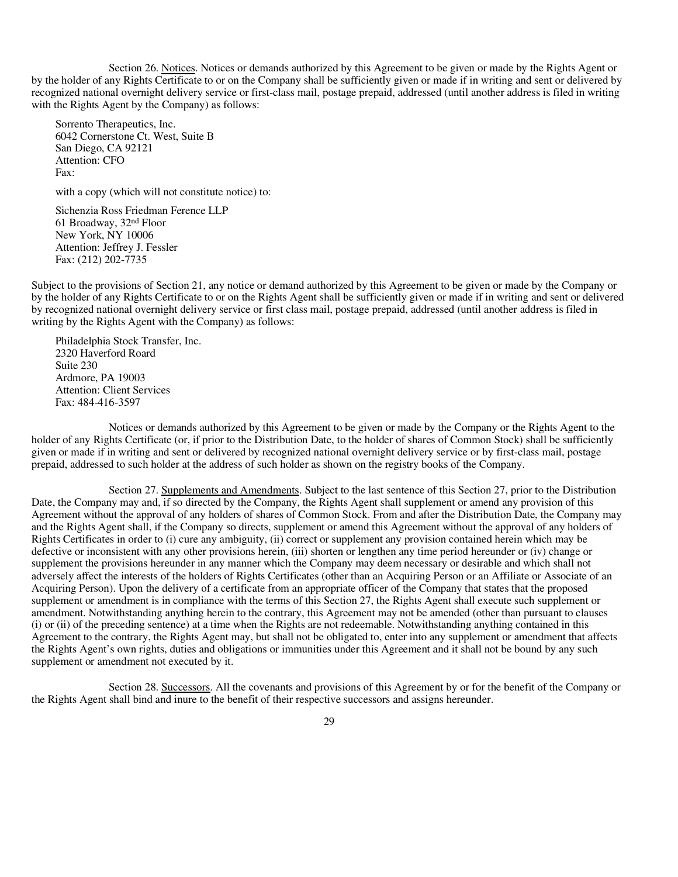Section 26. Notices. Notices or demands authorized by this Agreement to be given or made by the Rights Agent or by the holder of any Rights Certificate to or on the Company shall be sufficiently given or made if in writing and sent or delivered by recognized national overnight delivery service or first-class mail, postage prepaid, addressed (until another address is filed in writing with the Rights Agent by the Company) as follows:

Sorrento Therapeutics, Inc. 6042 Cornerstone Ct. West, Suite B San Diego, CA 92121 Attention: CFO Fax:

with a copy (which will not constitute notice) to:

Sichenzia Ross Friedman Ference LLP 61 Broadway, 32nd Floor New York, NY 10006 Attention: Jeffrey J. Fessler Fax: (212) 202-7735

Subject to the provisions of Section 21, any notice or demand authorized by this Agreement to be given or made by the Company or by the holder of any Rights Certificate to or on the Rights Agent shall be sufficiently given or made if in writing and sent or delivered by recognized national overnight delivery service or first class mail, postage prepaid, addressed (until another address is filed in writing by the Rights Agent with the Company) as follows:

Philadelphia Stock Transfer, Inc. 2320 Haverford Roard Suite 230 Ardmore, PA 19003 Attention: Client Services Fax: 484-416-3597

Notices or demands authorized by this Agreement to be given or made by the Company or the Rights Agent to the holder of any Rights Certificate (or, if prior to the Distribution Date, to the holder of shares of Common Stock) shall be sufficiently given or made if in writing and sent or delivered by recognized national overnight delivery service or by first-class mail, postage prepaid, addressed to such holder at the address of such holder as shown on the registry books of the Company.

Section 27. Supplements and Amendments. Subject to the last sentence of this Section 27, prior to the Distribution Date, the Company may and, if so directed by the Company, the Rights Agent shall supplement or amend any provision of this Agreement without the approval of any holders of shares of Common Stock. From and after the Distribution Date, the Company may and the Rights Agent shall, if the Company so directs, supplement or amend this Agreement without the approval of any holders of Rights Certificates in order to (i) cure any ambiguity, (ii) correct or supplement any provision contained herein which may be defective or inconsistent with any other provisions herein, (iii) shorten or lengthen any time period hereunder or (iv) change or supplement the provisions hereunder in any manner which the Company may deem necessary or desirable and which shall not adversely affect the interests of the holders of Rights Certificates (other than an Acquiring Person or an Affiliate or Associate of an Acquiring Person). Upon the delivery of a certificate from an appropriate officer of the Company that states that the proposed supplement or amendment is in compliance with the terms of this Section 27, the Rights Agent shall execute such supplement or amendment. Notwithstanding anything herein to the contrary, this Agreement may not be amended (other than pursuant to clauses (i) or (ii) of the preceding sentence) at a time when the Rights are not redeemable. Notwithstanding anything contained in this Agreement to the contrary, the Rights Agent may, but shall not be obligated to, enter into any supplement or amendment that affects the Rights Agent's own rights, duties and obligations or immunities under this Agreement and it shall not be bound by any such supplement or amendment not executed by it.

Section 28. Successors. All the covenants and provisions of this Agreement by or for the benefit of the Company or the Rights Agent shall bind and inure to the benefit of their respective successors and assigns hereunder.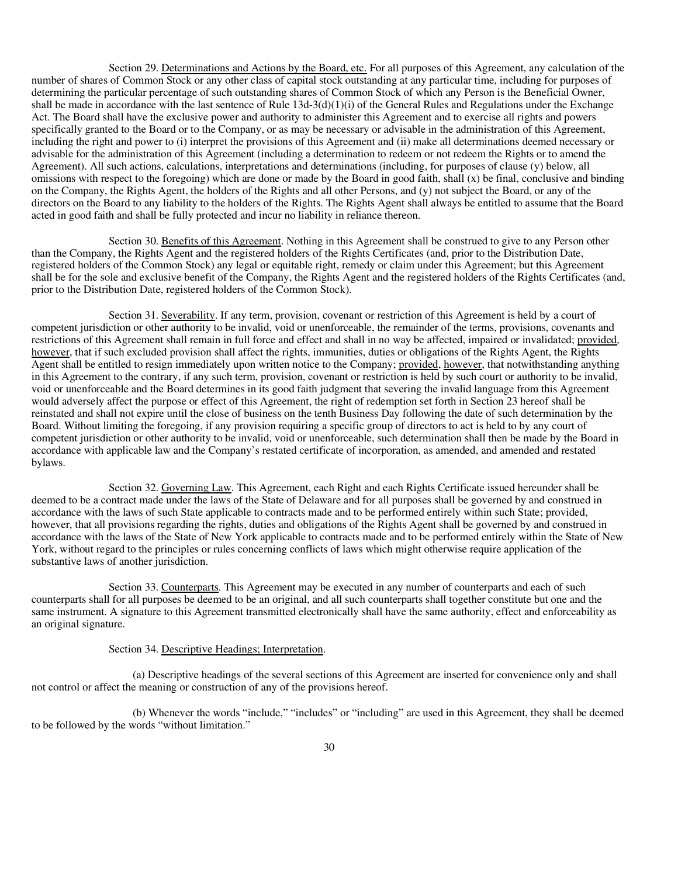Section 29. Determinations and Actions by the Board, etc. For all purposes of this Agreement, any calculation of the number of shares of Common Stock or any other class of capital stock outstanding at any particular time, including for purposes of determining the particular percentage of such outstanding shares of Common Stock of which any Person is the Beneficial Owner, shall be made in accordance with the last sentence of Rule 13d-3(d)(1)(i) of the General Rules and Regulations under the Exchange Act. The Board shall have the exclusive power and authority to administer this Agreement and to exercise all rights and powers specifically granted to the Board or to the Company, or as may be necessary or advisable in the administration of this Agreement, including the right and power to (i) interpret the provisions of this Agreement and (ii) make all determinations deemed necessary or advisable for the administration of this Agreement (including a determination to redeem or not redeem the Rights or to amend the Agreement). All such actions, calculations, interpretations and determinations (including, for purposes of clause (y) below, all omissions with respect to the foregoing) which are done or made by the Board in good faith, shall (x) be final, conclusive and binding on the Company, the Rights Agent, the holders of the Rights and all other Persons, and (y) not subject the Board, or any of the directors on the Board to any liability to the holders of the Rights. The Rights Agent shall always be entitled to assume that the Board acted in good faith and shall be fully protected and incur no liability in reliance thereon.

Section 30. Benefits of this Agreement. Nothing in this Agreement shall be construed to give to any Person other than the Company, the Rights Agent and the registered holders of the Rights Certificates (and, prior to the Distribution Date, registered holders of the Common Stock) any legal or equitable right, remedy or claim under this Agreement; but this Agreement shall be for the sole and exclusive benefit of the Company, the Rights Agent and the registered holders of the Rights Certificates (and, prior to the Distribution Date, registered holders of the Common Stock).

Section 31. Severability. If any term, provision, covenant or restriction of this Agreement is held by a court of competent jurisdiction or other authority to be invalid, void or unenforceable, the remainder of the terms, provisions, covenants and restrictions of this Agreement shall remain in full force and effect and shall in no way be affected, impaired or invalidated; provided, however, that if such excluded provision shall affect the rights, immunities, duties or obligations of the Rights Agent, the Rights Agent shall be entitled to resign immediately upon written notice to the Company; provided, however, that notwithstanding anything in this Agreement to the contrary, if any such term, provision, covenant or restriction is held by such court or authority to be invalid, void or unenforceable and the Board determines in its good faith judgment that severing the invalid language from this Agreement would adversely affect the purpose or effect of this Agreement, the right of redemption set forth in Section 23 hereof shall be reinstated and shall not expire until the close of business on the tenth Business Day following the date of such determination by the Board. Without limiting the foregoing, if any provision requiring a specific group of directors to act is held to by any court of competent jurisdiction or other authority to be invalid, void or unenforceable, such determination shall then be made by the Board in accordance with applicable law and the Company's restated certificate of incorporation, as amended, and amended and restated bylaws.

Section 32. Governing Law. This Agreement, each Right and each Rights Certificate issued hereunder shall be deemed to be a contract made under the laws of the State of Delaware and for all purposes shall be governed by and construed in accordance with the laws of such State applicable to contracts made and to be performed entirely within such State; provided, however, that all provisions regarding the rights, duties and obligations of the Rights Agent shall be governed by and construed in accordance with the laws of the State of New York applicable to contracts made and to be performed entirely within the State of New York, without regard to the principles or rules concerning conflicts of laws which might otherwise require application of the substantive laws of another jurisdiction.

Section 33. Counterparts. This Agreement may be executed in any number of counterparts and each of such counterparts shall for all purposes be deemed to be an original, and all such counterparts shall together constitute but one and the same instrument. A signature to this Agreement transmitted electronically shall have the same authority, effect and enforceability as an original signature.

#### Section 34. Descriptive Headings; Interpretation.

(a) Descriptive headings of the several sections of this Agreement are inserted for convenience only and shall not control or affect the meaning or construction of any of the provisions hereof.

(b) Whenever the words "include," "includes" or "including" are used in this Agreement, they shall be deemed to be followed by the words "without limitation."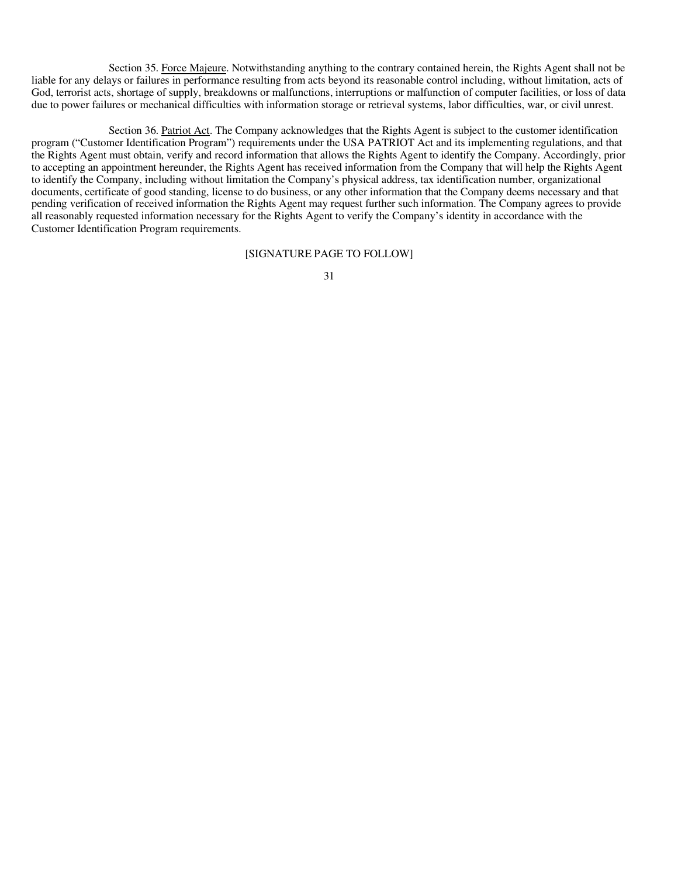Section 35. Force Majeure. Notwithstanding anything to the contrary contained herein, the Rights Agent shall not be liable for any delays or failures in performance resulting from acts beyond its reasonable control including, without limitation, acts of God, terrorist acts, shortage of supply, breakdowns or malfunctions, interruptions or malfunction of computer facilities, or loss of data due to power failures or mechanical difficulties with information storage or retrieval systems, labor difficulties, war, or civil unrest.

Section 36. Patriot Act. The Company acknowledges that the Rights Agent is subject to the customer identification program ("Customer Identification Program") requirements under the USA PATRIOT Act and its implementing regulations, and that the Rights Agent must obtain, verify and record information that allows the Rights Agent to identify the Company. Accordingly, prior to accepting an appointment hereunder, the Rights Agent has received information from the Company that will help the Rights Agent to identify the Company, including without limitation the Company's physical address, tax identification number, organizational documents, certificate of good standing, license to do business, or any other information that the Company deems necessary and that pending verification of received information the Rights Agent may request further such information. The Company agrees to provide all reasonably requested information necessary for the Rights Agent to verify the Company's identity in accordance with the Customer Identification Program requirements.

#### [SIGNATURE PAGE TO FOLLOW]

<sup>31</sup>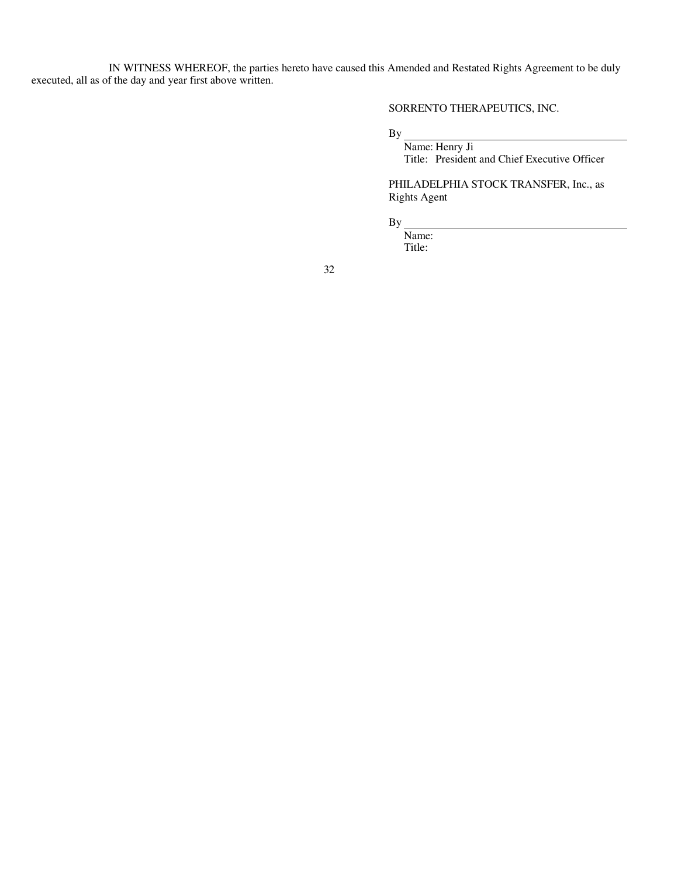IN WITNESS WHEREOF, the parties hereto have caused this Amended and Restated Rights Agreement to be duly executed, all as of the day and year first above written.

#### SORRENTO THERAPEUTICS, INC.

By

Name: Henry Ji Title: President and Chief Executive Officer

PHILADELPHIA STOCK TRANSFER, Inc., as Rights Agent

By

Name: Title: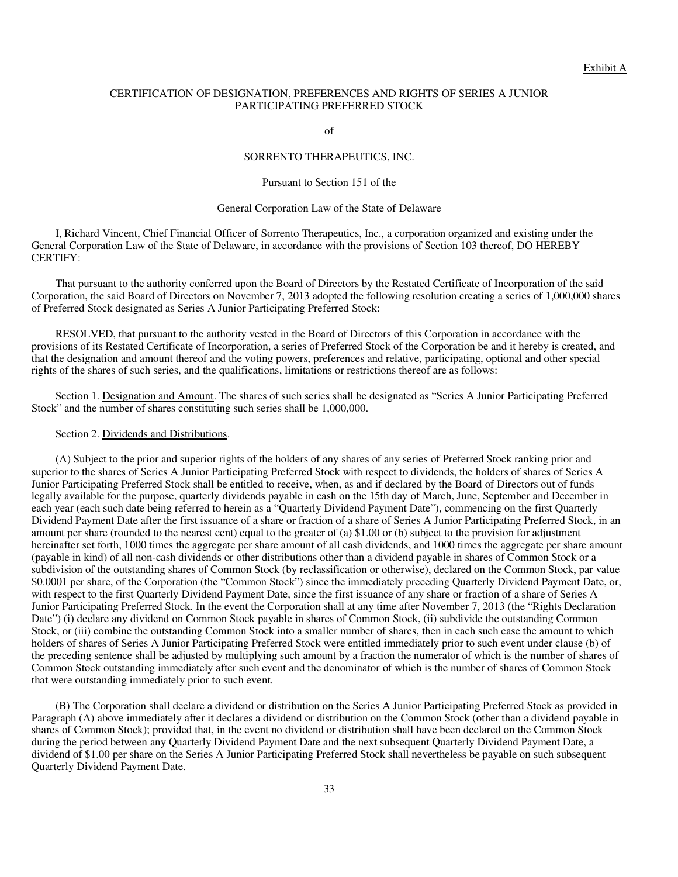Exhibit A

#### CERTIFICATION OF DESIGNATION, PREFERENCES AND RIGHTS OF SERIES A JUNIOR PARTICIPATING PREFERRED STOCK

of

#### SORRENTO THERAPEUTICS, INC.

#### Pursuant to Section 151 of the

#### General Corporation Law of the State of Delaware

I, Richard Vincent, Chief Financial Officer of Sorrento Therapeutics, Inc., a corporation organized and existing under the General Corporation Law of the State of Delaware, in accordance with the provisions of Section 103 thereof, DO HEREBY CERTIFY:

That pursuant to the authority conferred upon the Board of Directors by the Restated Certificate of Incorporation of the said Corporation, the said Board of Directors on November 7, 2013 adopted the following resolution creating a series of 1,000,000 shares of Preferred Stock designated as Series A Junior Participating Preferred Stock:

RESOLVED, that pursuant to the authority vested in the Board of Directors of this Corporation in accordance with the provisions of its Restated Certificate of Incorporation, a series of Preferred Stock of the Corporation be and it hereby is created, and that the designation and amount thereof and the voting powers, preferences and relative, participating, optional and other special rights of the shares of such series, and the qualifications, limitations or restrictions thereof are as follows:

Section 1. Designation and Amount. The shares of such series shall be designated as "Series A Junior Participating Preferred Stock" and the number of shares constituting such series shall be 1,000,000.

#### Section 2. Dividends and Distributions.

(A) Subject to the prior and superior rights of the holders of any shares of any series of Preferred Stock ranking prior and superior to the shares of Series A Junior Participating Preferred Stock with respect to dividends, the holders of shares of Series A Junior Participating Preferred Stock shall be entitled to receive, when, as and if declared by the Board of Directors out of funds legally available for the purpose, quarterly dividends payable in cash on the 15th day of March, June, September and December in each year (each such date being referred to herein as a "Quarterly Dividend Payment Date"), commencing on the first Quarterly Dividend Payment Date after the first issuance of a share or fraction of a share of Series A Junior Participating Preferred Stock, in an amount per share (rounded to the nearest cent) equal to the greater of (a) \$1.00 or (b) subject to the provision for adjustment hereinafter set forth, 1000 times the aggregate per share amount of all cash dividends, and 1000 times the aggregate per share amount (payable in kind) of all non-cash dividends or other distributions other than a dividend payable in shares of Common Stock or a subdivision of the outstanding shares of Common Stock (by reclassification or otherwise), declared on the Common Stock, par value \$0.0001 per share, of the Corporation (the "Common Stock") since the immediately preceding Quarterly Dividend Payment Date, or, with respect to the first Quarterly Dividend Payment Date, since the first issuance of any share or fraction of a share of Series A Junior Participating Preferred Stock. In the event the Corporation shall at any time after November 7, 2013 (the "Rights Declaration Date") (i) declare any dividend on Common Stock payable in shares of Common Stock, (ii) subdivide the outstanding Common Stock, or (iii) combine the outstanding Common Stock into a smaller number of shares, then in each such case the amount to which holders of shares of Series A Junior Participating Preferred Stock were entitled immediately prior to such event under clause (b) of the preceding sentence shall be adjusted by multiplying such amount by a fraction the numerator of which is the number of shares of Common Stock outstanding immediately after such event and the denominator of which is the number of shares of Common Stock that were outstanding immediately prior to such event.

(B) The Corporation shall declare a dividend or distribution on the Series A Junior Participating Preferred Stock as provided in Paragraph (A) above immediately after it declares a dividend or distribution on the Common Stock (other than a dividend payable in shares of Common Stock); provided that, in the event no dividend or distribution shall have been declared on the Common Stock during the period between any Quarterly Dividend Payment Date and the next subsequent Quarterly Dividend Payment Date, a dividend of \$1.00 per share on the Series A Junior Participating Preferred Stock shall nevertheless be payable on such subsequent Quarterly Dividend Payment Date.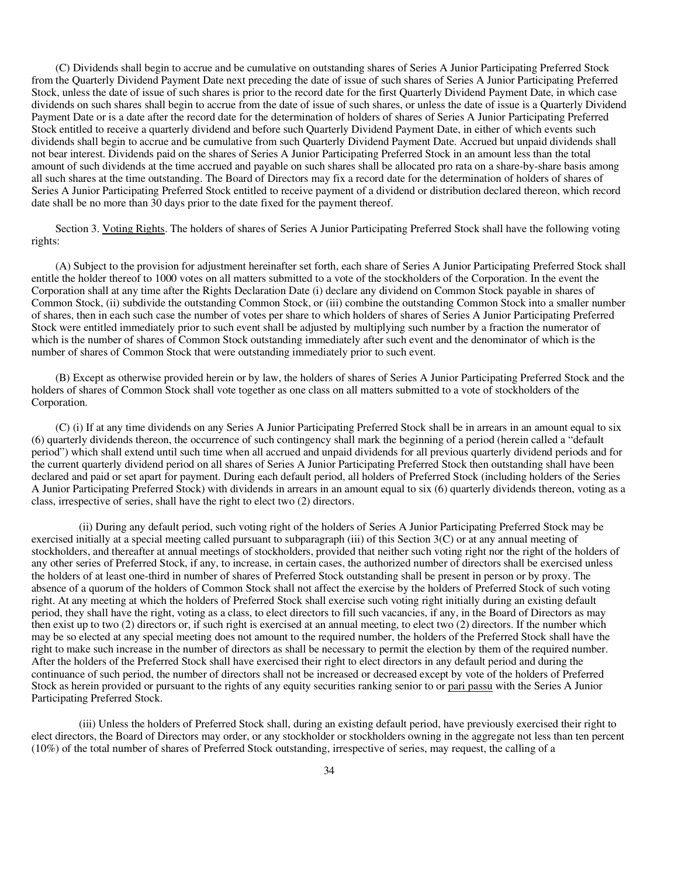(C) Dividends shall begin to accrue and be cumulative on outstanding shares of Series A Junior Participating Preferred Stock from the Quarterly Dividend Payment Date next preceding the date of issue of such shares of Series A Junior Participating Preferred Stock, unless the date of issue of such shares is prior to the record date for the first Quarterly Dividend Payment Date, in which case dividends on such shares shall begin to accrue from the date of issue of such shares, or unless the date of issue is a Quarterly Dividend Payment Date or is a date after the record date for the determination of holders of shares of Series A Junior Participating Preferred Stock entitled to receive a quarterly dividend and before such Quarterly Dividend Payment Date, in either of which events such dividends shall begin to accrue and be cumulative from such Quarterly Dividend Payment Date. Accrued but unpaid dividends shall not bear interest. Dividends paid on the shares of Series A Junior Participating Preferred Stock in an amount less than the total amount of such dividends at the time accrued and payable on such shares shall be allocated pro rata on a share-by-share basis among all such shares at the time outstanding. The Board of Directors may fix a record date for the determination of holders of shares of Series A Junior Participating Preferred Stock entitled to receive payment of a dividend or distribution declared thereon, which record date shall be no more than 30 days prior to the date fixed for the payment thereof.

Section 3. Voting Rights. The holders of shares of Series A Junior Participating Preferred Stock shall have the following voting rights:

(A) Subject to the provision for adjustment hereinafter set forth, each share of Series A Junior Participating Preferred Stock shall entitle the holder thereof to 1000 votes on all matters submitted to a vote of the stockholders of the Corporation. In the event the Corporation shall at any time after the Rights Declaration Date (i) declare any dividend on Common Stock payable in shares of Common Stock, (ii) subdivide the outstanding Common Stock, or (iii) combine the outstanding Common Stock into a smaller number of shares, then in each such case the number of votes per share to which holders of shares of Series A Junior Participating Preferred Stock were entitled immediately prior to such event shall be adjusted by multiplying such number by a fraction the numerator of which is the number of shares of Common Stock outstanding immediately after such event and the denominator of which is the number of shares of Common Stock that were outstanding immediately prior to such event.

(B) Except as otherwise provided herein or by law, the holders of shares of Series A Junior Participating Preferred Stock and the holders of shares of Common Stock shall vote together as one class on all matters submitted to a vote of stockholders of the Corporation.

(C) (i) If at any time dividends on any Series A Junior Participating Preferred Stock shall be in arrears in an amount equal to six (6) quarterly dividends thereon, the occurrence of such contingency shall mark the beginning of a period (herein called a "default period") which shall extend until such time when all accrued and unpaid dividends for all previous quarterly dividend periods and for the current quarterly dividend period on all shares of Series A Junior Participating Preferred Stock then outstanding shall have been declared and paid or set apart for payment. During each default period, all holders of Preferred Stock (including holders of the Series A Junior Participating Preferred Stock) with dividends in arrears in an amount equal to six (6) quarterly dividends thereon, voting as a class, irrespective of series, shall have the right to elect two (2) directors.

(ii) During any default period, such voting right of the holders of Series A Junior Participating Preferred Stock may be exercised initially at a special meeting called pursuant to subparagraph (iii) of this Section 3(C) or at any annual meeting of stockholders, and thereafter at annual meetings of stockholders, provided that neither such voting right nor the right of the holders of any other series of Preferred Stock, if any, to increase, in certain cases, the authorized number of directors shall be exercised unless the holders of at least one-third in number of shares of Preferred Stock outstanding shall be present in person or by proxy. The absence of a quorum of the holders of Common Stock shall not affect the exercise by the holders of Preferred Stock of such voting right. At any meeting at which the holders of Preferred Stock shall exercise such voting right initially during an existing default period, they shall have the right, voting as a class, to elect directors to fill such vacancies, if any, in the Board of Directors as may then exist up to two (2) directors or, if such right is exercised at an annual meeting, to elect two (2) directors. If the number which may be so elected at any special meeting does not amount to the required number, the holders of the Preferred Stock shall have the right to make such increase in the number of directors as shall be necessary to permit the election by them of the required number. After the holders of the Preferred Stock shall have exercised their right to elect directors in any default period and during the continuance of such period, the number of directors shall not be increased or decreased except by vote of the holders of Preferred Stock as herein provided or pursuant to the rights of any equity securities ranking senior to or pari passu with the Series A Junior Participating Preferred Stock.

(iii) Unless the holders of Preferred Stock shall, during an existing default period, have previously exercised their right to elect directors, the Board of Directors may order, or any stockholder or stockholders owning in the aggregate not less than ten percent (10%) of the total number of shares of Preferred Stock outstanding, irrespective of series, may request, the calling of a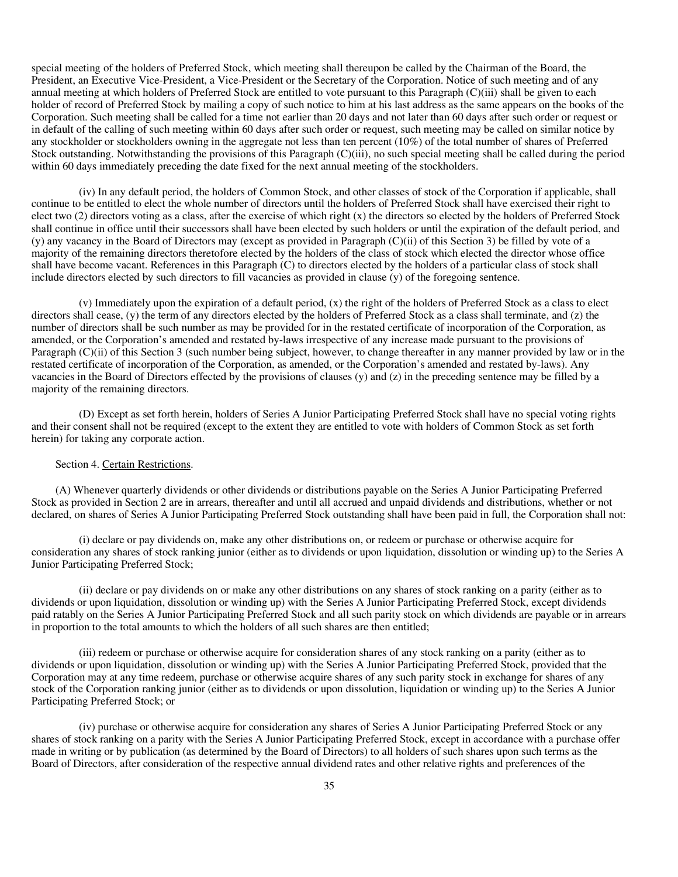special meeting of the holders of Preferred Stock, which meeting shall thereupon be called by the Chairman of the Board, the President, an Executive Vice-President, a Vice-President or the Secretary of the Corporation. Notice of such meeting and of any annual meeting at which holders of Preferred Stock are entitled to vote pursuant to this Paragraph (C)(iii) shall be given to each holder of record of Preferred Stock by mailing a copy of such notice to him at his last address as the same appears on the books of the Corporation. Such meeting shall be called for a time not earlier than 20 days and not later than 60 days after such order or request or in default of the calling of such meeting within 60 days after such order or request, such meeting may be called on similar notice by any stockholder or stockholders owning in the aggregate not less than ten percent (10%) of the total number of shares of Preferred Stock outstanding. Notwithstanding the provisions of this Paragraph (C)(iii), no such special meeting shall be called during the period within 60 days immediately preceding the date fixed for the next annual meeting of the stockholders.

(iv) In any default period, the holders of Common Stock, and other classes of stock of the Corporation if applicable, shall continue to be entitled to elect the whole number of directors until the holders of Preferred Stock shall have exercised their right to elect two  $(2)$  directors voting as a class, after the exercise of which right  $(x)$  the directors so elected by the holders of Preferred Stock shall continue in office until their successors shall have been elected by such holders or until the expiration of the default period, and (y) any vacancy in the Board of Directors may (except as provided in Paragraph (C)(ii) of this Section 3) be filled by vote of a majority of the remaining directors theretofore elected by the holders of the class of stock which elected the director whose office shall have become vacant. References in this Paragraph (C) to directors elected by the holders of a particular class of stock shall include directors elected by such directors to fill vacancies as provided in clause (y) of the foregoing sentence.

(v) Immediately upon the expiration of a default period, (x) the right of the holders of Preferred Stock as a class to elect directors shall cease, (y) the term of any directors elected by the holders of Preferred Stock as a class shall terminate, and (z) the number of directors shall be such number as may be provided for in the restated certificate of incorporation of the Corporation, as amended, or the Corporation's amended and restated by-laws irrespective of any increase made pursuant to the provisions of Paragraph (C)(ii) of this Section 3 (such number being subject, however, to change thereafter in any manner provided by law or in the restated certificate of incorporation of the Corporation, as amended, or the Corporation's amended and restated by-laws). Any vacancies in the Board of Directors effected by the provisions of clauses (y) and (z) in the preceding sentence may be filled by a majority of the remaining directors.

(D) Except as set forth herein, holders of Series A Junior Participating Preferred Stock shall have no special voting rights and their consent shall not be required (except to the extent they are entitled to vote with holders of Common Stock as set forth herein) for taking any corporate action.

#### Section 4. Certain Restrictions.

(A) Whenever quarterly dividends or other dividends or distributions payable on the Series A Junior Participating Preferred Stock as provided in Section 2 are in arrears, thereafter and until all accrued and unpaid dividends and distributions, whether or not declared, on shares of Series A Junior Participating Preferred Stock outstanding shall have been paid in full, the Corporation shall not:

(i) declare or pay dividends on, make any other distributions on, or redeem or purchase or otherwise acquire for consideration any shares of stock ranking junior (either as to dividends or upon liquidation, dissolution or winding up) to the Series A Junior Participating Preferred Stock;

(ii) declare or pay dividends on or make any other distributions on any shares of stock ranking on a parity (either as to dividends or upon liquidation, dissolution or winding up) with the Series A Junior Participating Preferred Stock, except dividends paid ratably on the Series A Junior Participating Preferred Stock and all such parity stock on which dividends are payable or in arrears in proportion to the total amounts to which the holders of all such shares are then entitled;

(iii) redeem or purchase or otherwise acquire for consideration shares of any stock ranking on a parity (either as to dividends or upon liquidation, dissolution or winding up) with the Series A Junior Participating Preferred Stock, provided that the Corporation may at any time redeem, purchase or otherwise acquire shares of any such parity stock in exchange for shares of any stock of the Corporation ranking junior (either as to dividends or upon dissolution, liquidation or winding up) to the Series A Junior Participating Preferred Stock; or

(iv) purchase or otherwise acquire for consideration any shares of Series A Junior Participating Preferred Stock or any shares of stock ranking on a parity with the Series A Junior Participating Preferred Stock, except in accordance with a purchase offer made in writing or by publication (as determined by the Board of Directors) to all holders of such shares upon such terms as the Board of Directors, after consideration of the respective annual dividend rates and other relative rights and preferences of the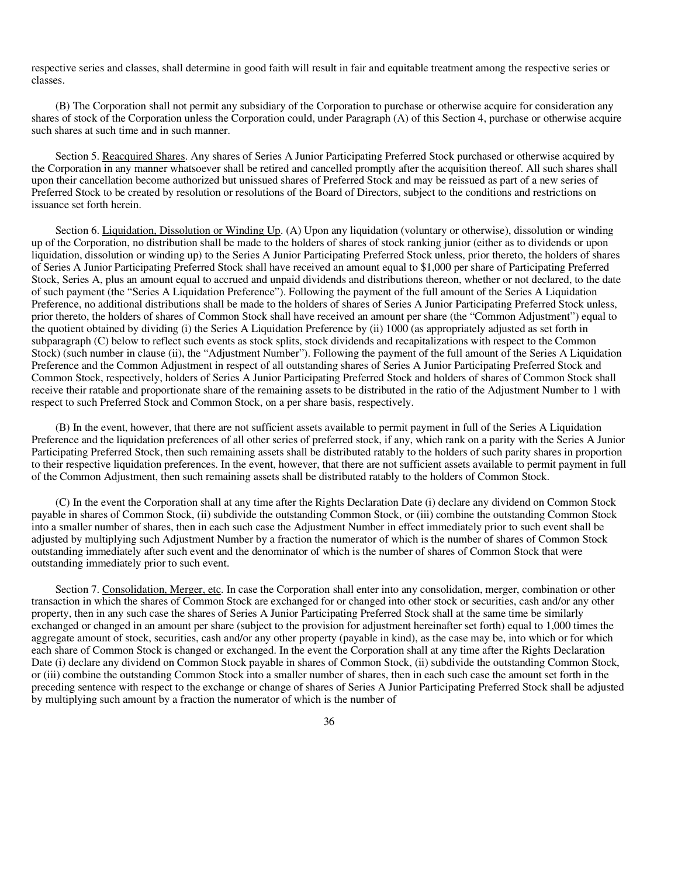respective series and classes, shall determine in good faith will result in fair and equitable treatment among the respective series or classes.

(B) The Corporation shall not permit any subsidiary of the Corporation to purchase or otherwise acquire for consideration any shares of stock of the Corporation unless the Corporation could, under Paragraph (A) of this Section 4, purchase or otherwise acquire such shares at such time and in such manner.

Section 5. Reacquired Shares. Any shares of Series A Junior Participating Preferred Stock purchased or otherwise acquired by the Corporation in any manner whatsoever shall be retired and cancelled promptly after the acquisition thereof. All such shares shall upon their cancellation become authorized but unissued shares of Preferred Stock and may be reissued as part of a new series of Preferred Stock to be created by resolution or resolutions of the Board of Directors, subject to the conditions and restrictions on issuance set forth herein.

Section 6. Liquidation, Dissolution or Winding Up. (A) Upon any liquidation (voluntary or otherwise), dissolution or winding up of the Corporation, no distribution shall be made to the holders of shares of stock ranking junior (either as to dividends or upon liquidation, dissolution or winding up) to the Series A Junior Participating Preferred Stock unless, prior thereto, the holders of shares of Series A Junior Participating Preferred Stock shall have received an amount equal to \$1,000 per share of Participating Preferred Stock, Series A, plus an amount equal to accrued and unpaid dividends and distributions thereon, whether or not declared, to the date of such payment (the "Series A Liquidation Preference"). Following the payment of the full amount of the Series A Liquidation Preference, no additional distributions shall be made to the holders of shares of Series A Junior Participating Preferred Stock unless, prior thereto, the holders of shares of Common Stock shall have received an amount per share (the "Common Adjustment") equal to the quotient obtained by dividing (i) the Series A Liquidation Preference by (ii)  $1000$  (as appropriately adjusted as set forth in subparagraph (C) below to reflect such events as stock splits, stock dividends and recapitalizations with respect to the Common Stock) (such number in clause (ii), the "Adjustment Number"). Following the payment of the full amount of the Series A Liquidation Preference and the Common Adjustment in respect of all outstanding shares of Series A Junior Participating Preferred Stock and Common Stock, respectively, holders of Series A Junior Participating Preferred Stock and holders of shares of Common Stock shall receive their ratable and proportionate share of the remaining assets to be distributed in the ratio of the Adjustment Number to 1 with respect to such Preferred Stock and Common Stock, on a per share basis, respectively.

(B) In the event, however, that there are not sufficient assets available to permit payment in full of the Series A Liquidation Preference and the liquidation preferences of all other series of preferred stock, if any, which rank on a parity with the Series A Junior Participating Preferred Stock, then such remaining assets shall be distributed ratably to the holders of such parity shares in proportion to their respective liquidation preferences. In the event, however, that there are not sufficient assets available to permit payment in full of the Common Adjustment, then such remaining assets shall be distributed ratably to the holders of Common Stock.

(C) In the event the Corporation shall at any time after the Rights Declaration Date (i) declare any dividend on Common Stock payable in shares of Common Stock, (ii) subdivide the outstanding Common Stock, or (iii) combine the outstanding Common Stock into a smaller number of shares, then in each such case the Adjustment Number in effect immediately prior to such event shall be adjusted by multiplying such Adjustment Number by a fraction the numerator of which is the number of shares of Common Stock outstanding immediately after such event and the denominator of which is the number of shares of Common Stock that were outstanding immediately prior to such event.

Section 7. Consolidation, Merger, etc. In case the Corporation shall enter into any consolidation, merger, combination or other transaction in which the shares of Common Stock are exchanged for or changed into other stock or securities, cash and/or any other property, then in any such case the shares of Series A Junior Participating Preferred Stock shall at the same time be similarly exchanged or changed in an amount per share (subject to the provision for adjustment hereinafter set forth) equal to 1,000 times the aggregate amount of stock, securities, cash and/or any other property (payable in kind), as the case may be, into which or for which each share of Common Stock is changed or exchanged. In the event the Corporation shall at any time after the Rights Declaration Date (i) declare any dividend on Common Stock payable in shares of Common Stock, (ii) subdivide the outstanding Common Stock, or (iii) combine the outstanding Common Stock into a smaller number of shares, then in each such case the amount set forth in the preceding sentence with respect to the exchange or change of shares of Series A Junior Participating Preferred Stock shall be adjusted by multiplying such amount by a fraction the numerator of which is the number of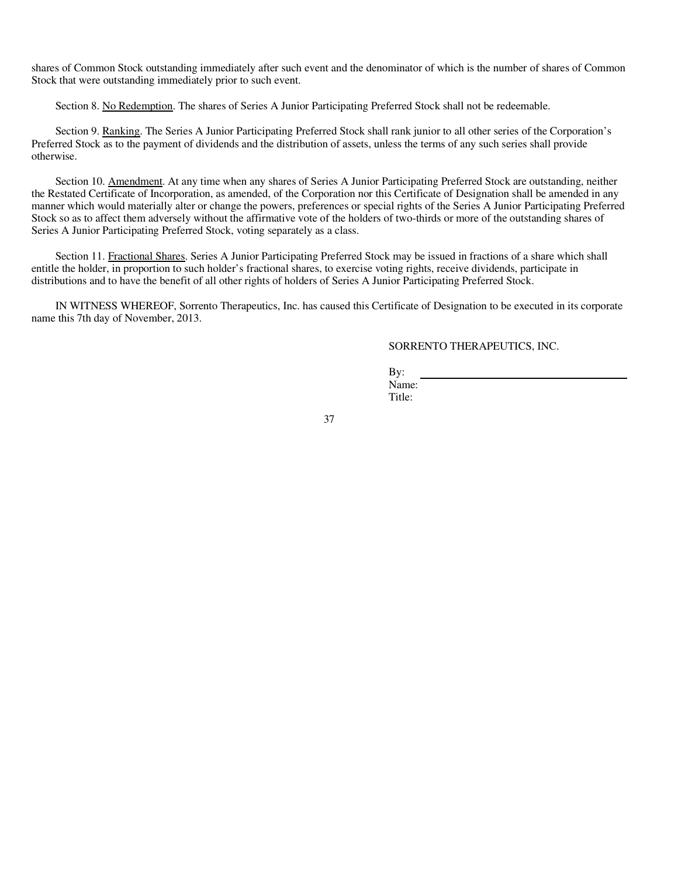shares of Common Stock outstanding immediately after such event and the denominator of which is the number of shares of Common Stock that were outstanding immediately prior to such event.

Section 8. No Redemption. The shares of Series A Junior Participating Preferred Stock shall not be redeemable.

Section 9. Ranking. The Series A Junior Participating Preferred Stock shall rank junior to all other series of the Corporation's Preferred Stock as to the payment of dividends and the distribution of assets, unless the terms of any such series shall provide otherwise.

Section 10. Amendment. At any time when any shares of Series A Junior Participating Preferred Stock are outstanding, neither the Restated Certificate of Incorporation, as amended, of the Corporation nor this Certificate of Designation shall be amended in any manner which would materially alter or change the powers, preferences or special rights of the Series A Junior Participating Preferred Stock so as to affect them adversely without the affirmative vote of the holders of two-thirds or more of the outstanding shares of Series A Junior Participating Preferred Stock, voting separately as a class.

Section 11. Fractional Shares. Series A Junior Participating Preferred Stock may be issued in fractions of a share which shall entitle the holder, in proportion to such holder's fractional shares, to exercise voting rights, receive dividends, participate in distributions and to have the benefit of all other rights of holders of Series A Junior Participating Preferred Stock.

IN WITNESS WHEREOF, Sorrento Therapeutics, Inc. has caused this Certificate of Designation to be executed in its corporate name this 7th day of November, 2013.

#### SORRENTO THERAPEUTICS, INC.

By: Name: Title: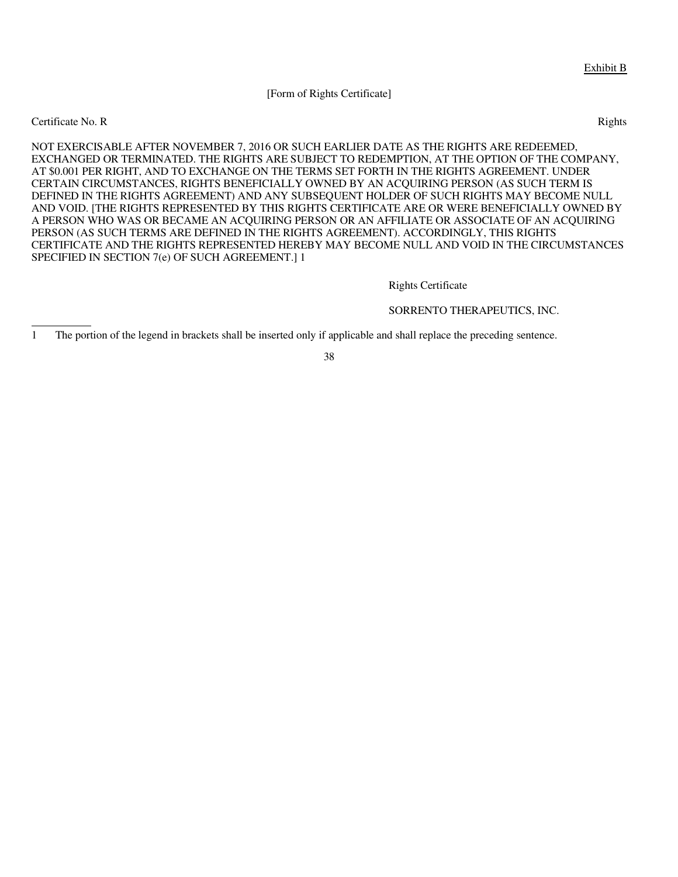Exhibit B

[Form of Rights Certificate]

Certificate No. R Rights

NOT EXERCISABLE AFTER NOVEMBER 7, 2016 OR SUCH EARLIER DATE AS THE RIGHTS ARE REDEEMED, EXCHANGED OR TERMINATED. THE RIGHTS ARE SUBJECT TO REDEMPTION, AT THE OPTION OF THE COMPANY, AT \$0.001 PER RIGHT, AND TO EXCHANGE ON THE TERMS SET FORTH IN THE RIGHTS AGREEMENT. UNDER CERTAIN CIRCUMSTANCES, RIGHTS BENEFICIALLY OWNED BY AN ACQUIRING PERSON (AS SUCH TERM IS DEFINED IN THE RIGHTS AGREEMENT) AND ANY SUBSEQUENT HOLDER OF SUCH RIGHTS MAY BECOME NULL AND VOID. [THE RIGHTS REPRESENTED BY THIS RIGHTS CERTIFICATE ARE OR WERE BENEFICIALLY OWNED BY A PERSON WHO WAS OR BECAME AN ACQUIRING PERSON OR AN AFFILIATE OR ASSOCIATE OF AN ACQUIRING PERSON (AS SUCH TERMS ARE DEFINED IN THE RIGHTS AGREEMENT). ACCORDINGLY, THIS RIGHTS CERTIFICATE AND THE RIGHTS REPRESENTED HEREBY MAY BECOME NULL AND VOID IN THE CIRCUMSTANCES SPECIFIED IN SECTION 7(e) OF SUCH AGREEMENT.] 1

Rights Certificate

SORRENTO THERAPEUTICS, INC.

<sup>1</sup> The portion of the legend in brackets shall be inserted only if applicable and shall replace the preceding sentence.

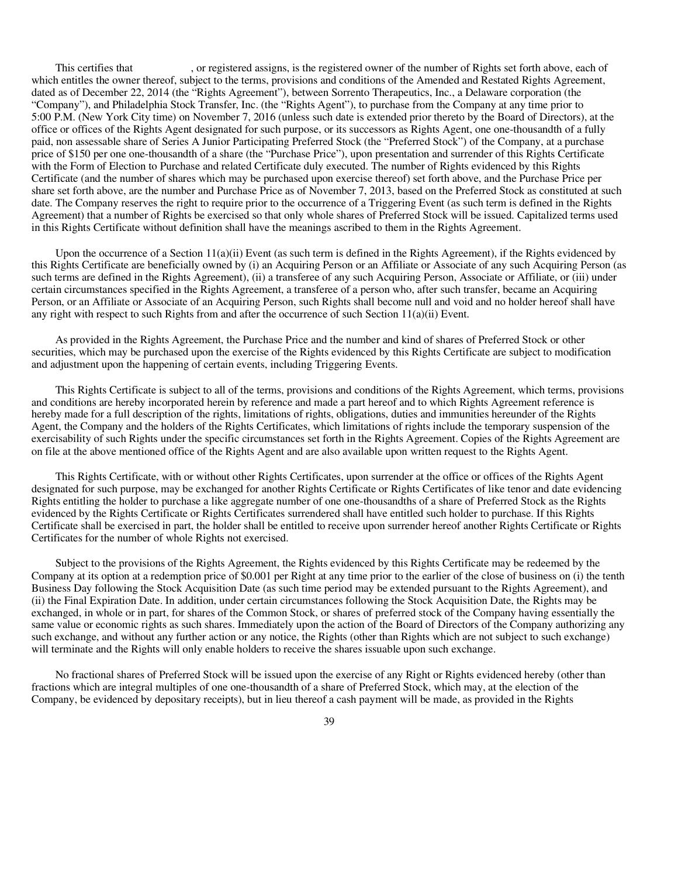This certifies that , or registered assigns, is the registered owner of the number of Rights set forth above, each of which entitles the owner thereof, subject to the terms, provisions and conditions of the Amended and Restated Rights Agreement, dated as of December 22, 2014 (the "Rights Agreement"), between Sorrento Therapeutics, Inc., a Delaware corporation (the "Company"), and Philadelphia Stock Transfer, Inc. (the "Rights Agent"), to purchase from the Company at any time prior to 5:00 P.M. (New York City time) on November 7, 2016 (unless such date is extended prior thereto by the Board of Directors), at the office or offices of the Rights Agent designated for such purpose, or its successors as Rights Agent, one one-thousandth of a fully paid, non assessable share of Series A Junior Participating Preferred Stock (the "Preferred Stock") of the Company, at a purchase price of \$150 per one one-thousandth of a share (the "Purchase Price"), upon presentation and surrender of this Rights Certificate with the Form of Election to Purchase and related Certificate duly executed. The number of Rights evidenced by this Rights Certificate (and the number of shares which may be purchased upon exercise thereof) set forth above, and the Purchase Price per share set forth above, are the number and Purchase Price as of November 7, 2013, based on the Preferred Stock as constituted at such date. The Company reserves the right to require prior to the occurrence of a Triggering Event (as such term is defined in the Rights Agreement) that a number of Rights be exercised so that only whole shares of Preferred Stock will be issued. Capitalized terms used in this Rights Certificate without definition shall have the meanings ascribed to them in the Rights Agreement.

Upon the occurrence of a Section  $11(a)(ii)$  Event (as such term is defined in the Rights Agreement), if the Rights evidenced by this Rights Certificate are beneficially owned by (i) an Acquiring Person or an Affiliate or Associate of any such Acquiring Person (as such terms are defined in the Rights Agreement), (ii) a transferee of any such Acquiring Person, Associate or Affiliate, or (iii) under certain circumstances specified in the Rights Agreement, a transferee of a person who, after such transfer, became an Acquiring Person, or an Affiliate or Associate of an Acquiring Person, such Rights shall become null and void and no holder hereof shall have any right with respect to such Rights from and after the occurrence of such Section  $11(a)(ii)$  Event.

As provided in the Rights Agreement, the Purchase Price and the number and kind of shares of Preferred Stock or other securities, which may be purchased upon the exercise of the Rights evidenced by this Rights Certificate are subject to modification and adjustment upon the happening of certain events, including Triggering Events.

This Rights Certificate is subject to all of the terms, provisions and conditions of the Rights Agreement, which terms, provisions and conditions are hereby incorporated herein by reference and made a part hereof and to which Rights Agreement reference is hereby made for a full description of the rights, limitations of rights, obligations, duties and immunities hereunder of the Rights Agent, the Company and the holders of the Rights Certificates, which limitations of rights include the temporary suspension of the exercisability of such Rights under the specific circumstances set forth in the Rights Agreement. Copies of the Rights Agreement are on file at the above mentioned office of the Rights Agent and are also available upon written request to the Rights Agent.

This Rights Certificate, with or without other Rights Certificates, upon surrender at the office or offices of the Rights Agent designated for such purpose, may be exchanged for another Rights Certificate or Rights Certificates of like tenor and date evidencing Rights entitling the holder to purchase a like aggregate number of one one-thousandths of a share of Preferred Stock as the Rights evidenced by the Rights Certificate or Rights Certificates surrendered shall have entitled such holder to purchase. If this Rights Certificate shall be exercised in part, the holder shall be entitled to receive upon surrender hereof another Rights Certificate or Rights Certificates for the number of whole Rights not exercised.

Subject to the provisions of the Rights Agreement, the Rights evidenced by this Rights Certificate may be redeemed by the Company at its option at a redemption price of \$0.001 per Right at any time prior to the earlier of the close of business on (i) the tenth Business Day following the Stock Acquisition Date (as such time period may be extended pursuant to the Rights Agreement), and (ii) the Final Expiration Date. In addition, under certain circumstances following the Stock Acquisition Date, the Rights may be exchanged, in whole or in part, for shares of the Common Stock, or shares of preferred stock of the Company having essentially the same value or economic rights as such shares. Immediately upon the action of the Board of Directors of the Company authorizing any such exchange, and without any further action or any notice, the Rights (other than Rights which are not subject to such exchange) will terminate and the Rights will only enable holders to receive the shares issuable upon such exchange.

No fractional shares of Preferred Stock will be issued upon the exercise of any Right or Rights evidenced hereby (other than fractions which are integral multiples of one one-thousandth of a share of Preferred Stock, which may, at the election of the Company, be evidenced by depositary receipts), but in lieu thereof a cash payment will be made, as provided in the Rights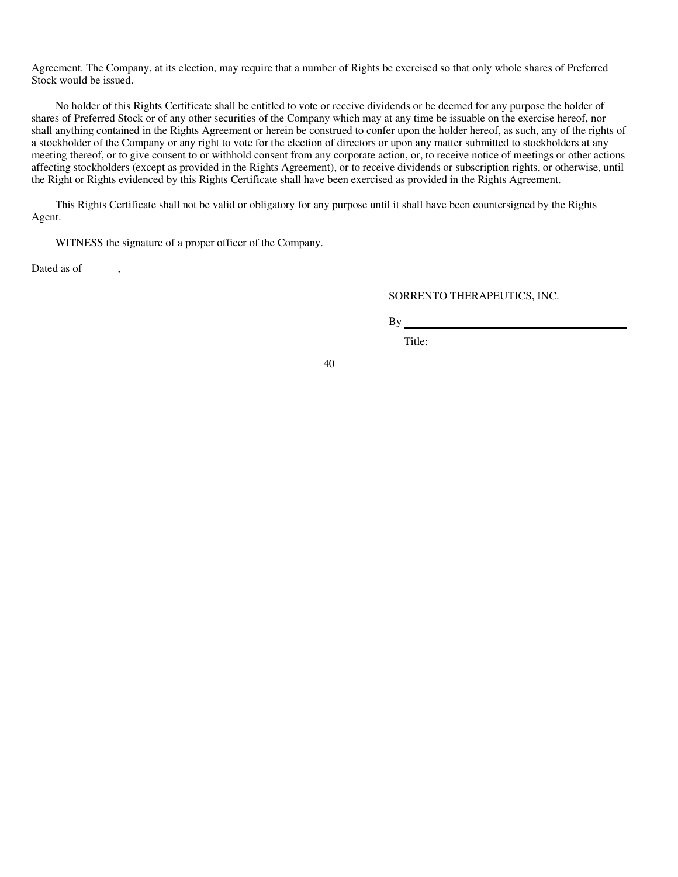Agreement. The Company, at its election, may require that a number of Rights be exercised so that only whole shares of Preferred Stock would be issued.

No holder of this Rights Certificate shall be entitled to vote or receive dividends or be deemed for any purpose the holder of shares of Preferred Stock or of any other securities of the Company which may at any time be issuable on the exercise hereof, nor shall anything contained in the Rights Agreement or herein be construed to confer upon the holder hereof, as such, any of the rights of a stockholder of the Company or any right to vote for the election of directors or upon any matter submitted to stockholders at any meeting thereof, or to give consent to or withhold consent from any corporate action, or, to receive notice of meetings or other actions affecting stockholders (except as provided in the Rights Agreement), or to receive dividends or subscription rights, or otherwise, until the Right or Rights evidenced by this Rights Certificate shall have been exercised as provided in the Rights Agreement.

This Rights Certificate shall not be valid or obligatory for any purpose until it shall have been countersigned by the Rights Agent.

WITNESS the signature of a proper officer of the Company.

Dated as of ,

SORRENTO THERAPEUTICS, INC.

 $By_$ 

Title: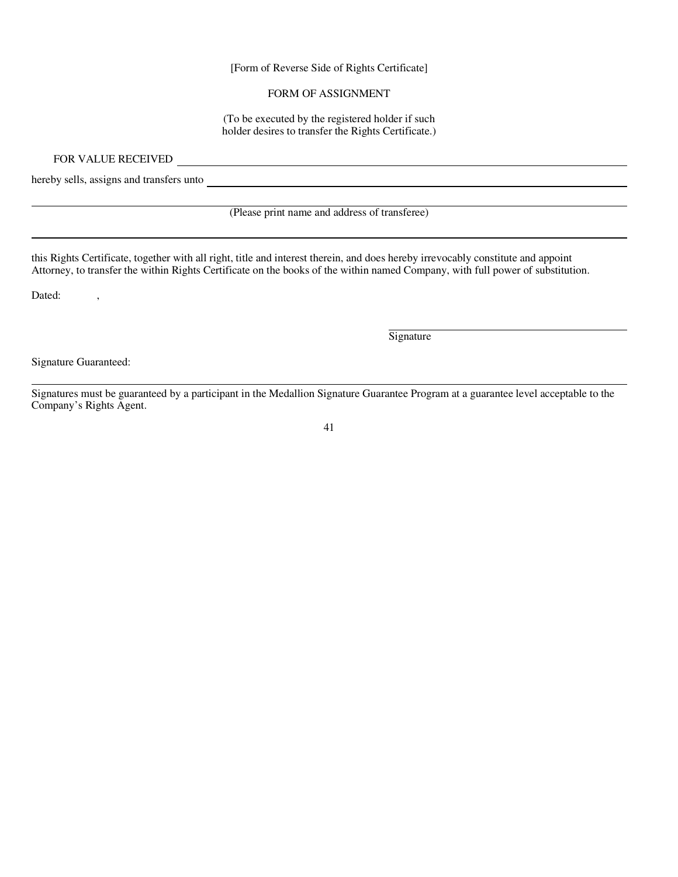[Form of Reverse Side of Rights Certificate]

FORM OF ASSIGNMENT

(To be executed by the registered holder if such holder desires to transfer the Rights Certificate.)

## FOR VALUE RECEIVED

hereby sells, assigns and transfers unto

(Please print name and address of transferee)

this Rights Certificate, together with all right, title and interest therein, and does hereby irrevocably constitute and appoint Attorney, to transfer the within Rights Certificate on the books of the within named Company, with full power of substitution.

Dated:

**Signature** 

Signature Guaranteed:

 Signatures must be guaranteed by a participant in the Medallion Signature Guarantee Program at a guarantee level acceptable to the Company's Rights Agent.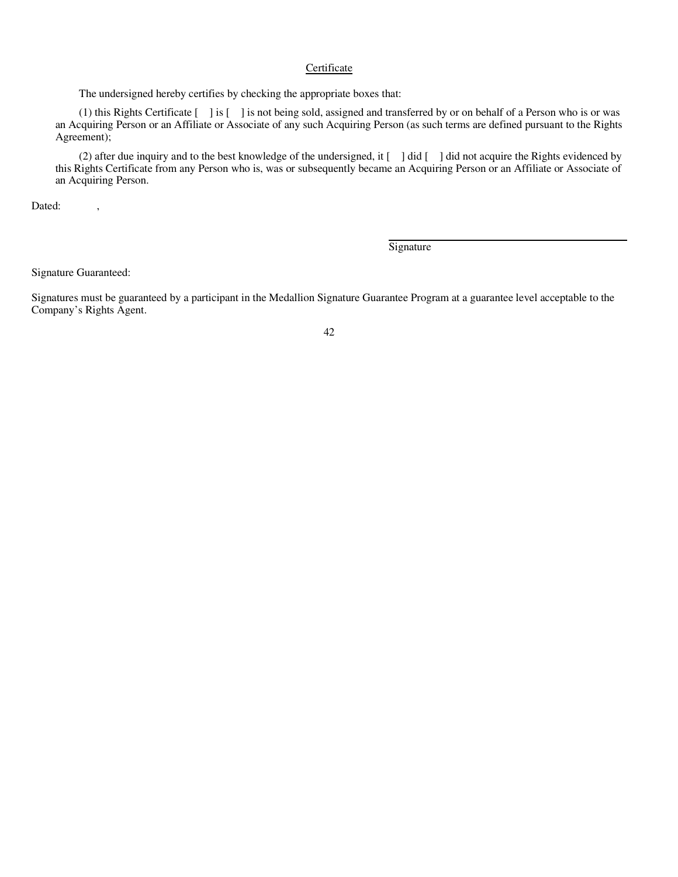#### **Certificate**

The undersigned hereby certifies by checking the appropriate boxes that:

(1) this Rights Certificate [ ] is [ ] is not being sold, assigned and transferred by or on behalf of a Person who is or was an Acquiring Person or an Affiliate or Associate of any such Acquiring Person (as such terms are defined pursuant to the Rights Agreement);

(2) after due inquiry and to the best knowledge of the undersigned, it [ ] did [ ] did not acquire the Rights evidenced by this Rights Certificate from any Person who is, was or subsequently became an Acquiring Person or an Affiliate or Associate of an Acquiring Person.

Dated:

Signature

Signature Guaranteed:

Signatures must be guaranteed by a participant in the Medallion Signature Guarantee Program at a guarantee level acceptable to the Company's Rights Agent.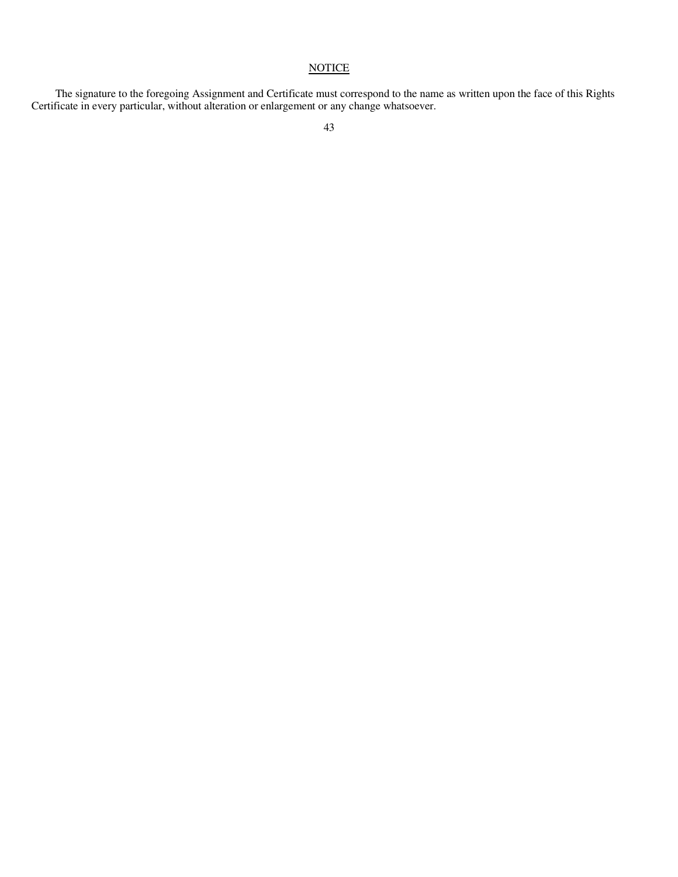## **NOTICE**

The signature to the foregoing Assignment and Certificate must correspond to the name as written upon the face of this Rights Certificate in every particular, without alteration or enlargement or any change whatsoever.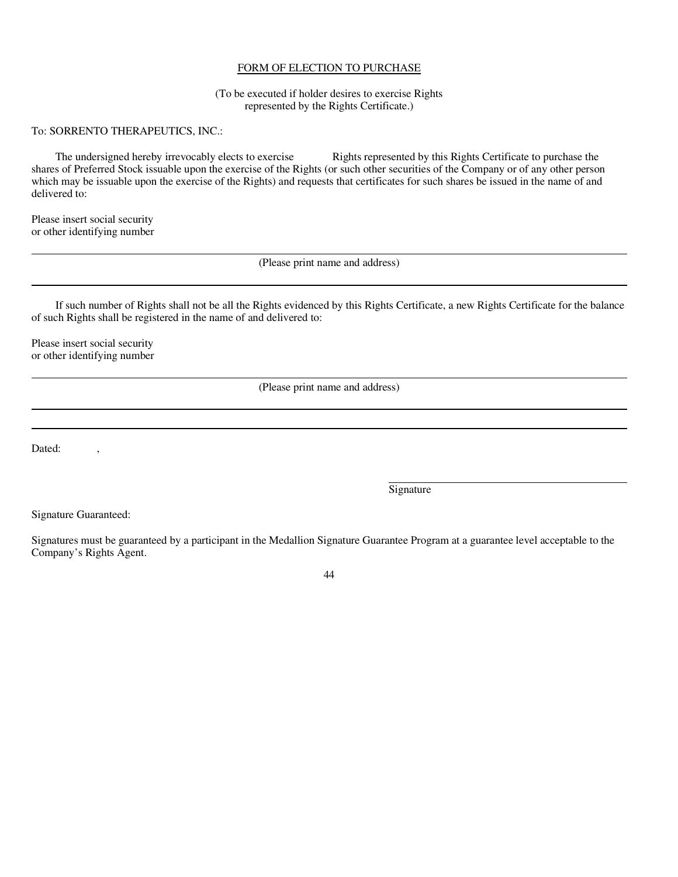#### FORM OF ELECTION TO PURCHASE

#### (To be executed if holder desires to exercise Rights represented by the Rights Certificate.)

#### To: SORRENTO THERAPEUTICS, INC.:

The undersigned hereby irrevocably elects to exercise Rights represented by this Rights Certificate to purchase the shares of Preferred Stock issuable upon the exercise of the Rights (or such other securities of the Company or of any other person which may be issuable upon the exercise of the Rights) and requests that certificates for such shares be issued in the name of and delivered to:

Please insert social security or other identifying number

(Please print name and address)

If such number of Rights shall not be all the Rights evidenced by this Rights Certificate, a new Rights Certificate for the balance of such Rights shall be registered in the name of and delivered to:

Please insert social security or other identifying number

(Please print name and address)

Dated:

j j

j

**Signature** 

Signature Guaranteed:

Signatures must be guaranteed by a participant in the Medallion Signature Guarantee Program at a guarantee level acceptable to the Company's Rights Agent.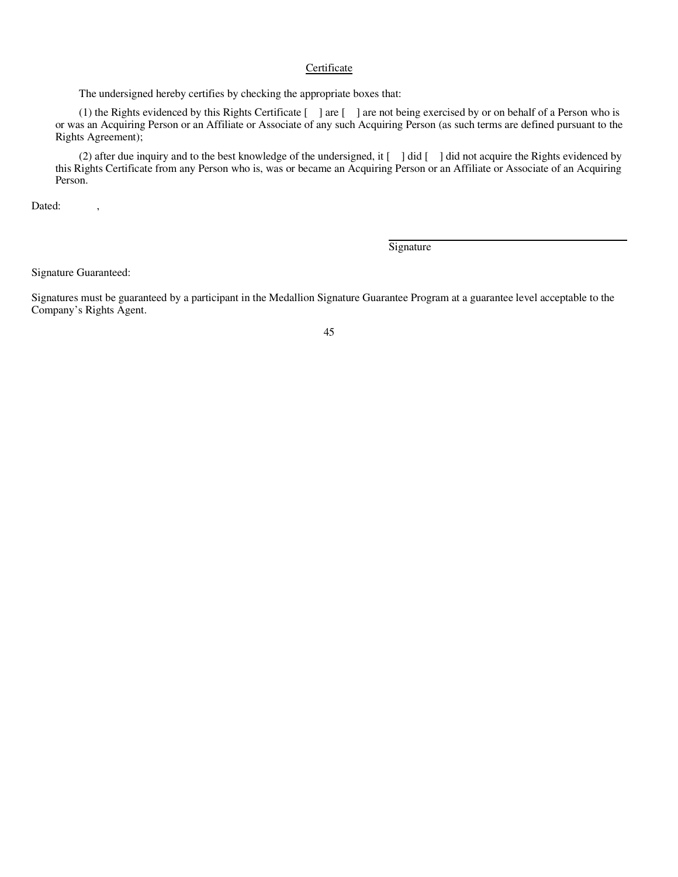#### **Certificate**

The undersigned hereby certifies by checking the appropriate boxes that:

(1) the Rights evidenced by this Rights Certificate [ ] are [ ] are not being exercised by or on behalf of a Person who is or was an Acquiring Person or an Affiliate or Associate of any such Acquiring Person (as such terms are defined pursuant to the Rights Agreement);

(2) after due inquiry and to the best knowledge of the undersigned, it [ ] did [ ] did not acquire the Rights evidenced by this Rights Certificate from any Person who is, was or became an Acquiring Person or an Affiliate or Associate of an Acquiring Person.

Dated: ,

Signature

Signature Guaranteed:

Signatures must be guaranteed by a participant in the Medallion Signature Guarantee Program at a guarantee level acceptable to the Company's Rights Agent.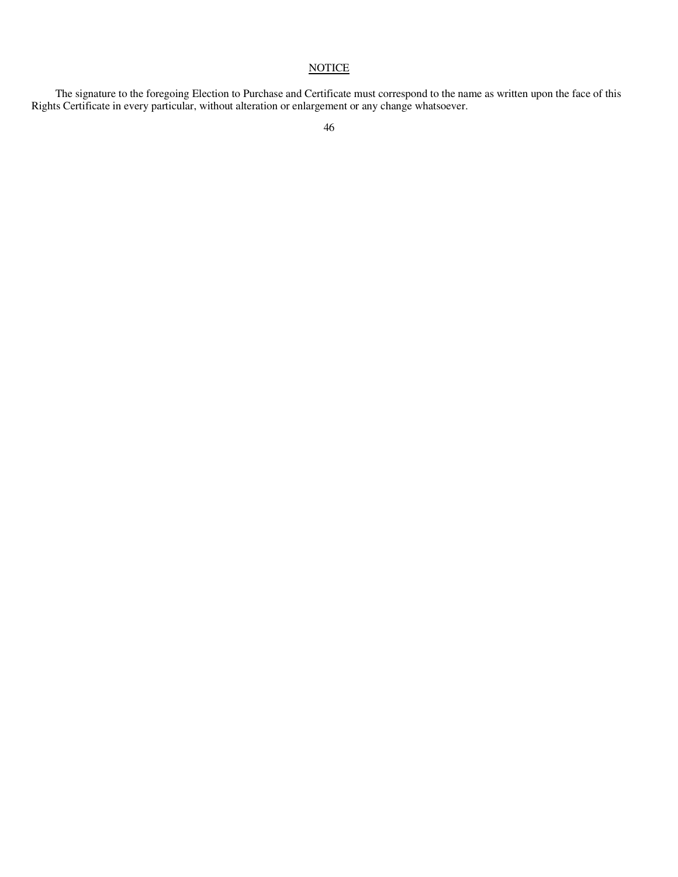## **NOTICE**

The signature to the foregoing Election to Purchase and Certificate must correspond to the name as written upon the face of this Rights Certificate in every particular, without alteration or enlargement or any change whatsoever.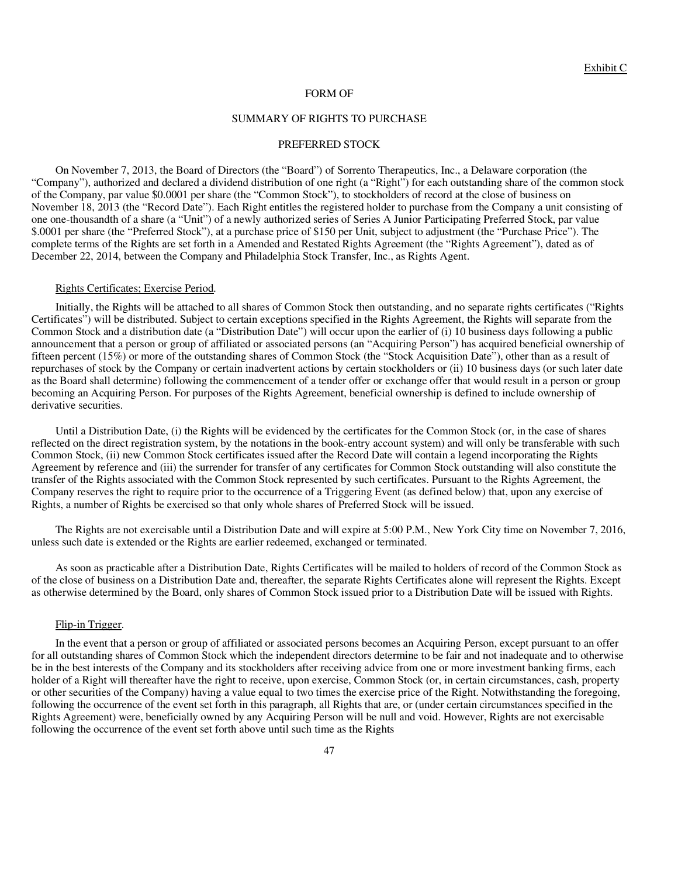#### FORM OF

#### SUMMARY OF RIGHTS TO PURCHASE

#### PREFERRED STOCK

On November 7, 2013, the Board of Directors (the "Board") of Sorrento Therapeutics, Inc., a Delaware corporation (the "Company"), authorized and declared a dividend distribution of one right (a "Right") for each outstanding share of the common stock of the Company, par value \$0.0001 per share (the "Common Stock"), to stockholders of record at the close of business on November 18, 2013 (the "Record Date"). Each Right entitles the registered holder to purchase from the Company a unit consisting of one one-thousandth of a share (a "Unit") of a newly authorized series of Series A Junior Participating Preferred Stock, par value \$.0001 per share (the "Preferred Stock"), at a purchase price of \$150 per Unit, subject to adjustment (the "Purchase Price"). The complete terms of the Rights are set forth in a Amended and Restated Rights Agreement (the "Rights Agreement"), dated as of December 22, 2014, between the Company and Philadelphia Stock Transfer, Inc., as Rights Agent.

#### Rights Certificates; Exercise Period.

Initially, the Rights will be attached to all shares of Common Stock then outstanding, and no separate rights certificates ("Rights Certificates") will be distributed. Subject to certain exceptions specified in the Rights Agreement, the Rights will separate from the Common Stock and a distribution date (a "Distribution Date") will occur upon the earlier of (i) 10 business days following a public announcement that a person or group of affiliated or associated persons (an "Acquiring Person") has acquired beneficial ownership of fifteen percent (15%) or more of the outstanding shares of Common Stock (the "Stock Acquisition Date"), other than as a result of repurchases of stock by the Company or certain inadvertent actions by certain stockholders or (ii) 10 business days (or such later date as the Board shall determine) following the commencement of a tender offer or exchange offer that would result in a person or group becoming an Acquiring Person. For purposes of the Rights Agreement, beneficial ownership is defined to include ownership of derivative securities.

Until a Distribution Date, (i) the Rights will be evidenced by the certificates for the Common Stock (or, in the case of shares reflected on the direct registration system, by the notations in the book-entry account system) and will only be transferable with such Common Stock, (ii) new Common Stock certificates issued after the Record Date will contain a legend incorporating the Rights Agreement by reference and (iii) the surrender for transfer of any certificates for Common Stock outstanding will also constitute the transfer of the Rights associated with the Common Stock represented by such certificates. Pursuant to the Rights Agreement, the Company reserves the right to require prior to the occurrence of a Triggering Event (as defined below) that, upon any exercise of Rights, a number of Rights be exercised so that only whole shares of Preferred Stock will be issued.

The Rights are not exercisable until a Distribution Date and will expire at 5:00 P.M., New York City time on November 7, 2016, unless such date is extended or the Rights are earlier redeemed, exchanged or terminated.

As soon as practicable after a Distribution Date, Rights Certificates will be mailed to holders of record of the Common Stock as of the close of business on a Distribution Date and, thereafter, the separate Rights Certificates alone will represent the Rights. Except as otherwise determined by the Board, only shares of Common Stock issued prior to a Distribution Date will be issued with Rights.

#### Flip-in Trigger.

In the event that a person or group of affiliated or associated persons becomes an Acquiring Person, except pursuant to an offer for all outstanding shares of Common Stock which the independent directors determine to be fair and not inadequate and to otherwise be in the best interests of the Company and its stockholders after receiving advice from one or more investment banking firms, each holder of a Right will thereafter have the right to receive, upon exercise, Common Stock (or, in certain circumstances, cash, property or other securities of the Company) having a value equal to two times the exercise price of the Right. Notwithstanding the foregoing, following the occurrence of the event set forth in this paragraph, all Rights that are, or (under certain circumstances specified in the Rights Agreement) were, beneficially owned by any Acquiring Person will be null and void. However, Rights are not exercisable following the occurrence of the event set forth above until such time as the Rights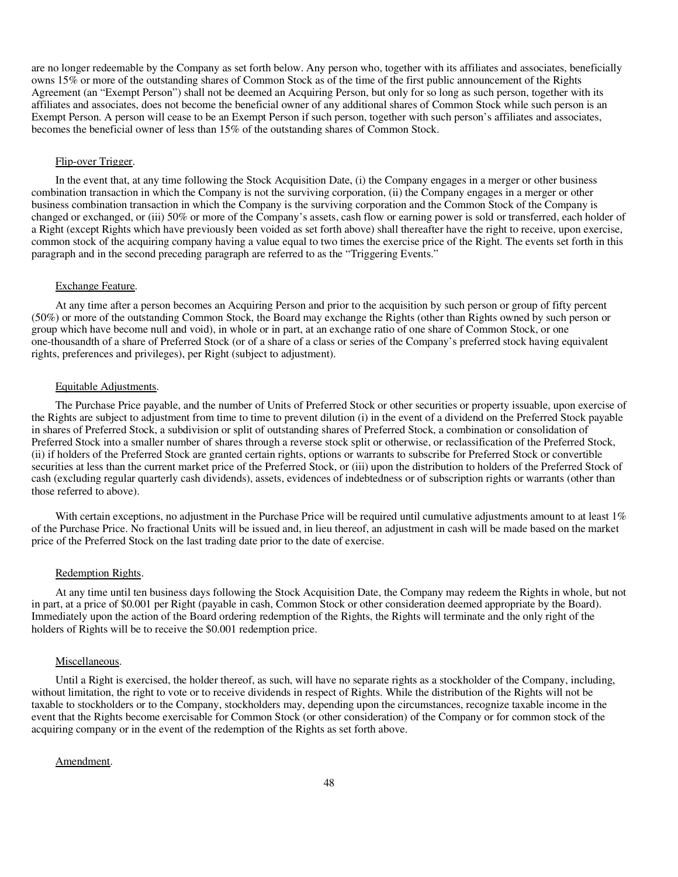are no longer redeemable by the Company as set forth below. Any person who, together with its affiliates and associates, beneficially owns 15% or more of the outstanding shares of Common Stock as of the time of the first public announcement of the Rights Agreement (an "Exempt Person") shall not be deemed an Acquiring Person, but only for so long as such person, together with its affiliates and associates, does not become the beneficial owner of any additional shares of Common Stock while such person is an Exempt Person. A person will cease to be an Exempt Person if such person, together with such person's affiliates and associates, becomes the beneficial owner of less than 15% of the outstanding shares of Common Stock.

#### Flip-over Trigger.

In the event that, at any time following the Stock Acquisition Date, (i) the Company engages in a merger or other business combination transaction in which the Company is not the surviving corporation, (ii) the Company engages in a merger or other business combination transaction in which the Company is the surviving corporation and the Common Stock of the Company is changed or exchanged, or (iii) 50% or more of the Company's assets, cash flow or earning power is sold or transferred, each holder of a Right (except Rights which have previously been voided as set forth above) shall thereafter have the right to receive, upon exercise, common stock of the acquiring company having a value equal to two times the exercise price of the Right. The events set forth in this paragraph and in the second preceding paragraph are referred to as the "Triggering Events."

#### Exchange Feature.

At any time after a person becomes an Acquiring Person and prior to the acquisition by such person or group of fifty percent (50%) or more of the outstanding Common Stock, the Board may exchange the Rights (other than Rights owned by such person or group which have become null and void), in whole or in part, at an exchange ratio of one share of Common Stock, or one one-thousandth of a share of Preferred Stock (or of a share of a class or series of the Company's preferred stock having equivalent rights, preferences and privileges), per Right (subject to adjustment).

#### Equitable Adjustments.

The Purchase Price payable, and the number of Units of Preferred Stock or other securities or property issuable, upon exercise of the Rights are subject to adjustment from time to time to prevent dilution (i) in the event of a dividend on the Preferred Stock payable in shares of Preferred Stock, a subdivision or split of outstanding shares of Preferred Stock, a combination or consolidation of Preferred Stock into a smaller number of shares through a reverse stock split or otherwise, or reclassification of the Preferred Stock, (ii) if holders of the Preferred Stock are granted certain rights, options or warrants to subscribe for Preferred Stock or convertible securities at less than the current market price of the Preferred Stock, or (iii) upon the distribution to holders of the Preferred Stock of cash (excluding regular quarterly cash dividends), assets, evidences of indebtedness or of subscription rights or warrants (other than those referred to above).

With certain exceptions, no adjustment in the Purchase Price will be required until cumulative adjustments amount to at least 1% of the Purchase Price. No fractional Units will be issued and, in lieu thereof, an adjustment in cash will be made based on the market price of the Preferred Stock on the last trading date prior to the date of exercise.

#### Redemption Rights.

At any time until ten business days following the Stock Acquisition Date, the Company may redeem the Rights in whole, but not in part, at a price of \$0.001 per Right (payable in cash, Common Stock or other consideration deemed appropriate by the Board). Immediately upon the action of the Board ordering redemption of the Rights, the Rights will terminate and the only right of the holders of Rights will be to receive the \$0.001 redemption price.

#### Miscellaneous.

Until a Right is exercised, the holder thereof, as such, will have no separate rights as a stockholder of the Company, including, without limitation, the right to vote or to receive dividends in respect of Rights. While the distribution of the Rights will not be taxable to stockholders or to the Company, stockholders may, depending upon the circumstances, recognize taxable income in the event that the Rights become exercisable for Common Stock (or other consideration) of the Company or for common stock of the acquiring company or in the event of the redemption of the Rights as set forth above.

#### Amendment.